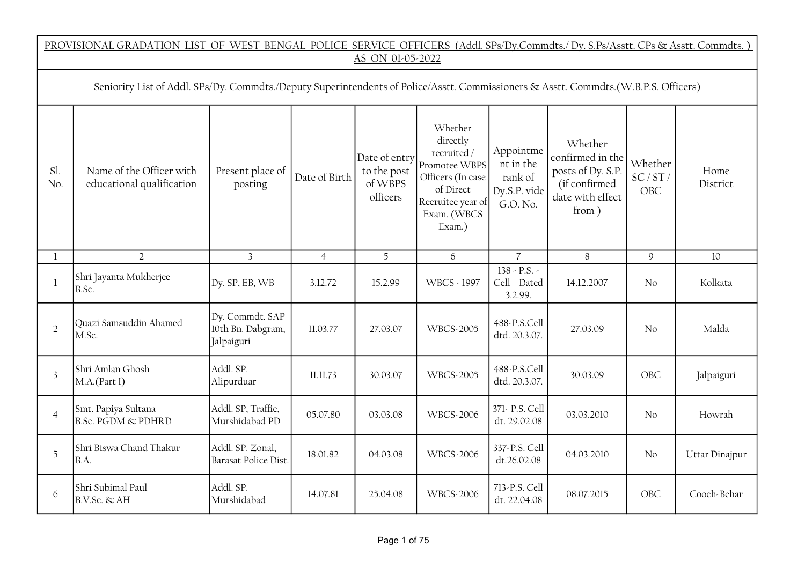|                | PROVISIONAL GRADATION LIST OF WEST BENGAL POLICE SERVICE OFFICERS (Addl. SPs/Dy.Commdts./ Dy. S.Ps/Asstt. CPs & Asstt. Commdts.)<br>AS ON 01-05-2022                                                                                                                                                                                                                                                                                                                                                                                                                                                                   |                                                    |                |          |                    |                                         |            |                |                |  |  |  |  |
|----------------|------------------------------------------------------------------------------------------------------------------------------------------------------------------------------------------------------------------------------------------------------------------------------------------------------------------------------------------------------------------------------------------------------------------------------------------------------------------------------------------------------------------------------------------------------------------------------------------------------------------------|----------------------------------------------------|----------------|----------|--------------------|-----------------------------------------|------------|----------------|----------------|--|--|--|--|
|                | Seniority List of Addl. SPs/Dy. Commdts./Deputy Superintendents of Police/Asstt. Commissioners & Asstt. Commdts.(W.B.P.S. Officers)                                                                                                                                                                                                                                                                                                                                                                                                                                                                                    |                                                    |                |          |                    |                                         |            |                |                |  |  |  |  |
| Sl.<br>No.     | Whether<br>directly<br>Whether<br>Appointme<br>recruited /<br>Date of entry<br>confirmed in the<br>nt in the<br>Whether<br>Promotee WBPS<br>Name of the Officer with<br>to the post<br>posts of Dy. S.P.<br>Present place of<br>Home<br>SC/ST/<br>Date of Birth<br>Officers (In case<br>rank of<br>of WBPS<br>educational qualification<br>(if confirmed<br>posting<br>District<br>of Direct<br>Dy.S.P. vide<br><b>OBC</b><br>officers<br>date with effect<br>Recruitee year of<br>G.O. No.<br>from)<br>Exam. (WBCS<br>Exam.)<br>$\overline{3}$<br>5<br>$8\,$<br>$\overline{2}$<br>$\mathcal{Q}$<br>$\mathbf{1}$<br>10 |                                                    |                |          |                    |                                         |            |                |                |  |  |  |  |
|                |                                                                                                                                                                                                                                                                                                                                                                                                                                                                                                                                                                                                                        |                                                    | $\overline{4}$ |          | 6                  | $\overline{7}$                          |            |                |                |  |  |  |  |
| $\mathbf{1}$   | Shri Jayanta Mukherjee<br>B.Sc.                                                                                                                                                                                                                                                                                                                                                                                                                                                                                                                                                                                        | Dy. SP, EB, WB                                     | 3.12.72        | 15.2.99  | <b>WBCS - 1997</b> | $138 - P.S. -$<br>Cell Dated<br>3.2.99. | 14.12.2007 | No             | Kolkata        |  |  |  |  |
| $\overline{2}$ | Quazi Samsuddin Ahamed<br>M.Sc.                                                                                                                                                                                                                                                                                                                                                                                                                                                                                                                                                                                        | Dy. Commdt. SAP<br>10th Bn. Dabgram,<br>Jalpaiguri | 11.03.77       | 27.03.07 | <b>WBCS-2005</b>   | 488-P.S.Cell<br>dtd. 20.3.07.           | 27.03.09   | No             | Malda          |  |  |  |  |
| $\overline{3}$ | Shri Amlan Ghosh<br>M.A.(Part I)                                                                                                                                                                                                                                                                                                                                                                                                                                                                                                                                                                                       | Addl. SP.<br>Alipurduar                            | 11.11.73       | 30.03.07 | <b>WBCS-2005</b>   | 488-P.S.Cell<br>dtd. 20.3.07.           | 30.03.09   | OBC            | Jalpaiguri     |  |  |  |  |
| $\overline{4}$ | Smt. Papiya Sultana<br><b>B.Sc. PGDM &amp; PDHRD</b>                                                                                                                                                                                                                                                                                                                                                                                                                                                                                                                                                                   | Addl. SP, Traffic,<br>Murshidabad PD               | 05.07.80       | 03.03.08 | <b>WBCS-2006</b>   | 371- P.S. Cell<br>dt. 29.02.08          | 03.03.2010 | N <sub>o</sub> | Howrah         |  |  |  |  |
| 5              | Shri Biswa Chand Thakur<br>B.A.                                                                                                                                                                                                                                                                                                                                                                                                                                                                                                                                                                                        | Addl. SP. Zonal,<br>Barasat Police Dist.           | 18.01.82       | 04.03.08 | <b>WBCS-2006</b>   | 337-P.S. Cell<br>dt.26.02.08            | 04.03.2010 | No             | Uttar Dinajpur |  |  |  |  |
| 6              | Shri Subimal Paul<br>$B.V.Sc.$ & AH                                                                                                                                                                                                                                                                                                                                                                                                                                                                                                                                                                                    | Addl. SP.<br>Murshidabad                           | 14.07.81       | 25.04.08 | <b>WBCS-2006</b>   | 713-P.S. Cell<br>dt. 22.04.08           | 08.07.2015 | OBC            | Cooch-Behar    |  |  |  |  |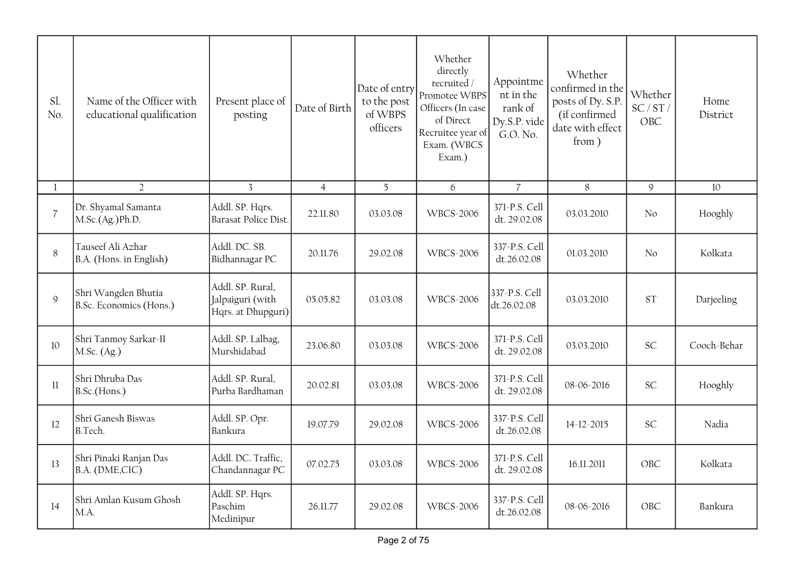| Sl.<br>No.     | Name of the Officer with<br>educational qualification | Present place of<br>posting                                | Date of Birth  | Date of entry<br>to the post<br>of WBPS<br>officers | Whether<br>directly<br>recruited/<br>Promotee WBPS<br>Officers (In case<br>of Direct<br>Recruitee year of<br>Exam. (WBCS<br>Exam.) | Appointme<br>nt in the<br>rank of<br>Dy.S.P. vide<br>G.O. No. | Whether<br>confirmed in the<br>posts of Dy. S.P.<br>(if confirmed<br>date with effect<br>from) | Whether<br>SC/ST/<br>OBC | Home<br>District |
|----------------|-------------------------------------------------------|------------------------------------------------------------|----------------|-----------------------------------------------------|------------------------------------------------------------------------------------------------------------------------------------|---------------------------------------------------------------|------------------------------------------------------------------------------------------------|--------------------------|------------------|
|                | $\overline{2}$                                        | $\overline{3}$                                             | $\overline{4}$ | 5                                                   | 6                                                                                                                                  | $\overline{7}$                                                | 8                                                                                              | 9                        | 10               |
| $\overline{7}$ | Dr. Shyamal Samanta<br>M.Sc.(Ag.)Ph.D.                | Addl. SP. Hqrs.<br>Barasat Police Dist.                    | 22.11.80       | 03.03.08                                            | <b>WBCS-2006</b>                                                                                                                   | 371-P.S. Cell<br>dt. 29.02.08                                 | 03.03.2010                                                                                     | No                       | Hooghly          |
| 8              | Tauseef Ali Azhar<br>B.A. (Hons. in English)          | Addl. DC. SB.<br>Bidhannagar PC                            | 20.11.76       | 29.02.08                                            | <b>WBCS-2006</b>                                                                                                                   | 337-P.S. Cell<br>dt.26.02.08                                  | 01.03.2010                                                                                     | No                       | Kolkata          |
| 9              | Shri Wangden Bhutia<br>B.Sc. Economics (Hons.)        | Addl. SP. Rural,<br>Jalpaiguri (with<br>Hqrs. at Dhupguri) | 05.05.82       | 03.03.08                                            | <b>WBCS-2006</b>                                                                                                                   | 337-P.S. Cell<br>dt.26.02.08                                  | 03.03.2010                                                                                     | <b>ST</b>                | Darjeeling       |
| 10             | Shri Tanmoy Sarkar-II<br>M.Sc. (Ag.)                  | Addl. SP. Lalbag,<br>Murshidabad                           | 23.06.80       | 03.03.08                                            | <b>WBCS-2006</b>                                                                                                                   | 371-P.S. Cell<br>dt. 29.02.08                                 | 03.03.2010                                                                                     | <b>SC</b>                | Cooch-Behar      |
| 11             | Shri Dhruba Das<br>B.Sc.(Hons.)                       | Addl. SP. Rural,<br>Purba Bardhaman                        | 20.02.81       | 03.03.08                                            | <b>WBCS-2006</b>                                                                                                                   | 371-P.S. Cell<br>dt. 29.02.08                                 | 08-06-2016                                                                                     | <b>SC</b>                | Hooghly          |
| 12             | Shri Ganesh Biswas<br>B.Tech.                         | Addl. SP. Opr.<br>Bankura                                  | 19.07.79       | 29.02.08                                            | <b>WBCS-2006</b>                                                                                                                   | 337-P.S. Cell<br>dt.26.02.08                                  | 14-12-2015                                                                                     | <b>SC</b>                | Nadia            |
| 13             | Shri Pinaki Ranjan Das<br>B.A. (DME,CIC)              | Addl. DC. Traffic,<br>Chandannagar PC                      | 07.02.75       | 03.03.08                                            | <b>WBCS-2006</b>                                                                                                                   | 371-P.S. Cell<br>dt. 29.02.08                                 | 16.11.2011                                                                                     | OBC                      | Kolkata          |
| 14             | Shri Amlan Kusum Ghosh<br>M.A.                        | Addl. SP. Hqrs.<br>Paschim<br>Medinipur                    | 26.11.77       | 29.02.08                                            | <b>WBCS-2006</b>                                                                                                                   | 337-P.S. Cell<br>dt.26.02.08                                  | 08-06-2016                                                                                     | OBC                      | Bankura          |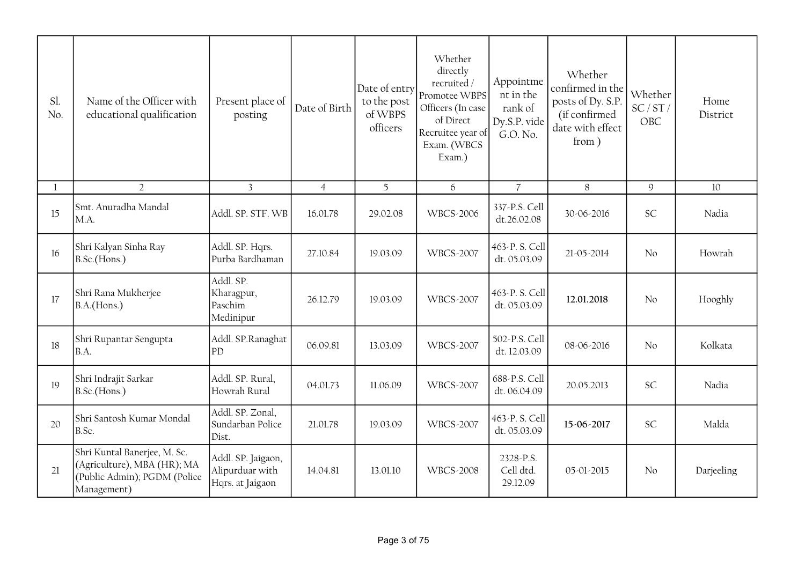| Sl.<br>No. | Name of the Officer with<br>educational qualification                                                      | Present place of<br>posting                               | Date of Birth  | Date of entry<br>to the post<br>of WBPS<br>officers | Whether<br>directly<br>recruited /<br>Promotee WBPS<br>Officers (In case<br>of Direct<br>Recruitee year of<br>Exam. (WBCS<br>Exam.) | Appointme<br>nt in the<br>rank of<br>Dy.S.P. vide<br>G.O. No. | Whether<br>confirmed in the<br>posts of Dy. S.P.<br>(if confirmed<br>date with effect<br>from) | Whether<br>SC/ST/<br>OBC | Home<br>District |
|------------|------------------------------------------------------------------------------------------------------------|-----------------------------------------------------------|----------------|-----------------------------------------------------|-------------------------------------------------------------------------------------------------------------------------------------|---------------------------------------------------------------|------------------------------------------------------------------------------------------------|--------------------------|------------------|
|            | $\overline{2}$                                                                                             | $\overline{3}$                                            | $\overline{4}$ | 5                                                   | 6                                                                                                                                   | $\overline{7}$                                                | $8\,$                                                                                          | $\mathcal{G}$            | 10               |
| 15         | Smt. Anuradha Mandal<br>M.A.                                                                               | Addl. SP. STF. WB                                         | 16.01.78       | 29.02.08                                            | <b>WBCS-2006</b>                                                                                                                    | 337-P.S. Cell<br>dt.26.02.08                                  | 30-06-2016                                                                                     | <b>SC</b>                | Nadia            |
| 16         | Shri Kalyan Sinha Ray<br>B.Sc.(Hons.)                                                                      | Addl. SP. Hqrs.<br>Purba Bardhaman                        | 27.10.84       | 19.03.09                                            | <b>WBCS-2007</b>                                                                                                                    | 463-P.S. Cell<br>dt. 05.03.09                                 | 21-05-2014                                                                                     | No                       | Howrah           |
| 17         | Shri Rana Mukherjee<br>B.A.(Hons.)                                                                         | Addl. SP.<br>Kharagpur,<br>Paschim<br>Medinipur           | 26.12.79       | 19.03.09                                            | <b>WBCS-2007</b>                                                                                                                    | 463-P.S. Cell<br>dt. 05.03.09                                 | 12.01.2018                                                                                     | No                       | Hooghly          |
| 18         | Shri Rupantar Sengupta<br>B.A.                                                                             | Addl. SP.Ranaghat<br>PD                                   | 06.09.81       | 13.03.09                                            | <b>WBCS-2007</b>                                                                                                                    | 502-P.S. Cell<br>dt. 12.03.09                                 | 08-06-2016                                                                                     | No                       | Kolkata          |
| 19         | Shri Indrajit Sarkar<br>B.Sc.(Hons.)                                                                       | Addl. SP. Rural,<br>Howrah Rural                          | 04.01.73       | 11.06.09                                            | <b>WBCS-2007</b>                                                                                                                    | 688-P.S. Cell<br>dt. 06.04.09                                 | 20.05.2013                                                                                     | <b>SC</b>                | Nadia            |
| 20         | Shri Santosh Kumar Mondal<br>B.Sc.                                                                         | Addl. SP. Zonal,<br>Sundarban Police<br>Dist.             | 21.01.78       | 19.03.09                                            | <b>WBCS-2007</b>                                                                                                                    | 463-P.S. Cell<br>dt. 05.03.09                                 | 15-06-2017                                                                                     | SC                       | Malda            |
| 21         | Shri Kuntal Banerjee, M. Sc.<br>(Agriculture), MBA (HR); MA<br>(Public Admin); PGDM (Police<br>Management) | Addl. SP. Jaigaon,<br>Alipurduar with<br>Hqrs. at Jaigaon | 14.04.81       | 13.01.10                                            | <b>WBCS-2008</b>                                                                                                                    | 2328-P.S.<br>Cell dtd.<br>29.12.09                            | 05-01-2015                                                                                     | No                       | Darjeeling       |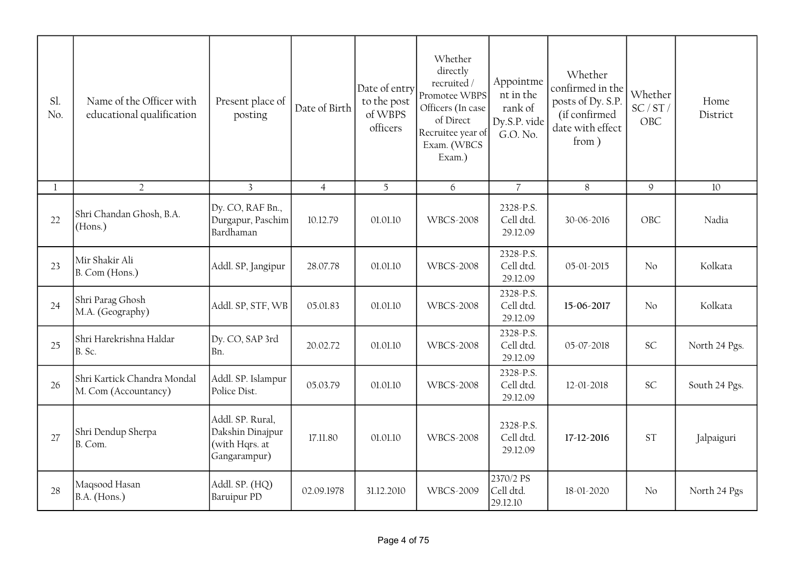| Sl.<br>No.   | Name of the Officer with<br>educational qualification | Present place of<br>posting                                            | Date of Birth  | Date of entry<br>to the post<br>of WBPS<br>officers | Whether<br>directly<br>recruited /<br>Promotee WBPS<br>Officers (In case<br>of Direct<br>Recruitee year of<br>Exam. (WBCS<br>Exam.) | Appointme<br>nt in the<br>rank of<br>Dy.S.P. vide<br>G.O. No. | Whether<br>confirmed in the<br>posts of Dy. S.P.<br>(if confirmed<br>date with effect<br>from) | Whether<br>SC/ST/<br>OBC | Home<br>District |
|--------------|-------------------------------------------------------|------------------------------------------------------------------------|----------------|-----------------------------------------------------|-------------------------------------------------------------------------------------------------------------------------------------|---------------------------------------------------------------|------------------------------------------------------------------------------------------------|--------------------------|------------------|
| $\mathbf{1}$ | $\overline{2}$                                        | $\overline{3}$                                                         | $\overline{4}$ | 5 <sup>5</sup>                                      | 6                                                                                                                                   | $\overline{7}$                                                | 8                                                                                              | $\mathcal{G}$            | 10               |
| 22           | Shri Chandan Ghosh, B.A.<br>(Hons.)                   | Dy. CO, RAF Bn.,<br>Durgapur, Paschim<br>Bardhaman                     | 10.12.79       | 01.01.10                                            | <b>WBCS-2008</b>                                                                                                                    | 2328-P.S.<br>Cell dtd.<br>29.12.09                            | 30-06-2016                                                                                     | OBC                      | Nadia            |
| 23           | Mir Shakir Ali<br>B. Com (Hons.)                      | Addl. SP, Jangipur                                                     | 28.07.78       | 01.01.10                                            | <b>WBCS-2008</b>                                                                                                                    | 2328-P.S.<br>Cell dtd.<br>29.12.09                            | 05-01-2015                                                                                     | No                       | Kolkata          |
| 24           | Shri Parag Ghosh<br>M.A. (Geography)                  | Addl. SP, STF, WB                                                      | 05.01.83       | 01.01.10                                            | <b>WBCS-2008</b>                                                                                                                    | 2328-P.S.<br>Cell dtd.<br>29.12.09                            | 15-06-2017                                                                                     | No                       | Kolkata          |
| 25           | Shri Harekrishna Haldar<br>B. Sc.                     | Dy. CO, SAP 3rd<br>Bn.                                                 | 20.02.72       | 01.01.10                                            | <b>WBCS-2008</b>                                                                                                                    | 2328-P.S.<br>Cell dtd.<br>29.12.09                            | 05-07-2018                                                                                     | <b>SC</b>                | North 24 Pgs.    |
| 26           | Shri Kartick Chandra Mondal<br>M. Com (Accountancy)   | Addl. SP. Islampur<br>Police Dist.                                     | 05.03.79       | 01.01.10                                            | <b>WBCS-2008</b>                                                                                                                    | 2328-P.S.<br>Cell dtd.<br>29.12.09                            | 12-01-2018                                                                                     | <b>SC</b>                | South 24 Pgs.    |
| 27           | Shri Dendup Sherpa<br>B. Com.                         | Addl. SP. Rural,<br>Dakshin Dinajpur<br>(with Hqrs. at<br>Gangarampur) | 17.11.80       | 01.01.10                                            | <b>WBCS-2008</b>                                                                                                                    | 2328-P.S.<br>Cell dtd.<br>29.12.09                            | 17-12-2016                                                                                     | <b>ST</b>                | Jalpaiguri       |
| 28           | Maqsood Hasan<br>B.A. (Hons.)                         | Addl. SP. (HQ)<br>Baruipur PD                                          | 02.09.1978     | 31.12.2010                                          | <b>WBCS-2009</b>                                                                                                                    | 2370/2 PS<br>Cell dtd.<br>29.12.10                            | 18-01-2020                                                                                     | No                       | North 24 Pgs     |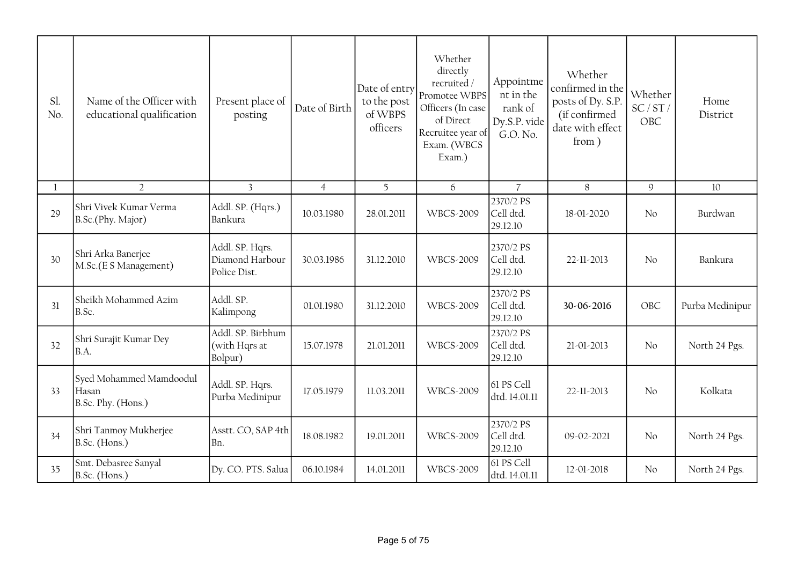| Sl.<br>No.   | Name of the Officer with<br>educational qualification  | Present place of<br>posting                        | Date of Birth  | Date of entry<br>to the post<br>of WBPS<br>officers | Whether<br>directly<br>recruited/<br>Promotee WBPS<br>Officers (In case<br>of Direct<br>Recruitee year of<br>Exam. (WBCS<br>Exam.) | Appointme<br>nt in the<br>rank of<br>Dy.S.P. vide<br>G.O. No. | Whether<br>confirmed in the<br>posts of Dy. S.P.<br>(if confirmed<br>date with effect<br>from) | Whether<br>SC/ST/<br>OBC | Home<br>District |
|--------------|--------------------------------------------------------|----------------------------------------------------|----------------|-----------------------------------------------------|------------------------------------------------------------------------------------------------------------------------------------|---------------------------------------------------------------|------------------------------------------------------------------------------------------------|--------------------------|------------------|
| $\mathbf{1}$ | $\overline{2}$                                         | $\overline{3}$                                     | $\overline{4}$ | 5                                                   | 6                                                                                                                                  | $\overline{7}$                                                | 8                                                                                              | $\mathcal{Q}$            | 10               |
| 29           | Shri Vivek Kumar Verma<br>B.Sc.(Phy. Major)            | Addl. SP. (Hqrs.)<br>Bankura                       | 10.03.1980     | 28.01.2011                                          | <b>WBCS-2009</b>                                                                                                                   | 2370/2 PS<br>Cell dtd.<br>29.12.10                            | 18-01-2020                                                                                     | No                       | Burdwan          |
| 30           | Shri Arka Banerjee<br>M.Sc.(E S Management)            | Addl. SP. Hqrs.<br>Diamond Harbour<br>Police Dist. | 30.03.1986     | 31.12.2010                                          | <b>WBCS-2009</b>                                                                                                                   | 2370/2 PS<br>Cell dtd.<br>29.12.10                            | 22-11-2013                                                                                     | No                       | Bankura          |
| 31           | Sheikh Mohammed Azim<br>B.Sc.                          | Addl. SP.<br>Kalimpong                             | 01.01.1980     | 31.12.2010                                          | <b>WBCS-2009</b>                                                                                                                   | 2370/2 PS<br>Cell dtd.<br>29.12.10                            | 30-06-2016                                                                                     | OBC                      | Purba Medinipur  |
| 32           | Shri Surajit Kumar Dey<br>B.A.                         | Addl. SP. Birbhum<br>(with Hqrs at<br>Bolpur)      | 15.07.1978     | 21.01.2011                                          | <b>WBCS-2009</b>                                                                                                                   | 2370/2 PS<br>Cell dtd.<br>29.12.10                            | $21 - 01 - 2013$                                                                               | No                       | North 24 Pgs.    |
| 33           | Syed Mohammed Mamdoodul<br>Hasan<br>B.Sc. Phy. (Hons.) | Addl. SP. Hqrs.<br>Purba Medinipur                 | 17.05.1979     | 11.03.2011                                          | <b>WBCS-2009</b>                                                                                                                   | 61 PS Cell<br>dtd. 14.01.11                                   | 22-11-2013                                                                                     | No                       | Kolkata          |
| 34           | Shri Tanmoy Mukherjee<br>B.Sc. (Hons.)                 | Asstt. CO, SAP 4th<br>Bn.                          | 18.08.1982     | 19.01.2011                                          | <b>WBCS-2009</b>                                                                                                                   | 2370/2 PS<br>Cell dtd.<br>29.12.10                            | 09-02-2021                                                                                     | No                       | North 24 Pgs.    |
| 35           | Smt. Debasree Sanyal<br>B.Sc. (Hons.)                  | Dy. CO. PTS. Salua                                 | 06.10.1984     | 14.01.2011                                          | <b>WBCS-2009</b>                                                                                                                   | 61 PS Cell<br>dtd. 14.01.11                                   | 12-01-2018                                                                                     | No                       | North 24 Pgs.    |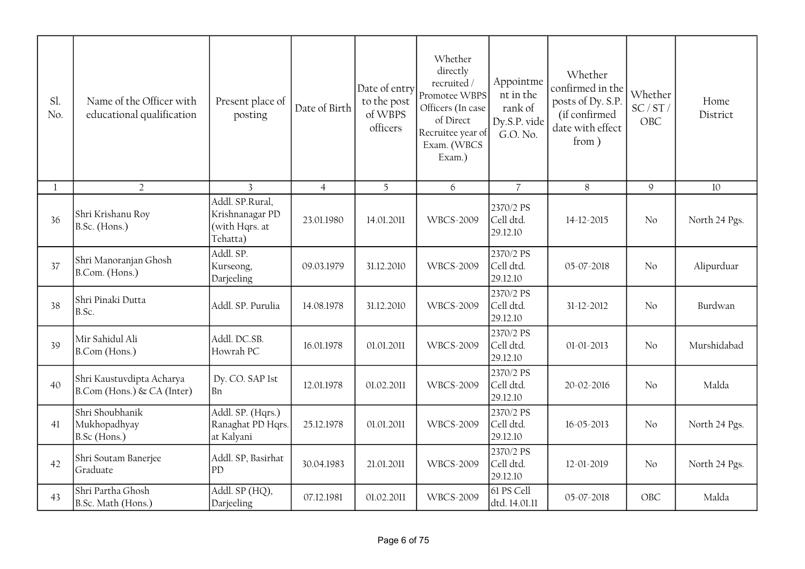| Sl.<br>No.   | Name of the Officer with<br>educational qualification   | Present place of<br>posting                                      | Date of Birth  | Date of entry<br>to the post<br>of WBPS<br>officers | Whether<br>directly<br>recruited /<br>Promotee WBPS<br>Officers (In case<br>of Direct<br>Recruitee year of<br>Exam. (WBCS<br>Exam.) | Appointme<br>nt in the<br>rank of<br>Dy.S.P. vide<br>G.O. No. | Whether<br>confirmed in the<br>posts of Dy. S.P.<br>(if confirmed<br>date with effect<br>from) | Whether<br>SC/ST/<br>OBC | Home<br>District |
|--------------|---------------------------------------------------------|------------------------------------------------------------------|----------------|-----------------------------------------------------|-------------------------------------------------------------------------------------------------------------------------------------|---------------------------------------------------------------|------------------------------------------------------------------------------------------------|--------------------------|------------------|
| $\mathbf{1}$ | $\overline{2}$                                          | $\overline{3}$                                                   | $\overline{4}$ | 5                                                   | 6                                                                                                                                   | $\overline{7}$                                                | 8                                                                                              | 9                        | 10               |
| 36           | Shri Krishanu Roy<br>B.Sc. (Hons.)                      | Addl. SP.Rural,<br>Krishnanagar PD<br>(with Hqrs. at<br>Tehatta) | 23.01.1980     | 14.01.2011                                          | <b>WBCS-2009</b>                                                                                                                    | 2370/2 PS<br>Cell dtd.<br>29.12.10                            | 14-12-2015                                                                                     | No                       | North 24 Pgs.    |
| 37           | Shri Manoranjan Ghosh<br>B.Com. (Hons.)                 | Addl. SP.<br>Kurseong,<br>Darjeeling                             | 09.03.1979     | 31.12.2010                                          | <b>WBCS-2009</b>                                                                                                                    | 2370/2 PS<br>Cell dtd.<br>29.12.10                            | 05-07-2018                                                                                     | No                       | Alipurduar       |
| 38           | Shri Pinaki Dutta<br>B.Sc.                              | Addl. SP. Purulia                                                | 14.08.1978     | 31.12.2010                                          | <b>WBCS-2009</b>                                                                                                                    | 2370/2 PS<br>Cell dtd.<br>29.12.10                            | 31-12-2012                                                                                     | No                       | Burdwan          |
| 39           | Mir Sahidul Ali<br>B.Com (Hons.)                        | Addl. DC.SB.<br>Howrah PC                                        | 16.01.1978     | 01.01.2011                                          | <b>WBCS-2009</b>                                                                                                                    | 2370/2 PS<br>Cell dtd.<br>29.12.10                            | $01 - 01 - 2013$                                                                               | No                       | Murshidabad      |
| 40           | Shri Kaustuvdipta Acharya<br>B.Com (Hons.) & CA (Inter) | Dy. CO. SAP 1st<br> Bn                                           | 12.01.1978     | 01.02.2011                                          | <b>WBCS-2009</b>                                                                                                                    | 2370/2 PS<br>Cell dtd.<br>29.12.10                            | 20-02-2016                                                                                     | No                       | Malda            |
| 41           | Shri Shoubhanik<br>Mukhopadhyay<br>B.Sc (Hons.)         | Addl. SP. (Hqrs.)<br>Ranaghat PD Hqrs.<br>at Kalyani             | 25.12.1978     | 01.01.2011                                          | <b>WBCS-2009</b>                                                                                                                    | 2370/2 PS<br>Cell dtd.<br>29.12.10                            | 16-05-2013                                                                                     | N <sub>o</sub>           | North 24 Pgs.    |
| 42           | Shri Soutam Banerjee<br>Graduate                        | Addl. SP, Basirhat<br>PD                                         | 30.04.1983     | 21.01.2011                                          | <b>WBCS-2009</b>                                                                                                                    | 2370/2 PS<br>Cell dtd.<br>29.12.10                            | 12-01-2019                                                                                     | No                       | North 24 Pgs.    |
| 43           | Shri Partha Ghosh<br>B.Sc. Math (Hons.)                 | Addl. SP (HQ),<br>Darjeeling                                     | 07.12.1981     | 01.02.2011                                          | <b>WBCS-2009</b>                                                                                                                    | 61 PS Cell<br>dtd. 14.01.11                                   | 05-07-2018                                                                                     | OBC                      | Malda            |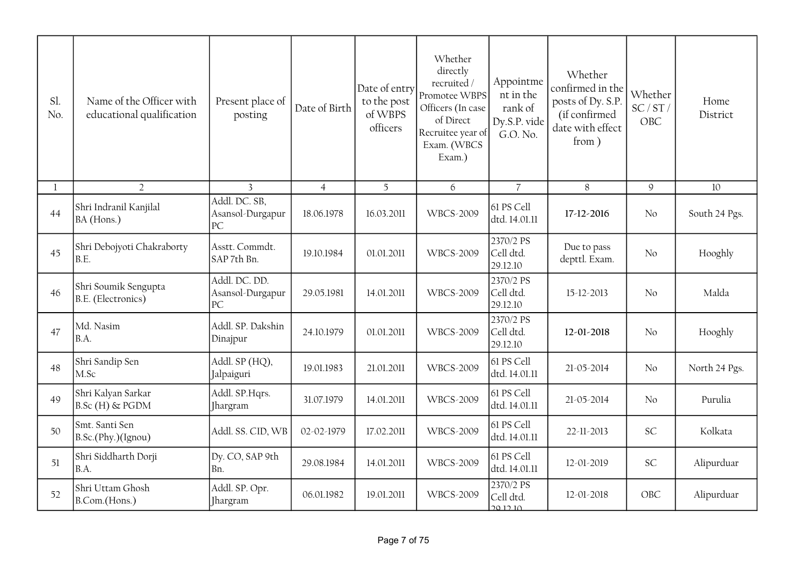| Sl.<br>No.   | Name of the Officer with<br>educational qualification | Present place of<br>posting             | Date of Birth  | Date of entry<br>to the post<br>of WBPS<br>officers | Whether<br>directly<br>recruited/<br>Promotee WBPS<br>Officers (In case<br>of Direct<br>Recruitee year of<br>Exam. (WBCS<br>Exam.) | Appointme<br>nt in the<br>rank of<br>Dy.S.P. vide<br>G.O. No. | Whether<br>confirmed in the<br>posts of Dy. S.P.<br>(if confirmed<br>date with effect<br>from) | Whether<br>SC/ST/<br>OBC | Home<br>District |
|--------------|-------------------------------------------------------|-----------------------------------------|----------------|-----------------------------------------------------|------------------------------------------------------------------------------------------------------------------------------------|---------------------------------------------------------------|------------------------------------------------------------------------------------------------|--------------------------|------------------|
| $\mathbf{1}$ | $\overline{2}$                                        | $\overline{3}$                          | $\overline{4}$ | 5                                                   | 6                                                                                                                                  | $\overline{7}$                                                | 8                                                                                              | $\mathcal{G}$            | 10               |
| 44           | Shri Indranil Kanjilal<br>BA (Hons.)                  | Addl. DC. SB,<br>Asansol-Durgapur<br>PC | 18.06.1978     | 16.03.2011                                          | <b>WBCS-2009</b>                                                                                                                   | 61 PS Cell<br>dtd. 14.01.11                                   | 17-12-2016                                                                                     | No                       | South 24 Pgs.    |
| 45           | Shri Debojyoti Chakraborty<br>B.E.                    | Asstt. Commdt.<br>SAP 7th Bn.           | 19.10.1984     | 01.01.2011                                          | <b>WBCS-2009</b>                                                                                                                   | 2370/2 PS<br>Cell dtd.<br>29.12.10                            | Due to pass<br>depttl. Exam.                                                                   | No                       | Hooghly          |
| 46           | Shri Soumik Sengupta<br>B.E. (Electronics)            | Addl. DC. DD.<br>Asansol-Durgapur<br>PC | 29.05.1981     | 14.01.2011                                          | <b>WBCS-2009</b>                                                                                                                   | 2370/2 PS<br>Cell dtd.<br>29.12.10                            | 15-12-2013                                                                                     | No                       | Malda            |
| 47           | Md. Nasim<br>B.A.                                     | Addl. SP. Dakshin<br>Dinajpur           | 24.10.1979     | 01.01.2011                                          | <b>WBCS-2009</b>                                                                                                                   | 2370/2 PS<br>Cell dtd.<br>29.12.10                            | 12-01-2018                                                                                     | No                       | Hooghly          |
| 48           | Shri Sandip Sen<br>M.Sc                               | Addl. SP (HQ),<br>Jalpaiguri            | 19.01.1983     | 21.01.2011                                          | <b>WBCS-2009</b>                                                                                                                   | 61 PS Cell<br>dtd. 14.01.11                                   | 21-05-2014                                                                                     | No                       | North 24 Pgs.    |
| 49           | Shri Kalyan Sarkar<br>B.Sc (H) & PGDM                 | Addl. SP.Hqrs.<br><b>Jhargram</b>       | 31.07.1979     | 14.01.2011                                          | <b>WBCS-2009</b>                                                                                                                   | 61 PS Cell<br>dtd. 14.01.11                                   | 21-05-2014                                                                                     | No                       | Purulia          |
| 50           | Smt. Santi Sen<br>B.Sc.(Phy.)(Ignou)                  | Addl. SS. CID, WB                       | 02-02-1979     | 17.02.2011                                          | <b>WBCS-2009</b>                                                                                                                   | 61 PS Cell<br>dtd. 14.01.11                                   | 22-11-2013                                                                                     | <b>SC</b>                | Kolkata          |
| 51           | Shri Siddharth Dorji<br>B.A.                          | Dy. CO, SAP 9th<br>Bn.                  | 29.08.1984     | 14.01.2011                                          | <b>WBCS-2009</b>                                                                                                                   | 61 PS Cell<br>dtd. 14.01.11                                   | 12-01-2019                                                                                     | <b>SC</b>                | Alipurduar       |
| 52           | Shri Uttam Ghosh<br>B.Com.(Hons.)                     | Addl. SP. Opr.<br>Jhargram              | 06.01.1982     | 19.01.2011                                          | <b>WBCS-2009</b>                                                                                                                   | 2370/2 PS<br>Cell dtd.<br><u>2012.10</u>                      | 12-01-2018                                                                                     | OBC                      | Alipurduar       |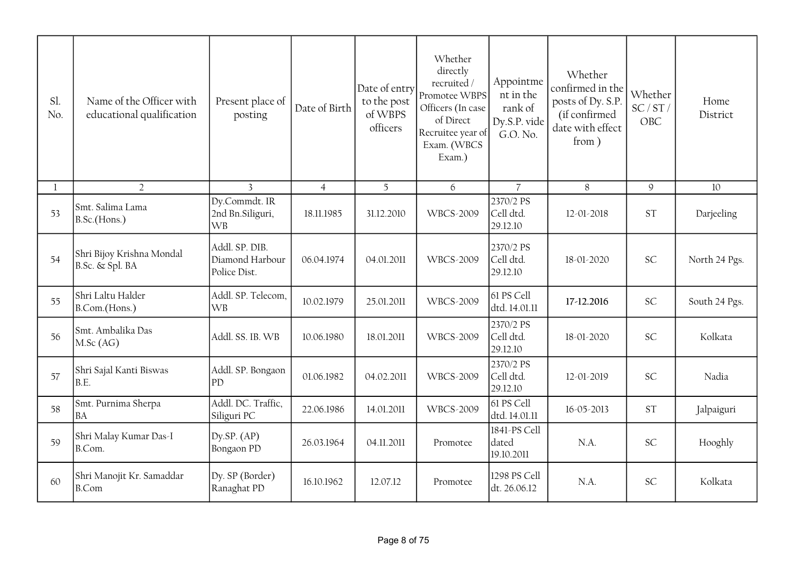| Sl.<br>No.   | Name of the Officer with<br>educational qualification | Present place of<br>posting                       | Date of Birth  | Date of entry<br>to the post<br>of WBPS<br>officers | Whether<br>directly<br>recruited/<br>Promotee WBPS<br>Officers (In case<br>of Direct<br>Recruitee year of<br>Exam. (WBCS<br>Exam.) | Appointme<br>nt in the<br>rank of<br>Dy.S.P. vide<br>G.O. No. | Whether<br>confirmed in the<br>posts of Dy. S.P.<br>(if confirmed<br>date with effect<br>from) | Whether<br>SC/ST/<br>OBC | Home<br>District |
|--------------|-------------------------------------------------------|---------------------------------------------------|----------------|-----------------------------------------------------|------------------------------------------------------------------------------------------------------------------------------------|---------------------------------------------------------------|------------------------------------------------------------------------------------------------|--------------------------|------------------|
| $\mathbf{1}$ | $\overline{2}$                                        | $\overline{3}$                                    | $\overline{4}$ | 5                                                   | 6                                                                                                                                  | $\overline{7}$                                                | 8                                                                                              | 9                        | 10               |
| 53           | Smt. Salima Lama<br>B.Sc.(Hons.)                      | Dy.Commdt. IR<br>2nd Bn.Siliguri,<br><b>WB</b>    | 18.11.1985     | 31.12.2010                                          | <b>WBCS-2009</b>                                                                                                                   | 2370/2 PS<br>Cell dtd.<br>29.12.10                            | 12-01-2018                                                                                     | <b>ST</b>                | Darjeeling       |
| 54           | Shri Bijoy Krishna Mondal<br>B.Sc. & Spl. BA          | Addl. SP. DIB.<br>Diamond Harbour<br>Police Dist. | 06.04.1974     | 04.01.2011                                          | <b>WBCS-2009</b>                                                                                                                   | 2370/2 PS<br>Cell dtd.<br>29.12.10                            | 18-01-2020                                                                                     | <b>SC</b>                | North 24 Pgs.    |
| 55           | Shri Laltu Halder<br>B.Com.(Hons.)                    | Addl. SP. Telecom,<br><b>WB</b>                   | 10.02.1979     | 25.01.2011                                          | <b>WBCS-2009</b>                                                                                                                   | 61 PS Cell<br>dtd. 14.01.11                                   | 17-12.2016                                                                                     | <b>SC</b>                | South 24 Pgs.    |
| 56           | Smt. Ambalika Das<br>M.Sc(AG)                         | Addl. SS. IB. WB                                  | 10.06.1980     | 18.01.2011                                          | <b>WBCS-2009</b>                                                                                                                   | 2370/2 PS<br>Cell dtd.<br>29.12.10                            | 18-01-2020                                                                                     | <b>SC</b>                | Kolkata          |
| 57           | Shri Sajal Kanti Biswas<br>B.E.                       | Addl. SP. Bongaon<br>PD                           | 01.06.1982     | 04.02.2011                                          | <b>WBCS-2009</b>                                                                                                                   | 2370/2 PS<br>Cell dtd.<br>29.12.10                            | 12-01-2019                                                                                     | <b>SC</b>                | Nadia            |
| 58           | Smt. Purnima Sherpa<br><b>BA</b>                      | Addl. DC. Traffic,<br>Siliguri PC                 | 22.06.1986     | 14.01.2011                                          | <b>WBCS-2009</b>                                                                                                                   | 61 PS Cell<br>dtd. 14.01.11                                   | 16-05-2013                                                                                     | <b>ST</b>                | Jalpaiguri       |
| 59           | Shri Malay Kumar Das-I<br>B.Com.                      | Dy.SP. $(AP)$<br>Bongaon PD                       | 26.03.1964     | 04.11.2011                                          | Promotee                                                                                                                           | 1841-PS Cell<br>dated<br>19.10.2011                           | N.A.                                                                                           | <b>SC</b>                | Hooghly          |
| 60           | Shri Manojit Kr. Samaddar<br><b>B.Com</b>             | Dy. SP (Border)<br>Ranaghat PD                    | 16.10.1962     | 12.07.12                                            | Promotee                                                                                                                           | 1298 PS Cell<br>dt. 26.06.12                                  | N.A.                                                                                           | <b>SC</b>                | Kolkata          |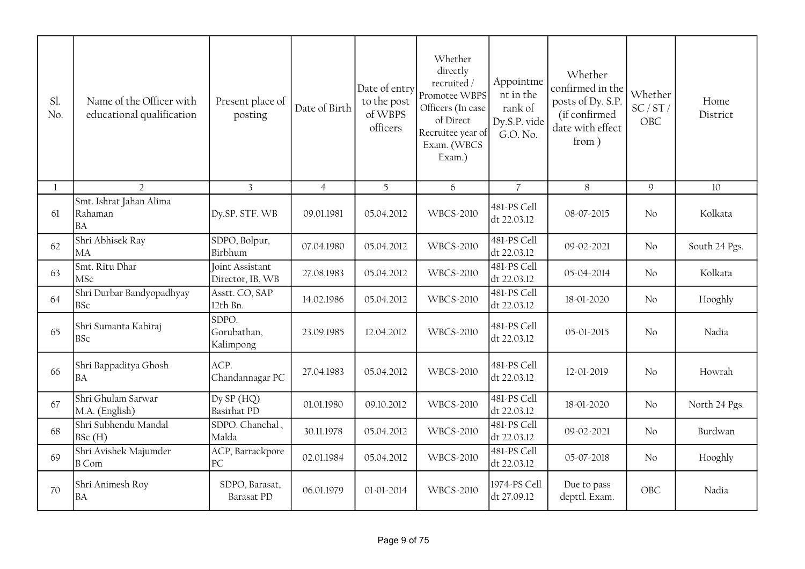| Sl.<br>No.   | Name of the Officer with<br>educational qualification | Present place of<br>posting                | Date of Birth  | Date of entry<br>to the post<br>of WBPS<br>officers | Whether<br>directly<br>recruited /<br>Promotee WBPS<br>Officers (In case<br>of Direct<br>Recruitee year of<br>Exam. (WBCS<br>Exam.) | Appointme<br>nt in the<br>rank of<br>Dy.S.P. vide<br>G.O. No. | Whether<br>confirmed in the<br>posts of Dy. S.P.<br>(if confirmed<br>date with effect<br>from) | Whether<br>SC/ST/<br>OBC | Home<br>District |
|--------------|-------------------------------------------------------|--------------------------------------------|----------------|-----------------------------------------------------|-------------------------------------------------------------------------------------------------------------------------------------|---------------------------------------------------------------|------------------------------------------------------------------------------------------------|--------------------------|------------------|
| $\mathbf{1}$ | $\overline{2}$                                        | $\overline{3}$                             | $\overline{4}$ | 5                                                   | 6                                                                                                                                   | $\overline{7}$                                                | 8                                                                                              | 9                        | 10               |
| 61           | Smt. Ishrat Jahan Alima<br>Rahaman<br><b>BA</b>       | Dy.SP. STF. WB                             | 09.01.1981     | 05.04.2012                                          | <b>WBCS-2010</b>                                                                                                                    | 481-PS Cell<br>dt 22.03.12                                    | 08-07-2015                                                                                     | No                       | Kolkata          |
| 62           | Shri Abhisek Ray<br><b>MA</b>                         | SDPO, Bolpur,<br>Birbhum                   | 07.04.1980     | 05.04.2012                                          | <b>WBCS-2010</b>                                                                                                                    | 481-PS Cell<br>dt 22.03.12                                    | 09-02-2021                                                                                     | No                       | South 24 Pgs.    |
| 63           | Smt. Ritu Dhar<br><b>MSc</b>                          | <b>Joint Assistant</b><br>Director, IB, WB | 27.08.1983     | 05.04.2012                                          | <b>WBCS-2010</b>                                                                                                                    | 481-PS Cell<br>dt 22.03.12                                    | 05-04-2014                                                                                     | No                       | Kolkata          |
| 64           | Shri Durbar Bandyopadhyay<br><b>BSc</b>               | Asstt. CO, SAP<br>12th Bn.                 | 14.02.1986     | 05.04.2012                                          | <b>WBCS-2010</b>                                                                                                                    | 481-PS Cell<br>dt 22.03.12                                    | 18-01-2020                                                                                     | N <sub>0</sub>           | Hooghly          |
| 65           | Shri Sumanta Kabiraj<br><b>BSc</b>                    | SDPO.<br>Gorubathan,<br>Kalimpong          | 23.09.1985     | 12.04.2012                                          | <b>WBCS-2010</b>                                                                                                                    | 481-PS Cell<br>dt 22.03.12                                    | 05-01-2015                                                                                     | No                       | Nadia            |
| 66           | Shri Bappaditya Ghosh<br><b>BA</b>                    | ACP.<br>Chandannagar PC                    | 27.04.1983     | 05.04.2012                                          | <b>WBCS-2010</b>                                                                                                                    | 481-PS Cell<br>dt 22.03.12                                    | 12-01-2019                                                                                     | No                       | Howrah           |
| 67           | Shri Ghulam Sarwar<br>M.A. (English)                  | Dy SP (HQ)<br><b>Basirhat PD</b>           | 01.01.1980     | 09.10.2012                                          | <b>WBCS-2010</b>                                                                                                                    | 481-PS Cell<br>dt 22.03.12                                    | 18-01-2020                                                                                     | No                       | North 24 Pgs.    |
| 68           | Shri Subhendu Mandal<br>BSc(H)                        | SDPO. Chanchal,<br>Malda                   | 30.11.1978     | 05.04.2012                                          | <b>WBCS-2010</b>                                                                                                                    | 481-PS Cell<br>dt 22.03.12                                    | 09-02-2021                                                                                     | No                       | Burdwan          |
| 69           | Shri Avishek Majumder<br><b>B</b> Com                 | ACP, Barrackpore<br> PC                    | 02.01.1984     | 05.04.2012                                          | <b>WBCS-2010</b>                                                                                                                    | 481-PS Cell<br>dt 22.03.12                                    | 05-07-2018                                                                                     | No                       | Hooghly          |
| 70           | Shri Animesh Roy<br><b>BA</b>                         | SDPO, Barasat,<br><b>Barasat PD</b>        | 06.01.1979     | 01-01-2014                                          | <b>WBCS-2010</b>                                                                                                                    | 1974-PS Cell<br>dt 27.09.12                                   | Due to pass<br>depttl. Exam.                                                                   | OBC                      | Nadia            |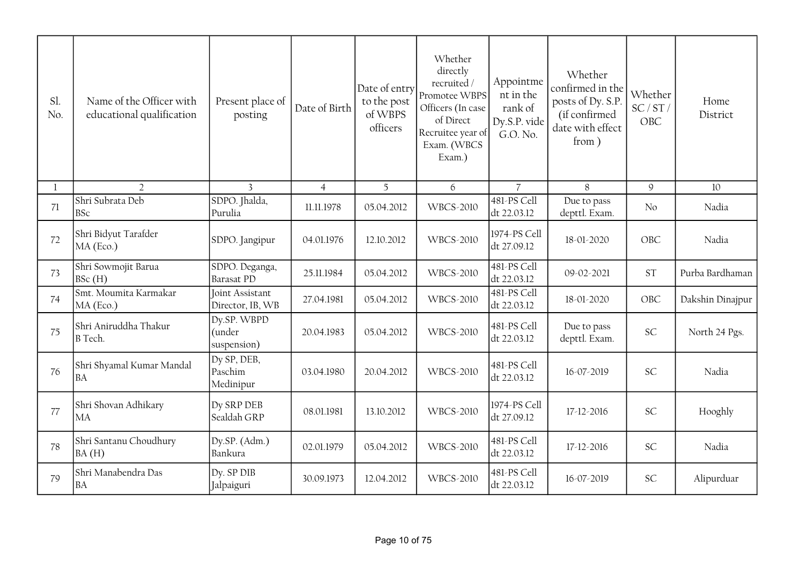| Sl.<br>No.   | Name of the Officer with<br>educational qualification | Present place of<br>posting          | Date of Birth  | Date of entry<br>to the post<br>of WBPS<br>officers | Whether<br>directly<br>recruited/<br>Promotee WBPS<br>Officers (In case<br>of Direct<br>Recruitee year of<br>Exam. (WBCS<br>Exam.) | Appointme<br>nt in the<br>rank of<br>Dy.S.P. vide<br>G.O. No. | Whether<br>confirmed in the<br>posts of Dy. S.P.<br>(if confirmed<br>date with effect<br>from) | Whether<br>SC/ST/<br>OBC | Home<br>District |
|--------------|-------------------------------------------------------|--------------------------------------|----------------|-----------------------------------------------------|------------------------------------------------------------------------------------------------------------------------------------|---------------------------------------------------------------|------------------------------------------------------------------------------------------------|--------------------------|------------------|
| $\mathbf{1}$ | $\overline{2}$                                        | $\overline{3}$                       | $\overline{4}$ | 5                                                   | 6                                                                                                                                  | $\overline{7}$                                                | 8                                                                                              | $\mathfrak{g}$           | 10               |
| 71           | Shri Subrata Deb<br><b>BSc</b>                        | SDPO. Jhalda,<br>Purulia             | 11.11.1978     | 05.04.2012                                          | <b>WBCS-2010</b>                                                                                                                   | 481-PS Cell<br>dt 22.03.12                                    | Due to pass<br>depttl. Exam.                                                                   | No                       | Nadia            |
| 72           | Shri Bidyut Tarafder<br>MA (Eco.)                     | SDPO. Jangipur                       | 04.01.1976     | 12.10.2012                                          | <b>WBCS-2010</b>                                                                                                                   | 1974-PS Cell<br>dt 27.09.12                                   | 18-01-2020                                                                                     | OBC                      | Nadia            |
| 73           | Shri Sowmojit Barua<br>BSc(H)                         | SDPO. Deganga,<br><b>Barasat PD</b>  | 25.11.1984     | 05.04.2012                                          | <b>WBCS-2010</b>                                                                                                                   | 481-PS Cell<br>dt 22.03.12                                    | 09-02-2021                                                                                     | <b>ST</b>                | Purba Bardhaman  |
| 74           | Smt. Moumita Karmakar<br>MA (Eco.)                    | Joint Assistant<br>Director, IB, WB  | 27.04.1981     | 05.04.2012                                          | <b>WBCS-2010</b>                                                                                                                   | 481-PS Cell<br>dt 22.03.12                                    | 18-01-2020                                                                                     | OBC                      | Dakshin Dinajpur |
| 75           | Shri Aniruddha Thakur<br><b>B</b> Tech.               | Dy.SP. WBPD<br>(under<br>suspension) | 20.04.1983     | 05.04.2012                                          | <b>WBCS-2010</b>                                                                                                                   | 481-PS Cell<br>dt 22.03.12                                    | Due to pass<br>depttl. Exam.                                                                   | <b>SC</b>                | North 24 Pgs.    |
| 76           | Shri Shyamal Kumar Mandal<br><b>BA</b>                | Dy SP, DEB,<br>Paschim<br>Medinipur  | 03.04.1980     | 20.04.2012                                          | <b>WBCS-2010</b>                                                                                                                   | 481-PS Cell<br>dt 22.03.12                                    | 16-07-2019                                                                                     | <b>SC</b>                | Nadia            |
| 77           | Shri Shovan Adhikary<br>MA                            | Dy SRP DEB<br>Sealdah GRP            | 08.01.1981     | 13.10.2012                                          | <b>WBCS-2010</b>                                                                                                                   | 1974-PS Cell<br>dt 27.09.12                                   | 17-12-2016                                                                                     | <b>SC</b>                | Hooghly          |
| 78           | Shri Santanu Choudhury<br>BA(H)                       | Dy.SP. (Adm.)<br>Bankura             | 02.01.1979     | 05.04.2012                                          | <b>WBCS-2010</b>                                                                                                                   | 481-PS Cell<br>dt 22.03.12                                    | 17-12-2016                                                                                     | <b>SC</b>                | Nadia            |
| 79           | Shri Manabendra Das<br><b>BA</b>                      | Dy. SP DIB<br>Jalpaiguri             | 30.09.1973     | 12.04.2012                                          | <b>WBCS-2010</b>                                                                                                                   | 481-PS Cell<br>dt 22.03.12                                    | 16-07-2019                                                                                     | SC                       | Alipurduar       |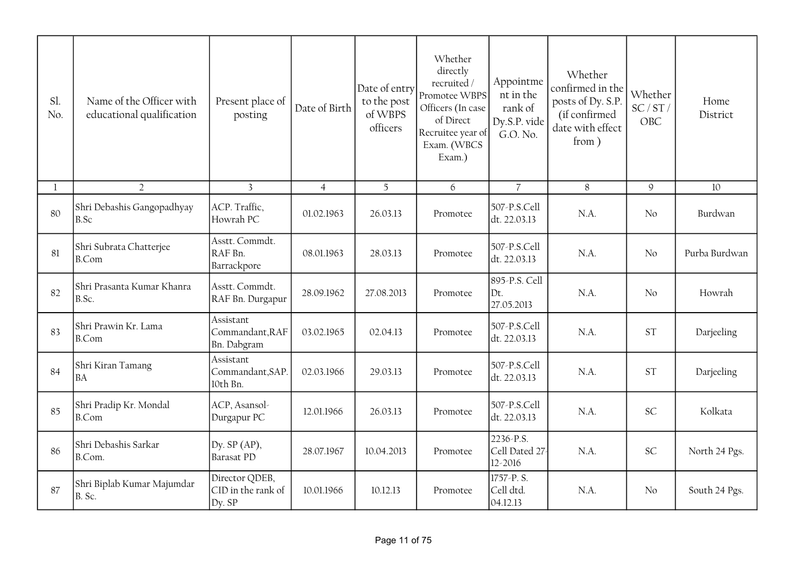| Sl.<br>No. | Name of the Officer with<br>educational qualification | Present place of<br>posting                    | Date of Birth  | Date of entry<br>to the post<br>of WBPS<br>officers | Whether<br>directly<br>recruited /<br>Promotee WBPS<br>Officers (In case<br>of Direct<br>Recruitee year of<br>Exam. (WBCS<br>Exam.) | Appointme<br>nt in the<br>rank of<br>Dy.S.P. vide<br>G.O. No. | Whether<br>confirmed in the<br>posts of Dy. S.P.<br>(if confirmed<br>date with effect<br>from) | Whether<br>SC/ST/<br>OBC | Home<br>District |
|------------|-------------------------------------------------------|------------------------------------------------|----------------|-----------------------------------------------------|-------------------------------------------------------------------------------------------------------------------------------------|---------------------------------------------------------------|------------------------------------------------------------------------------------------------|--------------------------|------------------|
| 1          | $\overline{2}$                                        | $\overline{3}$                                 | $\overline{4}$ | 5                                                   | 6                                                                                                                                   | $\overline{7}$                                                | $8\,$                                                                                          | $\mathcal{G}$            | 10               |
| 80         | Shri Debashis Gangopadhyay<br>B.Sc                    | ACP. Traffic,<br>Howrah PC                     | 01.02.1963     | 26.03.13                                            | Promotee                                                                                                                            | 507-P.S.Cell<br>dt. 22.03.13                                  | N.A.                                                                                           | No                       | Burdwan          |
| 81         | Shri Subrata Chatterjee<br><b>B.Com</b>               | Asstt. Commdt.<br>RAF Bn.<br>Barrackpore       | 08.01.1963     | 28.03.13                                            | Promotee                                                                                                                            | 507-P.S.Cell<br>dt. 22.03.13                                  | N.A.                                                                                           | No                       | Purba Burdwan    |
| 82         | Shri Prasanta Kumar Khanra<br>B.Sc.                   | Asstt. Commdt.<br>RAF Bn. Durgapur             | 28.09.1962     | 27.08.2013                                          | Promotee                                                                                                                            | 895-P.S. Cell<br>Dt.<br>27.05.2013                            | $NA$ .                                                                                         | No                       | Howrah           |
| 83         | Shri Prawin Kr. Lama<br><b>B.Com</b>                  | Assistant<br>Commandant, RAF<br>Bn. Dabgram    | 03.02.1965     | 02.04.13                                            | Promotee                                                                                                                            | 507-P.S.Cell<br>dt. 22.03.13                                  | N.A.                                                                                           | <b>ST</b>                | Darjeeling       |
| 84         | Shri Kiran Tamang<br><b>BA</b>                        | Assistant<br>Commandant, SAP.<br>10th Bn.      | 02.03.1966     | 29.03.13                                            | Promotee                                                                                                                            | 507-P.S.Cell<br>dt. 22.03.13                                  | N.A.                                                                                           | <b>ST</b>                | Darjeeling       |
| 85         | Shri Pradip Kr. Mondal<br><b>B.Com</b>                | ACP, Asansol-<br>Durgapur PC                   | 12.01.1966     | 26.03.13                                            | Promotee                                                                                                                            | 507-P.S.Cell<br>dt. 22.03.13                                  | N.A.                                                                                           | <b>SC</b>                | Kolkata          |
| 86         | Shri Debashis Sarkar<br>B.Com.                        | Dy. SP (AP),<br><b>Barasat PD</b>              | 28.07.1967     | 10.04.2013                                          | Promotee                                                                                                                            | 2236-P.S.<br>Cell Dated 27<br>12-2016                         | N.A.                                                                                           | <b>SC</b>                | North 24 Pgs.    |
| 87         | Shri Biplab Kumar Majumdar<br>B. Sc.                  | Director QDEB,<br>CID in the rank of<br>Dy. SP | 10.01.1966     | 10.12.13                                            | Promotee                                                                                                                            | $\sqrt{1757}$ -P.S.<br>Cell dtd.<br>04.12.13                  | N.A.                                                                                           | $\overline{N}$           | South 24 Pgs.    |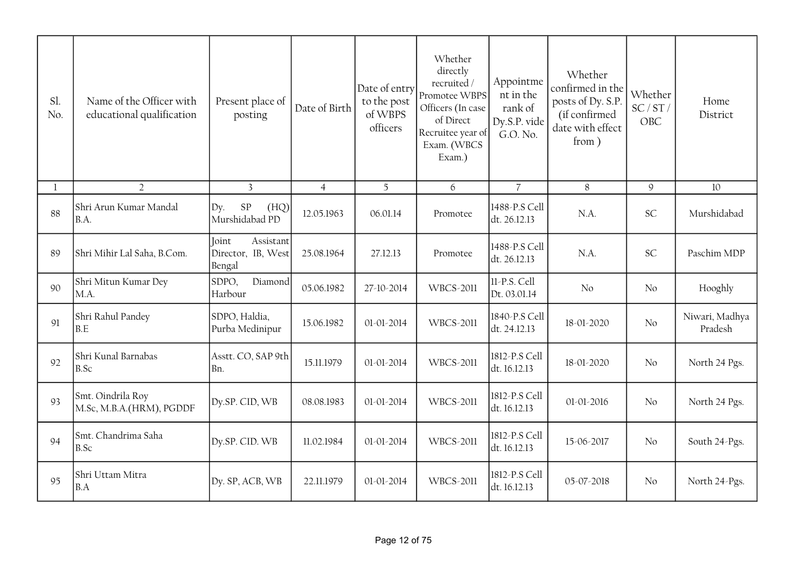| Sl.<br>No.   | Name of the Officer with<br>educational qualification | Present place of<br>posting                        | Date of Birth  | Date of entry<br>to the post<br>of WBPS<br>officers | Whether<br>directly<br>recruited /<br>Promotee WBPS<br>Officers (In case<br>of Direct<br>Recruitee year of<br>Exam. (WBCS<br>Exam.) | Appointme<br>nt in the<br>rank of<br>Dy.S.P. vide<br>G.O. No. | Whether<br>confirmed in the<br>posts of Dy. S.P.<br>(if confirmed<br>date with effect<br>from) | Whether<br>SC/ST/<br>OBC | Home<br>District          |
|--------------|-------------------------------------------------------|----------------------------------------------------|----------------|-----------------------------------------------------|-------------------------------------------------------------------------------------------------------------------------------------|---------------------------------------------------------------|------------------------------------------------------------------------------------------------|--------------------------|---------------------------|
| $\mathbf{1}$ | $\overline{2}$                                        | $\overline{3}$                                     | $\overline{4}$ | 5                                                   | 6                                                                                                                                   | $\overline{7}$                                                | 8                                                                                              | $\mathcal{Q}$            | 10                        |
| 88           | Shri Arun Kumar Mandal<br>B.A.                        | ${\rm SP}$<br>(HQ)<br>Dy.<br>Murshidabad PD        | 12.05.1963     | 06.01.14                                            | Promotee                                                                                                                            | 1488-P.S Cell<br>dt. 26.12.13                                 | N.A.                                                                                           | <b>SC</b>                | Murshidabad               |
| 89           | Shri Mihir Lal Saha, B.Com.                           | Assistant<br>Joint<br>Director, IB, West<br>Bengal | 25.08.1964     | 27.12.13                                            | Promotee                                                                                                                            | 1488-P.S Cell<br>dt. 26.12.13                                 | N.A.                                                                                           | <b>SC</b>                | Paschim MDP               |
| 90           | Shri Mitun Kumar Dey<br>M.A.                          | SDPO,<br>Diamond<br>Harbour                        | 05.06.1982     | 27-10-2014                                          | <b>WBCS-2011</b>                                                                                                                    | 11-P.S. Cell<br>Dt. 03.01.14                                  | No                                                                                             | No                       | Hooghly                   |
| 91           | Shri Rahul Pandey<br>B.E                              | SDPO, Haldia,<br>Purba Medinipur                   | 15.06.1982     | 01-01-2014                                          | <b>WBCS-2011</b>                                                                                                                    | 1840-P.S Cell<br>dt. 24.12.13                                 | 18-01-2020                                                                                     | No                       | Niwari, Madhya<br>Pradesh |
| 92           | Shri Kunal Barnabas<br>B.Sc                           | Asstt. CO, SAP 9th<br>Bn.                          | 15.11.1979     | 01-01-2014                                          | <b>WBCS-2011</b>                                                                                                                    | 1812-P.S Cell<br>dt. 16.12.13                                 | 18-01-2020                                                                                     | No                       | North 24 Pgs.             |
| 93           | Smt. Oindrila Roy<br>M.Sc, M.B.A.(HRM), PGDDF         | Dy.SP. CID, WB                                     | 08.08.1983     | $01 - 01 - 2014$                                    | <b>WBCS-2011</b>                                                                                                                    | 1812-P.S Cell<br>dt. 16.12.13                                 | 01-01-2016                                                                                     | No                       | North 24 Pgs.             |
| 94           | Smt. Chandrima Saha<br>B.Sc                           | Dy.SP. CID. WB                                     | 11.02.1984     | 01-01-2014                                          | <b>WBCS-2011</b>                                                                                                                    | 1812-P.S Cell<br>dt. 16.12.13                                 | 15-06-2017                                                                                     | No                       | South 24-Pgs.             |
| 95           | Shri Uttam Mitra<br>B.A                               | Dy. SP, ACB, WB                                    | 22.11.1979     | 01-01-2014                                          | <b>WBCS-2011</b>                                                                                                                    | 1812-P.S Cell<br>dt. 16.12.13                                 | 05-07-2018                                                                                     | No                       | North 24-Pgs.             |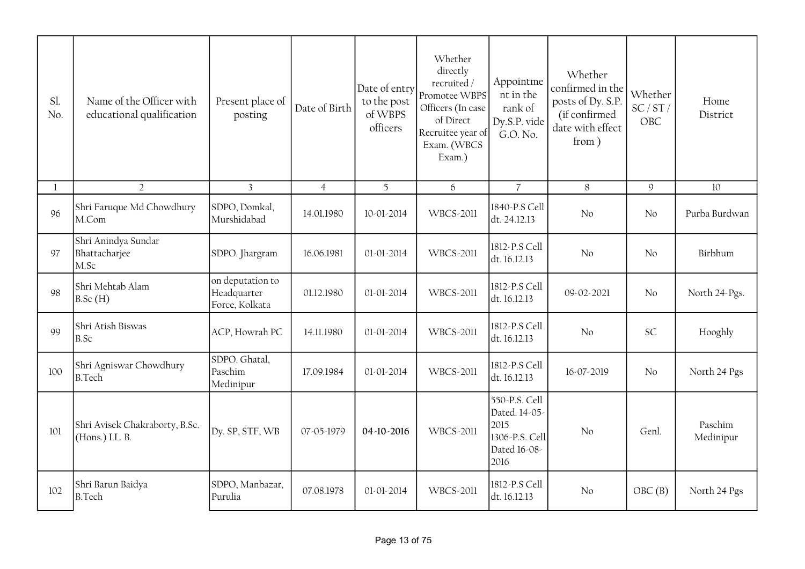| Sl.<br>No. | Name of the Officer with<br>educational qualification | Present place of<br>posting                       | Date of Birth  | Date of entry<br>to the post<br>of WBPS<br>officers | Whether<br>directly<br>recruited/<br>Promotee WBPS<br>Officers (In case<br>of Direct<br>Recruitee year of<br>Exam. (WBCS<br>Exam.) | Appointme<br>nt in the<br>rank of<br>Dy.S.P. vide<br>G.O. No.                    | Whether<br>confirmed in the<br>posts of Dy. S.P.<br>(if confirmed<br>date with effect<br>from) | Whether<br>SC/ST/<br>OBC | Home<br>District     |
|------------|-------------------------------------------------------|---------------------------------------------------|----------------|-----------------------------------------------------|------------------------------------------------------------------------------------------------------------------------------------|----------------------------------------------------------------------------------|------------------------------------------------------------------------------------------------|--------------------------|----------------------|
| 1          | $\overline{2}$                                        | $\overline{3}$                                    | $\overline{4}$ | 5                                                   | 6                                                                                                                                  | $\overline{7}$                                                                   | 8                                                                                              | $\mathcal{Q}$            | 10                   |
| 96         | Shri Faruque Md Chowdhury<br>M.Com                    | SDPO, Domkal,<br>Murshidabad                      | 14.01.1980     | 10-01-2014                                          | <b>WBCS-2011</b>                                                                                                                   | 1840-P.S Cell<br>dt. 24.12.13                                                    | N <sub>o</sub>                                                                                 | No                       | Purba Burdwan        |
| 97         | Shri Anindya Sundar<br>Bhattacharjee<br>M.Sc          | SDPO. Jhargram                                    | 16.06.1981     | 01-01-2014                                          | <b>WBCS-2011</b>                                                                                                                   | 1812-P.S Cell<br>dt. 16.12.13                                                    | No                                                                                             | No                       | Birbhum              |
| 98         | Shri Mehtab Alam<br>B.Sc(H)                           | on deputation to<br>Headquarter<br>Force, Kolkata | 01.12.1980     | $01 - 01 - 2014$                                    | <b>WBCS-2011</b>                                                                                                                   | 1812-P.S Cell<br>dt. 16.12.13                                                    | 09-02-2021                                                                                     | No                       | North 24-Pgs.        |
| 99         | Shri Atish Biswas<br>B.Sc                             | ACP, Howrah PC                                    | 14.11.1980     | 01-01-2014                                          | <b>WBCS-2011</b>                                                                                                                   | 1812-P.S Cell<br>dt. 16.12.13                                                    | No                                                                                             | <b>SC</b>                | Hooghly              |
| 100        | Shri Agniswar Chowdhury<br><b>B.Tech</b>              | SDPO. Ghatal,<br>Paschim<br>Medinipur             | 17.09.1984     | 01-01-2014                                          | <b>WBCS-2011</b>                                                                                                                   | 1812-P.S Cell<br>dt. 16.12.13                                                    | 16-07-2019                                                                                     | N <sub>o</sub>           | North 24 Pgs         |
| 101        | Shri Avisek Chakraborty, B.Sc.<br>(Hons.) LL. B.      | Dy. SP, STF, WB                                   | 07-05-1979     | 04-10-2016                                          | <b>WBCS-2011</b>                                                                                                                   | 550-P.S. Cell<br>Dated. 14-05-<br>2015<br>1306-P.S. Cell<br>Dated 16-08-<br>2016 | No                                                                                             | Genl.                    | Paschim<br>Medinipur |
| 102        | Shri Barun Baidya<br><b>B.Tech</b>                    | SDPO, Manbazar,<br>Purulia                        | 07.08.1978     | 01-01-2014                                          | <b>WBCS-2011</b>                                                                                                                   | 1812-P.S Cell<br>dt. 16.12.13                                                    | No                                                                                             | OBC(B)                   | North 24 Pgs         |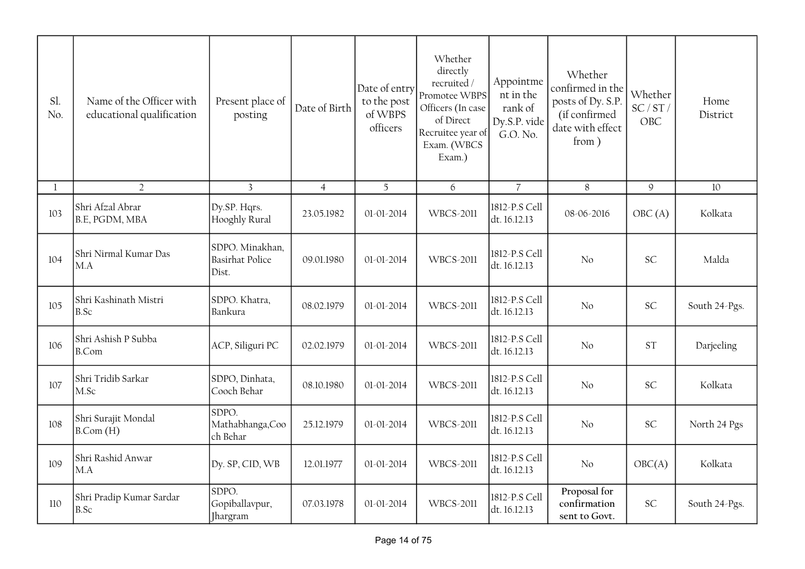| Sl.<br>No.   | Name of the Officer with<br>educational qualification | Present place of<br>posting                        | Date of Birth  | Date of entry<br>to the post<br>of WBPS<br>officers | Whether<br>directly<br>recruited /<br>Promotee WBPS<br>Officers (In case<br>of Direct<br>Recruitee year of<br>Exam. (WBCS<br>Exam.) | Appointme<br>nt in the<br>rank of<br>Dy.S.P. vide<br>G.O. No. | Whether<br>confirmed in the<br>posts of Dy. S.P.<br>(if confirmed<br>date with effect<br>from ) | Whether<br>SC/ST/<br>OBC | Home<br>District |
|--------------|-------------------------------------------------------|----------------------------------------------------|----------------|-----------------------------------------------------|-------------------------------------------------------------------------------------------------------------------------------------|---------------------------------------------------------------|-------------------------------------------------------------------------------------------------|--------------------------|------------------|
| $\mathbf{l}$ | $\overline{2}$                                        | $\overline{3}$                                     | $\overline{4}$ | 5                                                   | 6                                                                                                                                   | $\overline{7}$                                                | $8\,$                                                                                           | $\mathsf{9}$             | 10               |
| 103          | Shri Afzal Abrar<br>B.E, PGDM, MBA                    | Dy.SP. Hqrs.<br>Hooghly Rural                      | 23.05.1982     | 01-01-2014                                          | <b>WBCS-2011</b>                                                                                                                    | 1812-P.S Cell<br>dt. 16.12.13                                 | 08-06-2016                                                                                      | OBC(A)                   | Kolkata          |
| 104          | Shri Nirmal Kumar Das<br>MA                           | SDPO. Minakhan,<br><b>Basirhat Police</b><br>Dist. | 09.01.1980     | 01-01-2014                                          | <b>WBCS-2011</b>                                                                                                                    | 1812-P.S Cell<br>dt. 16.12.13                                 | No                                                                                              | <b>SC</b>                | Malda            |
| 105          | Shri Kashinath Mistri<br>B.Sc                         | SDPO. Khatra,<br>Bankura                           | 08.02.1979     | 01-01-2014                                          | <b>WBCS-2011</b>                                                                                                                    | 1812-P.S Cell<br>dt. 16.12.13                                 | No                                                                                              | <b>SC</b>                | South 24-Pgs.    |
| 106          | Shri Ashish P Subba<br><b>B.Com</b>                   | ACP, Siliguri PC                                   | 02.02.1979     | 01-01-2014                                          | <b>WBCS-2011</b>                                                                                                                    | 1812-P.S Cell<br>dt. 16.12.13                                 | No                                                                                              | <b>ST</b>                | Darjeeling       |
| 107          | Shri Tridib Sarkar<br>M.Sc                            | SDPO, Dinhata,<br>Cooch Behar                      | 08.10.1980     | 01-01-2014                                          | <b>WBCS-2011</b>                                                                                                                    | 1812-P.S Cell<br>dt. 16.12.13                                 | No                                                                                              | <b>SC</b>                | Kolkata          |
| 108          | Shri Surajit Mondal<br>$B$ .Com $(H)$                 | SDPO.<br>Mathabhanga, Coo<br>ch Behar              | 25.12.1979     | 01-01-2014                                          | <b>WBCS-2011</b>                                                                                                                    | 1812-P.S Cell<br>dt. 16.12.13                                 | N <sub>o</sub>                                                                                  | <b>SC</b>                | North 24 Pgs     |
| 109          | Shri Rashid Anwar<br>M.A                              | Dy. SP, CID, WB                                    | 12.01.1977     | 01-01-2014                                          | <b>WBCS-2011</b>                                                                                                                    | 1812-P.S Cell<br>dt. 16.12.13                                 | No                                                                                              | OBC(A)                   | Kolkata          |
| 110          | Shri Pradip Kumar Sardar<br>B.Sc                      | SDPO.<br>Gopiballavpur,<br>Jhargram                | 07.03.1978     | $01 - 01 - 2014$                                    | <b>WBCS-2011</b>                                                                                                                    | 1812-P.S Cell<br>dt. 16.12.13                                 | Proposal for<br>confirmation<br>sent to Govt.                                                   | <b>SC</b>                | South 24-Pgs.    |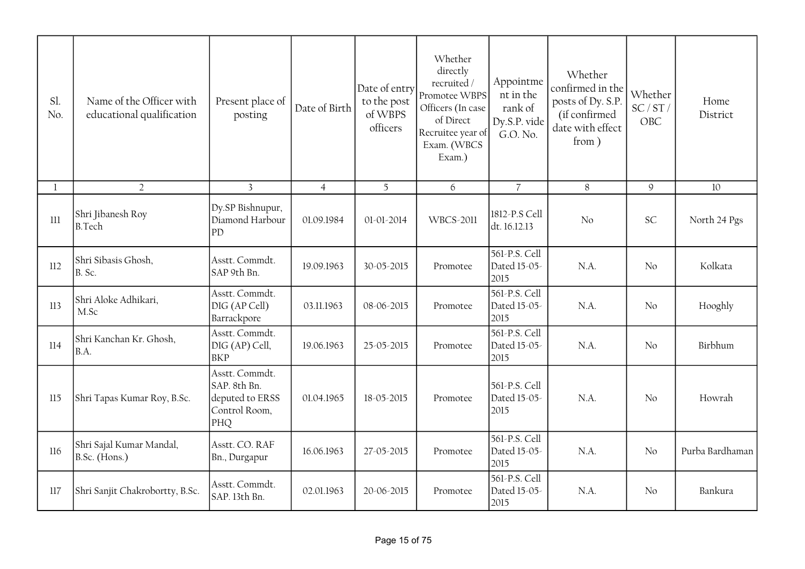| Sl.<br>No. | Name of the Officer with<br>educational qualification | Present place of<br>posting                                               | Date of Birth  | Date of entry<br>to the post<br>of WBPS<br>officers | Whether<br>directly<br>recruited/<br>Promotee WBPS<br>Officers (In case<br>of Direct<br>Recruitee year of<br>Exam. (WBCS<br>Exam.) | Appointme<br>nt in the<br>rank of<br>Dy.S.P. vide<br>G.O. No. | Whether<br>confirmed in the<br>posts of Dy. S.P.<br>(if confirmed<br>date with effect<br>from) | Whether<br>SC/ST/<br>OBC | Home<br>District |
|------------|-------------------------------------------------------|---------------------------------------------------------------------------|----------------|-----------------------------------------------------|------------------------------------------------------------------------------------------------------------------------------------|---------------------------------------------------------------|------------------------------------------------------------------------------------------------|--------------------------|------------------|
| 1          | $\overline{2}$                                        | $\overline{3}$                                                            | $\overline{4}$ | 5                                                   | 6                                                                                                                                  | $\overline{7}$                                                | 8                                                                                              | 9                        | 10               |
| $111\,$    | Shri Jibanesh Roy<br><b>B.Tech</b>                    | Dy.SP Bishnupur,<br>Diamond Harbour<br>PD                                 | 01.09.1984     | 01-01-2014                                          | <b>WBCS-2011</b>                                                                                                                   | 1812-P.S Cell<br>dt. 16.12.13                                 | No                                                                                             | <b>SC</b>                | North 24 Pgs     |
| 112        | Shri Sibasis Ghosh,<br>B. Sc.                         | Asstt. Commdt.<br>SAP 9th Bn.                                             | 19.09.1963     | 30-05-2015                                          | Promotee                                                                                                                           | 561-P.S. Cell<br>Dated 15-05-<br>2015                         | N.A.                                                                                           | No                       | Kolkata          |
| 113        | Shri Aloke Adhikari,<br>M.Sc                          | Asstt. Commdt.<br>DIG (AP Cell)<br>Barrackpore                            | 03.11.1963     | 08-06-2015                                          | Promotee                                                                                                                           | 561-P.S. Cell<br>Dated 15-05-<br>2015                         | $NA$ .                                                                                         | No                       | Hooghly          |
| 114        | Shri Kanchan Kr. Ghosh,<br>B.A.                       | Asstt. Commdt.<br>DIG (AP) Cell,<br><b>BKP</b>                            | 19.06.1963     | 25-05-2015                                          | Promotee                                                                                                                           | 561-P.S. Cell<br>Dated 15-05-<br>2015                         | N.A.                                                                                           | No                       | Birbhum          |
| 115        | Shri Tapas Kumar Roy, B.Sc.                           | Asstt. Commdt.<br>SAP. 8th Bn.<br>deputed to ERSS<br>Control Room,<br>PHQ | 01.04.1965     | 18-05-2015                                          | Promotee                                                                                                                           | 561-P.S. Cell<br>Dated 15-05-<br>2015                         | N.A.                                                                                           | No                       | Howrah           |
| 116        | Shri Sajal Kumar Mandal,<br>B.Sc. (Hons.)             | Asstt. CO. RAF<br>Bn., Durgapur                                           | 16.06.1963     | 27-05-2015                                          | Promotee                                                                                                                           | 561-P.S. Cell<br>Dated 15-05-<br>2015                         | N.A.                                                                                           | No                       | Purba Bardhaman  |
| 117        | Shri Sanjit Chakrobortty, B.Sc.                       | Asstt. Commdt.<br>SAP. 13th Bn.                                           | 02.01.1963     | 20-06-2015                                          | Promotee                                                                                                                           | 561-P.S. Cell<br>Dated 15-05-<br>2015                         | N.A.                                                                                           | $\overline{N}$           | Bankura          |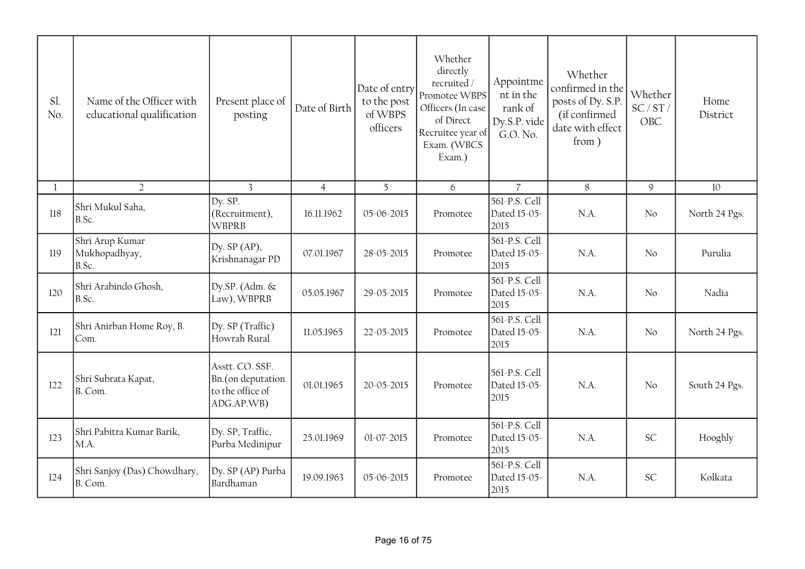| Sl.<br>No. | Name of the Officer with<br>educational qualification | Present place of<br>posting                                            | Date of Birth  | Date of entry<br>to the post<br>of WBPS<br>officers | Whether<br>directly<br>recruited /<br>Promotee WBPS<br>Officers (In case<br>of Direct<br>Recruitee year of<br>Exam. (WBCS<br>Exam.) | Appointme<br>nt in the<br>rank of<br>Dy.S.P. vide<br>G.O. No. | Whether<br>confirmed in the<br>posts of Dy. S.P.<br>(if confirmed<br>date with effect<br>from) | Whether<br>SC/ST/<br>OBC | Home<br>District |
|------------|-------------------------------------------------------|------------------------------------------------------------------------|----------------|-----------------------------------------------------|-------------------------------------------------------------------------------------------------------------------------------------|---------------------------------------------------------------|------------------------------------------------------------------------------------------------|--------------------------|------------------|
| -1         | $\overline{2}$                                        | $\overline{3}$                                                         | $\overline{4}$ | 5                                                   | 6                                                                                                                                   | $\overline{7}$                                                | 8                                                                                              | $\mathcal{G}$            | 10               |
| 118        | Shri Mukul Saha,<br>B.Sc.                             | Dy. SP.<br>(Recruitment),<br><b>WBPRB</b>                              | 16.11.1962     | 05-06-2015                                          | Promotee                                                                                                                            | 561-P.S. Cell<br>Dated 15-05-<br>2015                         | N.A.                                                                                           | No                       | North 24 Pgs.    |
| 119        | Shri Arup Kumar<br>Mukhopadhyay,<br>B.Sc.             | Dy. $SP(AP)$ ,<br>Krishnanagar PD                                      | 07.01.1967     | 28-05-2015                                          | Promotee                                                                                                                            | 561-P.S. Cell<br>Dated 15-05-<br>2015                         | N.A.                                                                                           | No                       | Purulia          |
| 120        | Shri Arabindo Ghosh,<br>B.Sc.                         | Dy.SP. (Adm. &<br>Law), WBPRB                                          | 05.05.1967     | 29-05-2015                                          | Promotee                                                                                                                            | 561-P.S. Cell<br>Dated 15-05-<br>2015                         | N.A.                                                                                           | No                       | Nadia            |
| 121        | Shri Anirban Home Roy, B.<br>Com.                     | Dy. SP (Traffic)<br>Howrah Rural                                       | 11.05.1965     | 22-05-2015                                          | Promotee                                                                                                                            | 561-P.S. Cell<br>Dated 15-05-<br>2015                         | N.A.                                                                                           | No                       | North 24 Pgs.    |
| 122        | Shri Subrata Kapat,<br>B. Com.                        | Asstt. CO. SSF.<br>Bn.(on deputation<br>to the office of<br>ADG.AP.WB) | 01.01.1965     | 20-05-2015                                          | Promotee                                                                                                                            | 561-P.S. Cell<br>Dated 15-05-<br>2015                         | N.A.                                                                                           | No                       | South 24 Pgs.    |
| 123        | Shri Pabitra Kumar Barik,<br>M.A.                     | Dy. SP, Traffic,<br>Purba Medinipur                                    | 25.01.1969     | 01-07-2015                                          | Promotee                                                                                                                            | 561-P.S. Cell<br>Dated 15-05-<br>2015                         | N.A.                                                                                           | <b>SC</b>                | Hooghly          |
| 124        | Shri Sanjoy (Das) Chowdhary,<br>B. Com.               | Dy. SP (AP) Purba<br>Bardhaman                                         | 19.09.1963     | 05-06-2015                                          | Promotee                                                                                                                            | 561-P.S. Cell<br>Dated 15-05-<br>2015                         | N.A.                                                                                           | <b>SC</b>                | Kolkata          |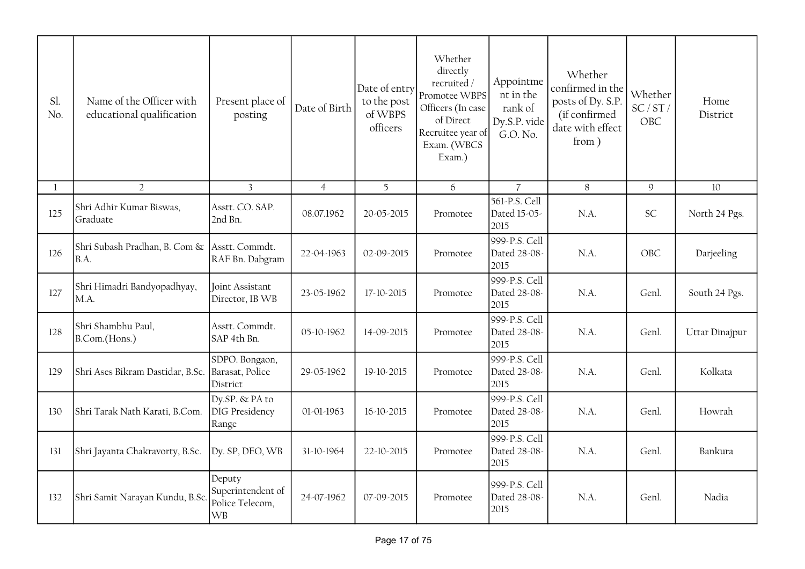| Sl.<br>No. | Name of the Officer with<br>educational qualification | Present place of<br>posting                                 | Date of Birth  | Date of entry<br>to the post<br>of WBPS<br>officers | Whether<br>directly<br>recruited /<br>Promotee WBPS<br>Officers (In case<br>of Direct<br>Recruitee year of<br>Exam. (WBCS<br>Exam.) | Appointme<br>nt in the<br>rank of<br>Dy.S.P. vide<br>G.O. No. | Whether<br>confirmed in the<br>posts of Dy. S.P.<br>(if confirmed<br>date with effect<br>from) | Whether<br>SC/ST/<br><b>OBC</b> | Home<br>District |
|------------|-------------------------------------------------------|-------------------------------------------------------------|----------------|-----------------------------------------------------|-------------------------------------------------------------------------------------------------------------------------------------|---------------------------------------------------------------|------------------------------------------------------------------------------------------------|---------------------------------|------------------|
| 1          | $\overline{2}$                                        | $\overline{3}$                                              | $\overline{4}$ | 5                                                   | 6                                                                                                                                   | $\overline{7}$                                                | $8\,$                                                                                          | $\mathsf g$                     | 10               |
| 125        | Shri Adhir Kumar Biswas,<br>Graduate                  | Asstt. CO. SAP.<br>2nd Bn.                                  | 08.07.1962     | 20-05-2015                                          | Promotee                                                                                                                            | 561-P.S. Cell<br>Dated 15-05-<br>2015                         | N.A.                                                                                           | <b>SC</b>                       | North 24 Pgs.    |
| 126        | Shri Subash Pradhan, B. Com &<br>B.A.                 | Asstt. Commdt.<br>RAF Bn. Dabgram                           | 22-04-1963     | 02-09-2015                                          | Promotee                                                                                                                            | 999-P.S. Cell<br>Dated 28-08-<br>2015                         | N.A.                                                                                           | OBC                             | Darjeeling       |
| 127        | Shri Himadri Bandyopadhyay,<br>M.A.                   | Joint Assistant<br>Director, IB WB                          | 23-05-1962     | 17-10-2015                                          | Promotee                                                                                                                            | 999-P.S. Cell<br>Dated 28-08-<br>2015                         | N.A.                                                                                           | Genl.                           | South 24 Pgs.    |
| 128        | Shri Shambhu Paul,<br>B.Com.(Hons.)                   | Asstt. Commdt.<br>SAP 4th Bn.                               | 05-10-1962     | 14-09-2015                                          | Promotee                                                                                                                            | 999-P.S. Cell<br>Dated 28-08-<br>2015                         | N.A.                                                                                           | Genl.                           | Uttar Dinajpur   |
| 129        | Shri Ases Bikram Dastidar, B.Sc.                      | SDPO. Bongaon,<br>Barasat, Police<br>District               | 29-05-1962     | 19-10-2015                                          | Promotee                                                                                                                            | 999-P.S. Cell<br>Dated 28-08-<br>2015                         | N.A.                                                                                           | Genl.                           | Kolkata          |
| 130        | Shri Tarak Nath Karati, B.Com.                        | Dy.SP. & PA to<br>DIG Presidency<br>Range                   | 01-01-1963     | 16-10-2015                                          | Promotee                                                                                                                            | 999-P.S. Cell<br>Dated 28-08-<br>2015                         | N.A.                                                                                           | Genl.                           | Howrah           |
| 131        | Shri Jayanta Chakravorty, B.Sc.                       | Dy. SP, DEO, WB                                             | 31-10-1964     | 22-10-2015                                          | Promotee                                                                                                                            | 999-P.S. Cell<br>Dated 28-08-<br>2015                         | N.A.                                                                                           | Genl.                           | Bankura          |
| 132        | Shri Samit Narayan Kundu, B.Sc.                       | Deputy<br>Superintendent of<br>Police Telecom,<br><b>WB</b> | 24-07-1962     | 07-09-2015                                          | Promotee                                                                                                                            | 999-P.S. Cell<br>Dated 28-08-<br>2015                         | $NA$ .                                                                                         | Genl.                           | Nadia            |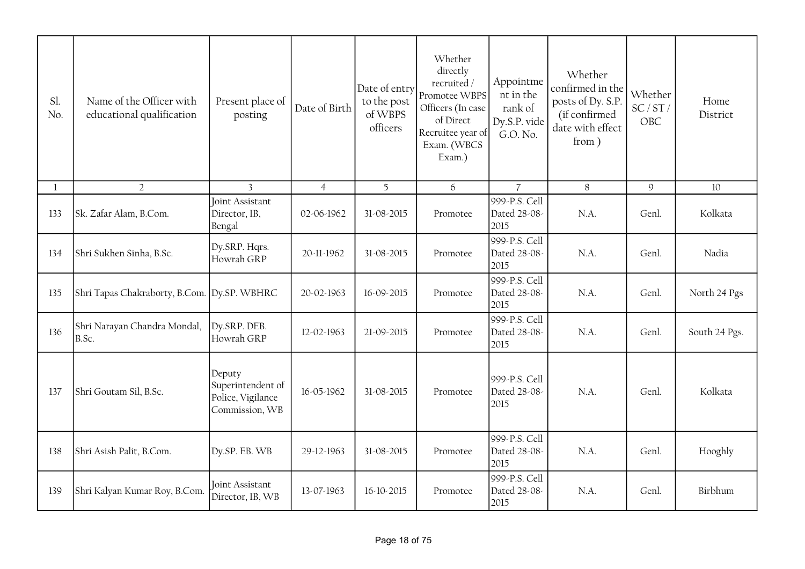| Sl.<br>No.   | Name of the Officer with<br>educational qualification | Present place of<br>posting                                        | Date of Birth  | Date of entry<br>to the post<br>of WBPS<br>officers | Whether<br>directly<br>recruited /<br>Promotee WBPS<br>Officers (In case<br>of Direct<br>Recruitee year of<br>Exam. (WBCS<br>Exam.) | Appointme<br>nt in the<br>rank of<br>Dy.S.P. vide<br>G.O. No. | Whether<br>confirmed in the<br>posts of Dy. S.P.<br>(if confirmed<br>date with effect<br>from) | Whether<br>SC/ST/<br>OBC | Home<br>District |
|--------------|-------------------------------------------------------|--------------------------------------------------------------------|----------------|-----------------------------------------------------|-------------------------------------------------------------------------------------------------------------------------------------|---------------------------------------------------------------|------------------------------------------------------------------------------------------------|--------------------------|------------------|
| $\mathbf{1}$ | $\overline{2}$                                        | $\overline{3}$                                                     | $\overline{4}$ | 5                                                   | 6                                                                                                                                   | $\overline{7}$                                                | 8                                                                                              | 9                        | 10               |
| 133          | Sk. Zafar Alam, B.Com.                                | <b>Joint Assistant</b><br>Director, IB,<br>Bengal                  | 02-06-1962     | 31-08-2015                                          | Promotee                                                                                                                            | 999-P.S. Cell<br>Dated 28-08-<br>2015                         | N.A.                                                                                           | Genl.                    | Kolkata          |
| 134          | Shri Sukhen Sinha, B.Sc.                              | Dy.SRP. Hqrs.<br>Howrah GRP                                        | 20-11-1962     | 31-08-2015                                          | Promotee                                                                                                                            | 999-P.S. Cell<br>Dated 28-08-<br>2015                         | N.A.                                                                                           | Genl.                    | Nadia            |
| 135          | Shri Tapas Chakraborty, B.Com. Dy.SP. WBHRC           |                                                                    | 20-02-1963     | 16-09-2015                                          | Promotee                                                                                                                            | 999-P.S. Cell<br>Dated 28-08-<br>2015                         | N.A.                                                                                           | Genl.                    | North 24 Pgs     |
| 136          | Shri Narayan Chandra Mondal,<br>B.Sc.                 | Dy.SRP. DEB.<br>Howrah GRP                                         | 12-02-1963     | 21-09-2015                                          | Promotee                                                                                                                            | 999-P.S. Cell<br>Dated 28-08-<br>2015                         | N.A.                                                                                           | Genl.                    | South 24 Pgs.    |
| 137          | Shri Goutam Sil, B.Sc.                                | Deputy<br>Superintendent of<br>Police, Vigilance<br>Commission, WB | 16-05-1962     | 31-08-2015                                          | Promotee                                                                                                                            | 999-P.S. Cell<br>Dated 28-08-<br>2015                         | N.A.                                                                                           | Genl.                    | Kolkata          |
| 138          | Shri Asish Palit, B.Com.                              | Dy.SP. EB. WB                                                      | 29-12-1963     | 31-08-2015                                          | Promotee                                                                                                                            | 999-P.S. Cell<br>Dated 28-08-<br>2015                         | N.A.                                                                                           | Genl.                    | Hooghly          |
| 139          | Shri Kalyan Kumar Roy, B.Com.                         | Joint Assistant<br>Director, IB, WB                                | 13-07-1963     | 16-10-2015                                          | Promotee                                                                                                                            | 999-P.S. Cell<br>Dated 28-08-<br>2015                         | N.A.                                                                                           | Genl.                    | Birbhum          |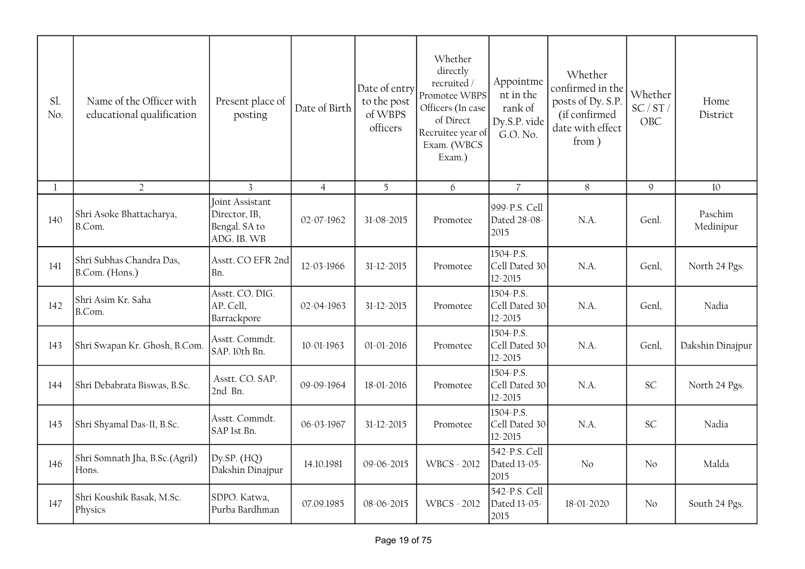| Sl.<br>No. | Name of the Officer with<br>educational qualification | Present place of<br>posting                                      | Date of Birth  | Date of entry<br>to the post<br>of WBPS<br>officers | Whether<br>directly<br>recruited /<br>Promotee WBPS<br>Officers (In case<br>of Direct<br>Recruitee year of<br>Exam. (WBCS<br>Exam.) | Appointme<br>nt in the<br>rank of<br>Dy.S.P. vide<br>G.O. No. | Whether<br>confirmed in the<br>posts of Dy. S.P.<br>(if confirmed<br>date with effect<br>from) | Whether<br>SC/ST/<br>OBC | Home<br>District     |
|------------|-------------------------------------------------------|------------------------------------------------------------------|----------------|-----------------------------------------------------|-------------------------------------------------------------------------------------------------------------------------------------|---------------------------------------------------------------|------------------------------------------------------------------------------------------------|--------------------------|----------------------|
| 1          | $\overline{2}$                                        | 3                                                                | $\overline{4}$ | 5                                                   | 6                                                                                                                                   | $\overline{7}$                                                | 8                                                                                              | $\mathsf g$              | 10                   |
| 140        | Shri Asoke Bhattacharya,<br>B.Com.                    | Joint Assistant<br>Director, IB,<br>Bengal. SA to<br>ADG. IB. WB | 02-07-1962     | 31-08-2015                                          | Promotee                                                                                                                            | 999-P.S. Cell<br>Dated 28-08-<br>2015                         | N.A.                                                                                           | Genl.                    | Paschim<br>Medinipur |
| 141        | Shri Subhas Chandra Das,<br>B.Com. (Hons.)            | Asstt. CO EFR 2nd<br>Bn.                                         | 12-03-1966     | 31-12-2015                                          | Promotee                                                                                                                            | 1504-P.S.<br>Cell Dated 30<br>12-2015                         | N.A.                                                                                           | Genl,                    | North 24 Pgs.        |
| 142        | Shri Asim Kr. Saha<br>B.Com.                          | Asstt. CO. DIG.<br>AP. Cell,<br>Barrackpore                      | 02-04-1963     | 31-12-2015                                          | Promotee                                                                                                                            | 1504-P.S.<br>Cell Dated 30<br>12-2015                         | N.A.                                                                                           | Genl,                    | Nadia                |
| 143        | Shri Swapan Kr. Ghosh, B.Com.                         | Asstt. Commdt.<br>SAP. 10th Bn.                                  | 10-01-1963     | 01-01-2016                                          | Promotee                                                                                                                            | 1504-P.S.<br>Cell Dated 30<br>12-2015                         | N.A.                                                                                           | Genl,                    | Dakshin Dinajpur     |
| 144        | Shri Debabrata Biswas, B.Sc.                          | Asstt. CO. SAP.<br>2nd Bn.                                       | 09-09-1964     | 18-01-2016                                          | Promotee                                                                                                                            | 1504-P.S.<br>Cell Dated 30<br>12-2015                         | N.A.                                                                                           | <b>SC</b>                | North 24 Pgs.        |
| 145        | Shri Shyamal Das-II, B.Sc.                            | Asstt. Commdt.<br>SAP 1st Bn.                                    | 06-03-1967     | 31-12-2015                                          | Promotee                                                                                                                            | 1504-P.S.<br>Cell Dated 30<br>12-2015                         | N.A.                                                                                           | SC                       | Nadia                |
| 146        | Shri Somnath Jha, B.Sc.(Agril)<br>Hons.               | Dy.SP. $(HQ)$<br>Dakshin Dinajpur                                | 14.10.1981     | 09-06-2015                                          | <b>WBCS - 2012</b>                                                                                                                  | 542-P.S. Cell<br>Dated 13-05-<br>2015                         | No                                                                                             | No                       | Malda                |
| 147        | Shri Koushik Basak, M.Sc.<br>Physics                  | SDPO. Katwa,<br>Purba Bardhman                                   | 07.09.1985     | 08-06-2015                                          | <b>WBCS - 2012</b>                                                                                                                  | 542-P.S. Cell<br>Dated 13-05-<br>2015                         | 18-01-2020                                                                                     | No                       | South 24 Pgs.        |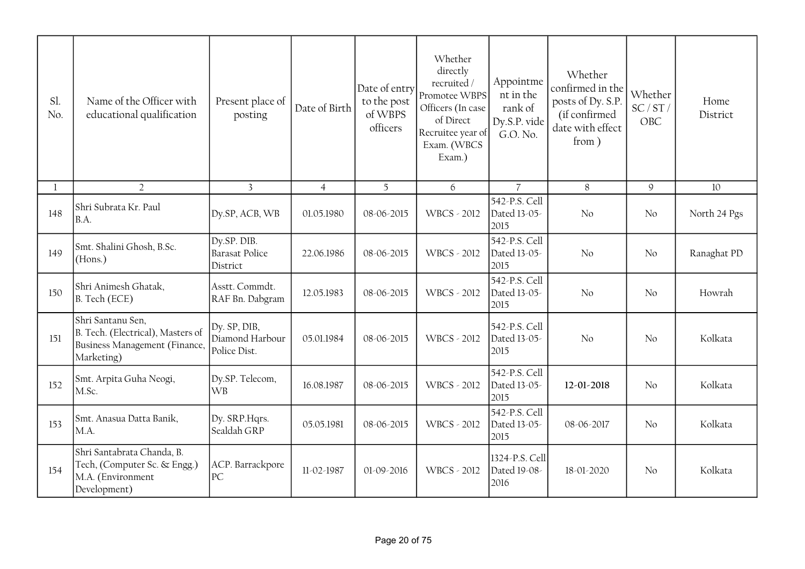| Sl.<br>No. | Name of the Officer with<br>educational qualification                                                 | Present place of<br>posting                      | Date of Birth  | Date of entry<br>to the post<br>of WBPS<br>officers | Whether<br>directly<br>recruited/<br>Promotee WBPS<br>Officers (In case<br>of Direct<br>Recruitee year of<br>Exam. (WBCS<br>Exam.) | Appointme<br>nt in the<br>rank of<br>Dy.S.P. vide<br>G.O. No. | Whether<br>confirmed in the<br>posts of Dy. S.P.<br>(if confirmed<br>date with effect<br>from) | Whether<br>SC/ST/<br>OBC | Home<br>District |
|------------|-------------------------------------------------------------------------------------------------------|--------------------------------------------------|----------------|-----------------------------------------------------|------------------------------------------------------------------------------------------------------------------------------------|---------------------------------------------------------------|------------------------------------------------------------------------------------------------|--------------------------|------------------|
|            | $\overline{2}$                                                                                        | $\overline{3}$                                   | $\overline{4}$ | 5                                                   | 6                                                                                                                                  | $\overline{7}$                                                | 8                                                                                              | $\mathcal{Q}$            | 10               |
| 148        | Shri Subrata Kr. Paul<br>B.A.                                                                         | Dy.SP, ACB, WB                                   | 01.05.1980     | 08-06-2015                                          | WBCS - 2012                                                                                                                        | 542-P.S. Cell<br>Dated 13-05-<br>2015                         | No                                                                                             | No                       | North 24 Pgs     |
| 149        | Smt. Shalini Ghosh, B.Sc.<br>(Hons.)                                                                  | Dy.SP. DIB.<br><b>Barasat Police</b><br>District | 22.06.1986     | 08-06-2015                                          | <b>WBCS - 2012</b>                                                                                                                 | 542-P.S. Cell<br>Dated 13-05-<br>2015                         | No                                                                                             | No                       | Ranaghat PD      |
| 150        | Shri Animesh Ghatak,<br>B. Tech (ECE)                                                                 | Asstt. Commdt.<br>RAF Bn. Dabgram                | 12.05.1983     | 08-06-2015                                          | <b>WBCS - 2012</b>                                                                                                                 | 542-P.S. Cell<br>Dated 13-05-<br>2015                         | No                                                                                             | No                       | Howrah           |
| 151        | Shri Santanu Sen,<br>B. Tech. (Electrical), Masters of<br>Business Management (Finance,<br>Marketing) | Dy. SP, DIB,<br>Diamond Harbour<br>Police Dist.  | 05.01.1984     | 08-06-2015                                          | WBCS - 2012                                                                                                                        | 542-P.S. Cell<br>Dated 13-05-<br>2015                         | No                                                                                             | No                       | Kolkata          |
| 152        | Smt. Arpita Guha Neogi,<br>M.Sc.                                                                      | Dy.SP. Telecom,<br> WB                           | 16.08.1987     | 08-06-2015                                          | <b>WBCS - 2012</b>                                                                                                                 | 542-P.S. Cell<br>Dated 13-05-<br>2015                         | 12-01-2018                                                                                     | No                       | Kolkata          |
| 153        | Smt. Anasua Datta Banik,<br>M.A.                                                                      | Dy. SRP. Hqrs.<br>Sealdah GRP                    | 05.05.1981     | 08-06-2015                                          | <b>WBCS - 2012</b>                                                                                                                 | 542-P.S. Cell<br>Dated 13-05-<br>2015                         | 08-06-2017                                                                                     | No                       | Kolkata          |
| 154        | Shri Santabrata Chanda, B.<br>Tech, (Computer Sc. & Engg.)<br>M.A. (Environment<br>Development)       | ACP. Barrackpore<br> PC                          | 11-02-1987     | 01-09-2016                                          | <b>WBCS - 2012</b>                                                                                                                 | 1324-P.S. Cell<br>Dated 19-08-<br>2016                        | 18-01-2020                                                                                     | No                       | Kolkata          |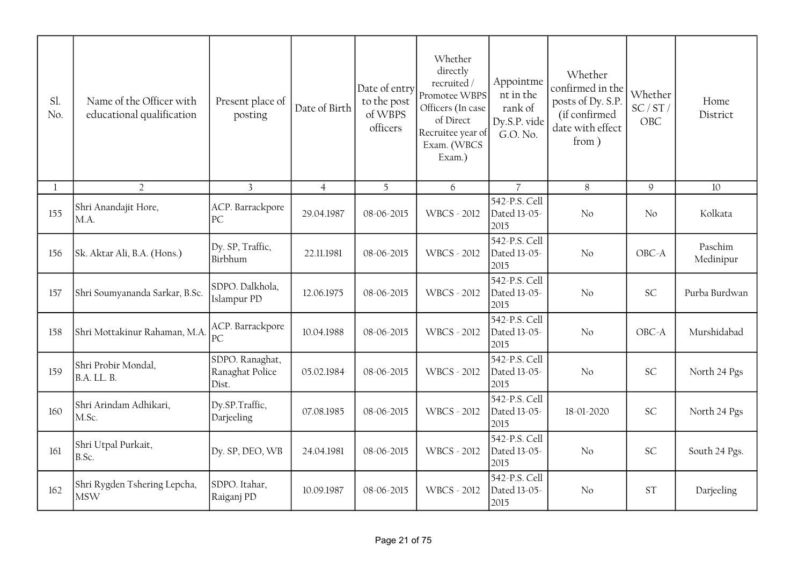| Sl.<br>No. | Name of the Officer with<br>educational qualification | Present place of<br>posting                 | Date of Birth  | Date of entry<br>to the post<br>of WBPS<br>officers | Whether<br>directly<br>recruited/<br>Promotee WBPS<br>Officers (In case<br>of Direct<br>Recruitee year of<br>Exam. (WBCS<br>Exam.) | Appointme<br>nt in the<br>rank of<br>Dy.S.P. vide<br>G.O. No. | Whether<br>confirmed in the<br>posts of Dy. S.P.<br>(if confirmed<br>date with effect<br>from) | Whether<br>SC/ST/<br>OBC | Home<br>District     |
|------------|-------------------------------------------------------|---------------------------------------------|----------------|-----------------------------------------------------|------------------------------------------------------------------------------------------------------------------------------------|---------------------------------------------------------------|------------------------------------------------------------------------------------------------|--------------------------|----------------------|
|            | $\overline{2}$                                        | $\overline{3}$                              | $\overline{4}$ | 5                                                   | 6                                                                                                                                  | $\overline{7}$                                                | $8\,$                                                                                          | $\mathcal{Q}$            | 10                   |
| 155        | Shri Anandajit Hore,<br>MA.                           | ACP. Barrackpore<br>PC                      | 29.04.1987     | 08-06-2015                                          | <b>WBCS - 2012</b>                                                                                                                 | 542-P.S. Cell<br>Dated 13-05-<br>2015                         | No                                                                                             | No                       | Kolkata              |
| 156        | Sk. Aktar Ali, B.A. (Hons.)                           | Dy. SP, Traffic,<br>Birbhum                 | 22.11.1981     | 08-06-2015                                          | <b>WBCS - 2012</b>                                                                                                                 | 542-P.S. Cell<br>Dated 13-05-<br>2015                         | No                                                                                             | OBC-A                    | Paschim<br>Medinipur |
| 157        | Shri Soumyananda Sarkar, B.Sc.                        | SDPO. Dalkhola,<br>Islampur PD              | 12.06.1975     | 08-06-2015                                          | <b>WBCS - 2012</b>                                                                                                                 | 542-P.S. Cell<br>Dated 13-05-<br>2015                         | No                                                                                             | <b>SC</b>                | Purba Burdwan        |
| 158        | Shri Mottakinur Rahaman, M.A                          | ACP. Barrackpore<br>PC                      | 10.04.1988     | 08-06-2015                                          | <b>WBCS - 2012</b>                                                                                                                 | 542-P.S. Cell<br>Dated 13-05-<br>2015                         | No                                                                                             | OBC-A                    | Murshidabad          |
| 159        | Shri Probir Mondal,<br><b>B.A. LL. B.</b>             | SDPO. Ranaghat,<br>Ranaghat Police<br>Dist. | 05.02.1984     | 08-06-2015                                          | <b>WBCS - 2012</b>                                                                                                                 | 542-P.S. Cell<br>Dated 13-05-<br>2015                         | No                                                                                             | <b>SC</b>                | North 24 Pgs         |
| 160        | Shri Arindam Adhikari,<br>M.Sc.                       | Dy.SP.Traffic,<br>Darjeeling                | 07.08.1985     | 08-06-2015                                          | <b>WBCS - 2012</b>                                                                                                                 | 542-P.S. Cell<br>Dated 13-05-<br>2015                         | 18-01-2020                                                                                     | <b>SC</b>                | North 24 Pgs         |
| 161        | Shri Utpal Purkait,<br>B.Sc.                          | Dy. SP, DEO, WB                             | 24.04.1981     | 08-06-2015                                          | WBCS - 2012                                                                                                                        | 542-P.S. Cell<br>Dated 13-05-<br>2015                         | No                                                                                             | <b>SC</b>                | South 24 Pgs.        |
| 162        | Shri Rygden Tshering Lepcha,<br><b>MSW</b>            | SDPO. Itahar,<br>Raiganj PD                 | 10.09.1987     | 08-06-2015                                          | <b>WBCS - 2012</b>                                                                                                                 | 542-P.S. Cell<br>Dated 13-05-<br>2015                         | No                                                                                             | <b>ST</b>                | Darjeeling           |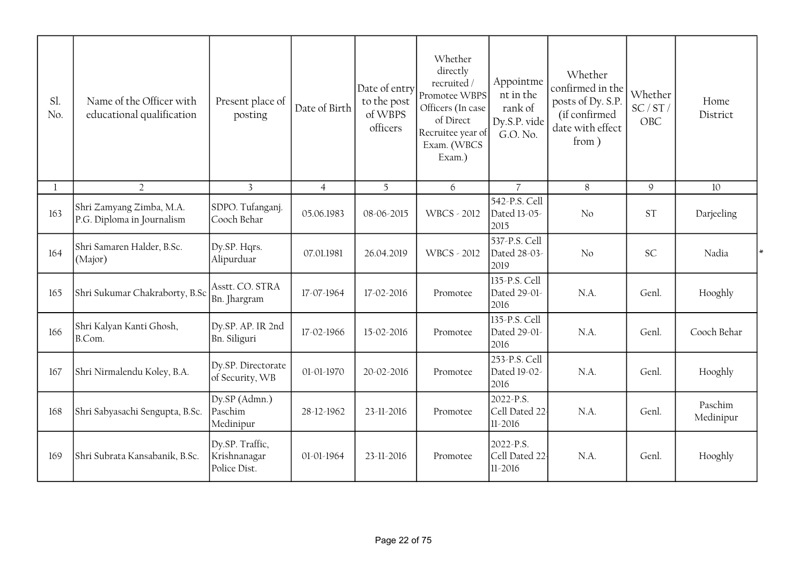| Sl.<br>No. | Name of the Officer with<br>educational qualification  | Present place of<br>posting                     | Date of Birth  | Date of entry<br>to the post<br>of WBPS<br>officers | Whether<br>directly<br>recruited $\!$<br>Promotee WBPS<br>Officers (In case<br>of Direct<br>Recruitee year of<br>Exam. (WBCS<br>Exam.) | Appointme<br>nt in the<br>rank of<br>Dy.S.P. vide<br>G.O. No. | Whether<br>confirmed in the<br>posts of Dy. S.P.<br>(if confirmed<br>date with effect<br>from ) | Whether<br>SC/ST/<br>OBC | Home<br>District     |
|------------|--------------------------------------------------------|-------------------------------------------------|----------------|-----------------------------------------------------|----------------------------------------------------------------------------------------------------------------------------------------|---------------------------------------------------------------|-------------------------------------------------------------------------------------------------|--------------------------|----------------------|
| 1          | $\overline{2}$                                         | $\overline{3}$                                  | $\overline{4}$ | 5                                                   | 6                                                                                                                                      | $\overline{7}$                                                | 8                                                                                               | $\mathsf g$              | 10                   |
| 163        | Shri Zamyang Zimba, M.A.<br>P.G. Diploma in Journalism | SDPO. Tufanganj.<br>Cooch Behar                 | 05.06.1983     | 08-06-2015                                          | <b>WBCS - 2012</b>                                                                                                                     | 542-P.S. Cell<br>Dated 13-05-<br>2015                         | No                                                                                              | <b>ST</b>                | Darjeeling           |
| 164        | Shri Samaren Halder, B.Sc.<br>(Major)                  | Dy.SP. Hqrs.<br>Alipurduar                      | 07.01.1981     | 26.04.2019                                          | <b>WBCS - 2012</b>                                                                                                                     | 537-P.S. Cell<br>Dated 28-03-<br>2019                         | No                                                                                              | <b>SC</b>                | Nadia                |
| 165        | Shri Sukumar Chakraborty, B.Sc                         | Asstt. CO. STRA<br>Bn. Jhargram                 | 17-07-1964     | 17-02-2016                                          | Promotee                                                                                                                               | 135-P.S. Cell<br>Dated 29-01-<br>2016                         | N.A.                                                                                            | Genl.                    | Hooghly              |
| 166        | Shri Kalyan Kanti Ghosh,<br>B.Com.                     | Dy.SP. AP. IR 2nd<br>Bn. Siliguri               | 17-02-1966     | 15-02-2016                                          | Promotee                                                                                                                               | 135-P.S. Cell<br>Dated 29-01-<br>2016                         | N.A.                                                                                            | Genl.                    | Cooch Behar          |
| 167        | Shri Nirmalendu Koley, B.A.                            | Dy.SP. Directorate<br>of Security, WB           | 01-01-1970     | 20-02-2016                                          | Promotee                                                                                                                               | 253-P.S. Cell<br>Dated 19-02-<br>2016                         | N.A.                                                                                            | Genl.                    | Hooghly              |
| 168        | Shri Sabyasachi Sengupta, B.Sc.                        | Dy.SP (Admn.)<br>Paschim<br>Medinipur           | 28-12-1962     | 23-11-2016                                          | Promotee                                                                                                                               | 2022-P.S.<br>Cell Dated 22<br>11-2016                         | N.A.                                                                                            | Genl.                    | Paschim<br>Medinipur |
| 169        | Shri Subrata Kansabanik, B.Sc.                         | Dy.SP. Traffic,<br>Krishnanagar<br>Police Dist. | 01-01-1964     | 23-11-2016                                          | Promotee                                                                                                                               | 2022-P.S.<br>Cell Dated 22<br>$11 - 2016$                     | N.A.                                                                                            | Genl.                    | Hooghly              |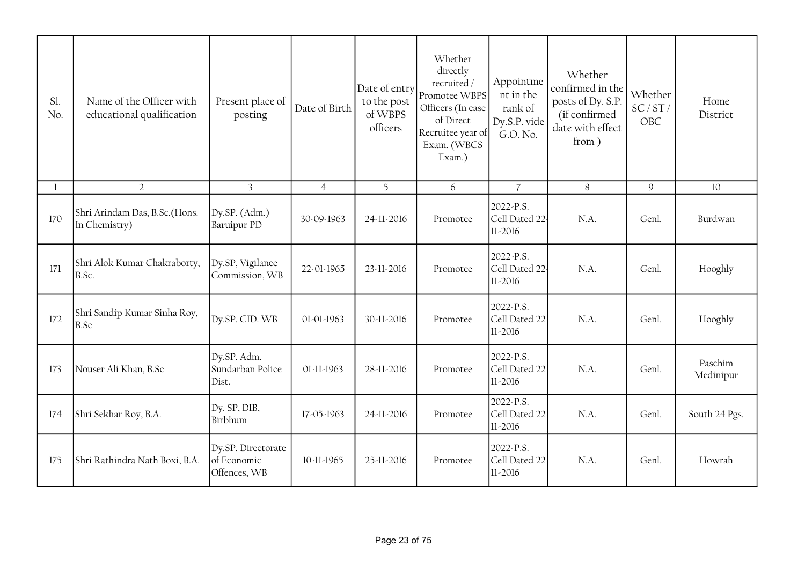| Sl.<br>No. | Name of the Officer with<br>educational qualification | Present place of<br>posting                       | Date of Birth  | Date of entry<br>to the post<br>of WBPS<br>officers | Whether<br>directly<br>recruited /<br>Promotee WBPS<br>Officers (In case<br>of Direct<br>Recruitee year of<br>Exam. (WBCS<br>Exam.) | Appointme<br>nt in the<br>rank of<br>Dy.S.P. vide<br>G.O. No. | Whether<br>confirmed in the<br>posts of Dy. S.P.<br>(if confirmed<br>date with effect<br>from) | Whether<br>SC/ST/<br>OBC | Home<br>District     |
|------------|-------------------------------------------------------|---------------------------------------------------|----------------|-----------------------------------------------------|-------------------------------------------------------------------------------------------------------------------------------------|---------------------------------------------------------------|------------------------------------------------------------------------------------------------|--------------------------|----------------------|
| 1          | $\overline{2}$                                        | $\mathbf{3}$                                      | $\overline{4}$ | 5                                                   | 6                                                                                                                                   | $\overline{7}$                                                | $8\,$                                                                                          | $\mathcal{G}$            | 10                   |
| 170        | Shri Arindam Das, B.Sc.(Hons.<br>In Chemistry)        | Dy.SP. (Adm.)<br><b>Baruipur PD</b>               | 30-09-1963     | 24-11-2016                                          | Promotee                                                                                                                            | 2022-P.S.<br>Cell Dated 22<br>11-2016                         | N.A.                                                                                           | Genl.                    | Burdwan              |
| 171        | Shri Alok Kumar Chakraborty,<br>B.Sc.                 | Dy.SP, Vigilance<br>Commission, WB                | 22-01-1965     | 23-11-2016                                          | Promotee                                                                                                                            | 2022-P.S.<br>Cell Dated 22-<br>$11 - 2016$                    | $NA$ .                                                                                         | Genl.                    | Hooghly              |
| 172        | Shri Sandip Kumar Sinha Roy,<br>B.Sc                  | Dy.SP. CID. WB                                    | 01-01-1963     | 30-11-2016                                          | Promotee                                                                                                                            | 2022-P.S.<br>Cell Dated 22<br>$11 - 2016$                     | N.A.                                                                                           | Genl.                    | Hooghly              |
| 173        | Nouser Ali Khan, B.Sc                                 | Dy.SP. Adm.<br>Sundarban Police<br>Dist.          | 01-11-1963     | 28-11-2016                                          | Promotee                                                                                                                            | 2022-P.S.<br>Cell Dated 22<br>$11-2016$                       | $NA$ .                                                                                         | Genl.                    | Paschim<br>Medinipur |
| 174        | Shri Sekhar Roy, B.A.                                 | Dy. SP, DIB,<br>Birbhum                           | 17-05-1963     | 24-11-2016                                          | Promotee                                                                                                                            | 2022-P.S.<br>Cell Dated 22<br>$11 - 2016$                     | N.A.                                                                                           | Genl.                    | South 24 Pgs.        |
| 175        | Shri Rathindra Nath Boxi, B.A.                        | Dy.SP. Directorate<br>of Economic<br>Offences, WB | 10-11-1965     | 25-11-2016                                          | Promotee                                                                                                                            | 2022-P.S.<br>Cell Dated 22<br>$11-2016$                       | N.A.                                                                                           | Genl.                    | Howrah               |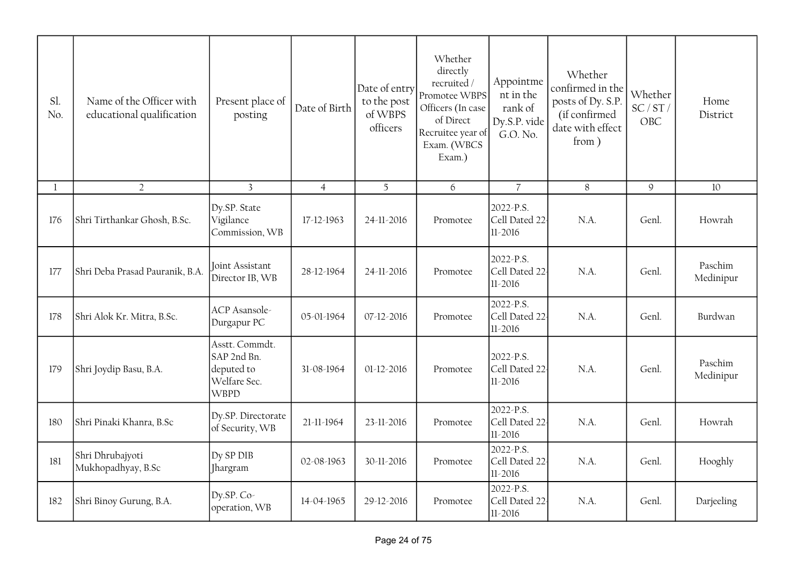| Sl.<br>No. | Name of the Officer with<br>educational qualification | Present place of<br>posting                                                | Date of Birth  | Date of entry<br>to the post<br>of WBPS<br>officers | Whether<br>directly<br>recruited/<br>Promotee WBPS<br>Officers (In case<br>of Direct<br>Recruitee year of<br>Exam. (WBCS<br>Exam.) | Appointme<br>nt in the<br>rank of<br>Dy.S.P. vide<br>G.O. No. | Whether<br>confirmed in the<br>posts of Dy. S.P.<br>(if confirmed<br>date with effect<br>from) | Whether<br>SC/ST/<br>OBC | Home<br>District     |
|------------|-------------------------------------------------------|----------------------------------------------------------------------------|----------------|-----------------------------------------------------|------------------------------------------------------------------------------------------------------------------------------------|---------------------------------------------------------------|------------------------------------------------------------------------------------------------|--------------------------|----------------------|
| -1         | $\overline{2}$                                        | $\overline{3}$                                                             | $\overline{4}$ | 5                                                   | 6                                                                                                                                  | $\overline{7}$                                                | 8                                                                                              | $\mathcal{G}$            | $10\,$               |
| 176        | Shri Tirthankar Ghosh, B.Sc.                          | Dy.SP. State<br>Vigilance<br>Commission, WB                                | 17-12-1963     | 24-11-2016                                          | Promotee                                                                                                                           | 2022-P.S.<br>Cell Dated 22<br>$11-2016$                       | N.A.                                                                                           | Genl.                    | Howrah               |
| 177        | Shri Deba Prasad Pauranik, B.A.                       | Joint Assistant<br>Director IB, WB                                         | 28-12-1964     | 24-11-2016                                          | Promotee                                                                                                                           | 2022-P.S.<br>Cell Dated 22-<br>$11 - 2016$                    | $NA$ .                                                                                         | Genl.                    | Paschim<br>Medinipur |
| 178        | Shri Alok Kr. Mitra, B.Sc.                            | ACP Asansole-<br>Durgapur PC                                               | 05-01-1964     | 07-12-2016                                          | Promotee                                                                                                                           | 2022-P.S.<br>Cell Dated 22-<br>$11 - 2016$                    | N.A.                                                                                           | Genl.                    | Burdwan              |
| 179        | Shri Joydip Basu, B.A.                                | Asstt. Commdt.<br>SAP 2nd Bn.<br>deputed to<br>Welfare Sec.<br><b>WBPD</b> | 31-08-1964     | 01-12-2016                                          | Promotee                                                                                                                           | 2022-P.S.<br>Cell Dated 22<br>$11 - 2016$                     | N.A.                                                                                           | Genl.                    | Paschim<br>Medinipur |
| 180        | Shri Pinaki Khanra, B.Sc                              | Dy.SP. Directorate<br>of Security, WB                                      | 21-11-1964     | 23-11-2016                                          | Promotee                                                                                                                           | 2022-P.S.<br>Cell Dated 22<br>$11-2016$                       | N.A.                                                                                           | Genl.                    | Howrah               |
| 181        | Shri Dhrubajyoti<br>Mukhopadhyay, B.Sc                | Dy SP DIB<br>Jhargram                                                      | 02-08-1963     | 30-11-2016                                          | Promotee                                                                                                                           | 2022-P.S.<br>Cell Dated 22<br>$11 - 2016$                     | N.A.                                                                                           | Genl.                    | Hooghly              |
| 182        | Shri Binoy Gurung, B.A.                               | Dy.SP. Co-<br>operation, WB                                                | 14-04-1965     | 29-12-2016                                          | Promotee                                                                                                                           | 2022-P.S.<br>Cell Dated 22<br>$11 - 2016$                     | N.A.                                                                                           | Genl.                    | Darjeeling           |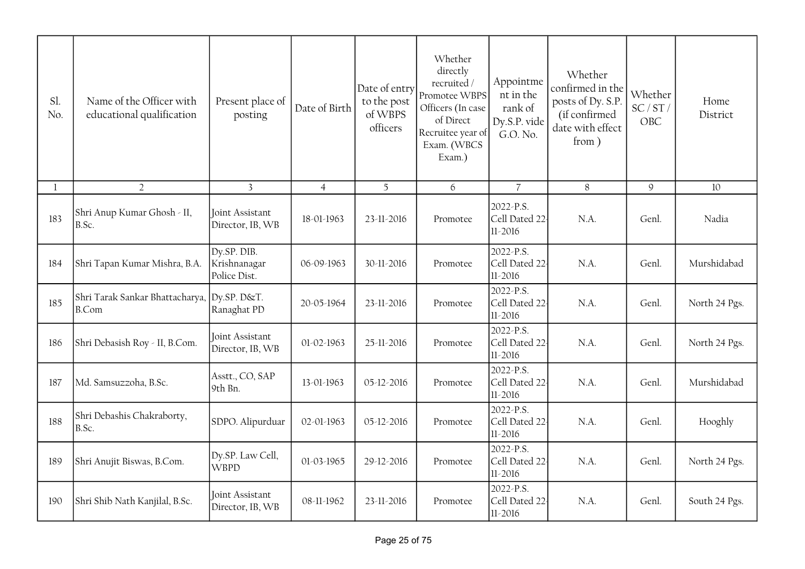| Sl.<br>No. | Name of the Officer with<br>educational qualification | Present place of<br>posting                 | Date of Birth  | Date of entry<br>to the post<br>of WBPS<br>officers | Whether<br>directly<br>recruited/<br>Promotee WBPS<br>Officers (In case<br>of Direct<br>Recruitee year of<br>Exam. (WBCS<br>Exam.) | Appointme<br>nt in the<br>rank of<br>Dy.S.P. vide<br>G.O. No. | Whether<br>confirmed in the<br>posts of Dy. S.P.<br>(if confirmed<br>date with effect<br>from ) | Whether<br>SC/ST/<br>OBC | Home<br>District |
|------------|-------------------------------------------------------|---------------------------------------------|----------------|-----------------------------------------------------|------------------------------------------------------------------------------------------------------------------------------------|---------------------------------------------------------------|-------------------------------------------------------------------------------------------------|--------------------------|------------------|
| 1          | $\overline{2}$                                        | $\overline{3}$                              | $\overline{4}$ | $\overline{5}$                                      | 6                                                                                                                                  | $\overline{7}$                                                | 8                                                                                               | $\mathsf 9$              | $10\,$           |
| 183        | Shri Anup Kumar Ghosh - II,<br>B.Sc.                  | Joint Assistant<br>Director, IB, WB         | 18-01-1963     | 23-11-2016                                          | Promotee                                                                                                                           | 2022-P.S.<br>Cell Dated 22<br>$11 - 2016$                     | N.A.                                                                                            | Genl.                    | Nadia            |
| 184        | Shri Tapan Kumar Mishra, B.A.                         | Dy.SP. DIB.<br>Krishnanagar<br>Police Dist. | 06-09-1963     | 30-11-2016                                          | Promotee                                                                                                                           | 2022-P.S.<br>Cell Dated 22<br>11-2016                         | N.A.                                                                                            | Genl.                    | Murshidabad      |
| 185        | Shri Tarak Sankar Bhattacharya, Dy.SP. D&T.<br>B.Com  | Ranaghat PD                                 | 20-05-1964     | 23-11-2016                                          | Promotee                                                                                                                           | 2022-P.S.<br>Cell Dated 22<br>$11 - 2016$                     | N.A.                                                                                            | Genl.                    | North 24 Pgs.    |
| 186        | Shri Debasish Roy - II, B.Com.                        | Joint Assistant<br>Director, IB, WB         | 01-02-1963     | 25-11-2016                                          | Promotee                                                                                                                           | 2022-P.S.<br>Cell Dated 22-<br>$11 - 2016$                    | N.A.                                                                                            | Genl.                    | North 24 Pgs.    |
| 187        | Md. Samsuzzoha, B.Sc.                                 | Asstt., CO, SAP<br>9th Bn.                  | 13-01-1963     | 05-12-2016                                          | Promotee                                                                                                                           | 2022-P.S.<br>Cell Dated 22-<br>$11 - 2016$                    | N.A.                                                                                            | Genl.                    | Murshidabad      |
| 188        | Shri Debashis Chakraborty,<br>B.Sc.                   | SDPO. Alipurduar                            | 02-01-1963     | 05-12-2016                                          | Promotee                                                                                                                           | 2022-P.S.<br>Cell Dated 22<br>$11 - 2016$                     | N.A.                                                                                            | Genl.                    | Hooghly          |
| 189        | Shri Anujit Biswas, B.Com.                            | Dy.SP. Law Cell,<br><b>WBPD</b>             | 01-03-1965     | 29-12-2016                                          | Promotee                                                                                                                           | 2022-P.S.<br>Cell Dated 22<br>$11 - 2016$                     | N.A.                                                                                            | Genl.                    | North 24 Pgs.    |
| 190        | Shri Shib Nath Kanjilal, B.Sc.                        | Joint Assistant<br>Director, IB, WB         | 08-11-1962     | 23-11-2016                                          | Promotee                                                                                                                           | 2022-P.S.<br>Cell Dated 22<br>$11-2016$                       | N.A.                                                                                            | Genl.                    | South 24 Pgs.    |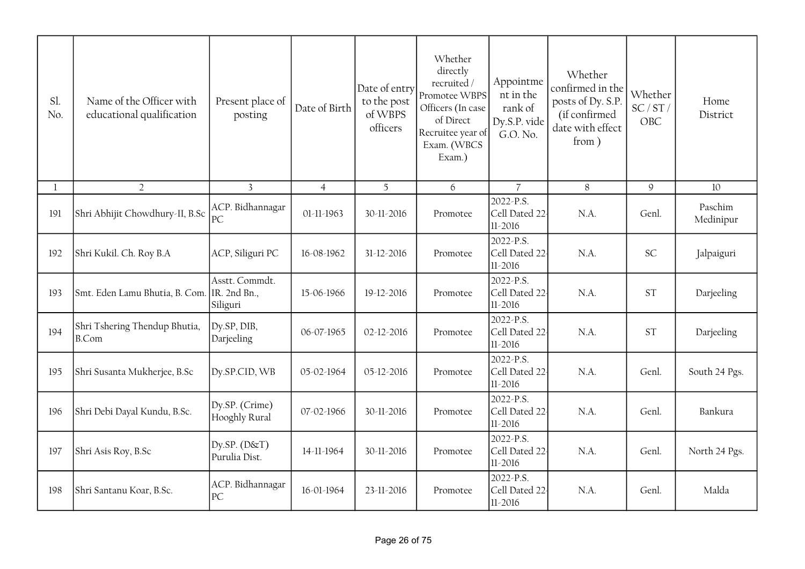| Sl.<br>No.   | Name of the Officer with<br>educational qualification | Present place of<br>posting                | Date of Birth  | Date of entry<br>to the post<br>of WBPS<br>officers | Whether<br>directly<br>recruited /<br>Promotee WBPS<br>Officers (In case<br>of Direct<br>Recruitee year of<br>Exam. (WBCS<br>Exam.) | Appointme<br>nt in the<br>rank of<br>Dy.S.P. vide<br>G.O. No. | Whether<br>confirmed in the<br>posts of Dy. S.P.<br>(if confirmed<br>date with effect<br>from) | Whether<br>SC/ST/<br>OBC | Home<br>District     |
|--------------|-------------------------------------------------------|--------------------------------------------|----------------|-----------------------------------------------------|-------------------------------------------------------------------------------------------------------------------------------------|---------------------------------------------------------------|------------------------------------------------------------------------------------------------|--------------------------|----------------------|
| $\mathbf{1}$ | $\overline{2}$                                        | $\overline{3}$                             | $\overline{4}$ | 5 <sup>5</sup>                                      | 6                                                                                                                                   | $\overline{7}$                                                | 8                                                                                              | 9                        | 10                   |
| 191          | Shri Abhijit Chowdhury-II, B.Sc                       | ACP. Bidhannagar<br>PC                     | 01-11-1963     | 30-11-2016                                          | Promotee                                                                                                                            | 2022-P.S.<br>Cell Dated 22<br>$11 - 2016$                     | N.A.                                                                                           | Genl.                    | Paschim<br>Medinipur |
| 192          | Shri Kukil. Ch. Roy B.A                               | ACP, Siliguri PC                           | 16-08-1962     | 31-12-2016                                          | Promotee                                                                                                                            | 2022-P.S.<br>Cell Dated 22<br>$11 - 2016$                     | N.A.                                                                                           | <b>SC</b>                | Jalpaiguri           |
| 193          | Smt. Eden Lamu Bhutia, B. Com.                        | Asstt. Commdt.<br>IR. 2nd Bn.,<br>Siliguri | 15-06-1966     | 19-12-2016                                          | Promotee                                                                                                                            | 2022-P.S.<br>Cell Dated 22-<br>$11 - 2016$                    | N.A.                                                                                           | <b>ST</b>                | Darjeeling           |
| 194          | Shri Tshering Thendup Bhutia,<br><b>B.Com</b>         | Dy.SP, DIB,<br>Darjeeling                  | 06-07-1965     | 02-12-2016                                          | Promotee                                                                                                                            | 2022-P.S.<br>Cell Dated 22<br>$11 - 2016$                     | N.A.                                                                                           | <b>ST</b>                | Darjeeling           |
| 195          | Shri Susanta Mukherjee, B.Sc                          | Dy.SP.CID, WB                              | 05-02-1964     | 05-12-2016                                          | Promotee                                                                                                                            | 2022-P.S.<br>Cell Dated 22<br>$11 - 2016$                     | N.A.                                                                                           | Genl.                    | South 24 Pgs.        |
| 196          | Shri Debi Dayal Kundu, B.Sc.                          | Dy.SP. (Crime)<br>Hooghly Rural            | 07-02-1966     | 30-11-2016                                          | Promotee                                                                                                                            | 2022-P.S.<br>Cell Dated 22<br>$11 - 2016$                     | N.A.                                                                                           | Genl.                    | Bankura              |
| 197          | Shri Asis Roy, B.Sc                                   | $Dy$ . $SP. (D&T)$<br>Purulia Dist.        | 14-11-1964     | 30-11-2016                                          | Promotee                                                                                                                            | 2022-P.S.<br>Cell Dated 22<br>$11 - 2016$                     | N.A.                                                                                           | Genl.                    | North 24 Pgs.        |
| 198          | Shri Santanu Koar, B.Sc.                              | ACP. Bidhannagar<br>PC                     | 16-01-1964     | 23-11-2016                                          | Promotee                                                                                                                            | 2022-P.S.<br>Cell Dated 22-<br>$11 - 2016$                    | N.A.                                                                                           | Genl.                    | Malda                |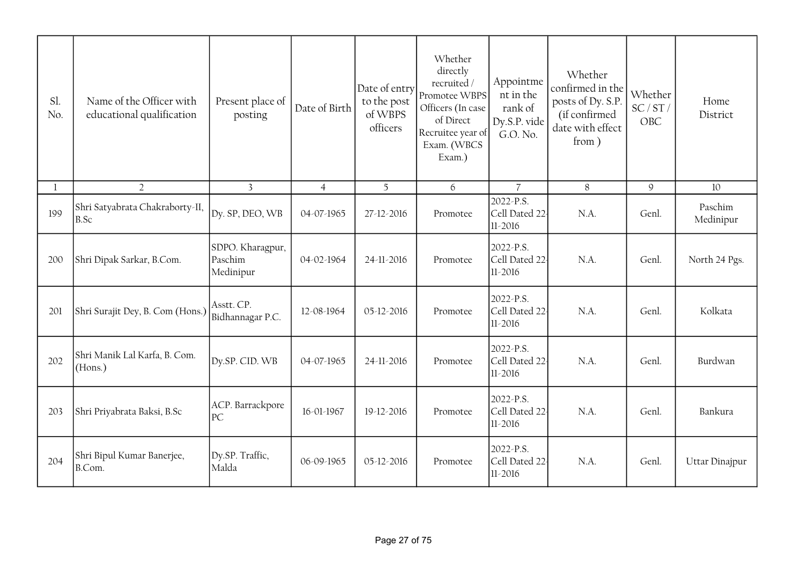| Sl.<br>No. | Name of the Officer with<br>educational qualification | Present place of<br>posting              | Date of Birth  | Date of entry<br>to the post<br>of WBPS<br>officers | Whether<br>directly<br>recruited /<br>Promotee WBPS<br>Officers (In case<br>of Direct<br>Recruitee year of<br>Exam. (WBCS<br>Exam.) | Appointme<br>nt in the<br>rank of<br>Dy.S.P. vide<br>G.O. No. | Whether<br>confirmed in the<br>posts of Dy. S.P.<br>(if confirmed<br>date with effect<br>from) | Whether<br>SC/ST/<br>OBC | Home<br>District     |
|------------|-------------------------------------------------------|------------------------------------------|----------------|-----------------------------------------------------|-------------------------------------------------------------------------------------------------------------------------------------|---------------------------------------------------------------|------------------------------------------------------------------------------------------------|--------------------------|----------------------|
| 1          | $\overline{2}$                                        | $\overline{3}$                           | $\overline{4}$ | 5                                                   | 6                                                                                                                                   | $\overline{7}$                                                | $\,8\,$                                                                                        | $\mathsf g$              | 10                   |
| 199        | Shri Satyabrata Chakraborty-II,<br>B.Sc               | Dy. SP, DEO, WB                          | 04-07-1965     | 27-12-2016                                          | Promotee                                                                                                                            | 2022-P.S.<br>Cell Dated 22<br>$11 - 2016$                     | N.A.                                                                                           | Genl.                    | Paschim<br>Medinipur |
| 200        | Shri Dipak Sarkar, B.Com.                             | SDPO. Kharagpur,<br>Paschim<br>Medinipur | 04-02-1964     | 24-11-2016                                          | Promotee                                                                                                                            | 2022-P.S.<br>Cell Dated 22<br>$11-2016$                       | N.A.                                                                                           | Genl.                    | North 24 Pgs.        |
| 201        | Shri Surajit Dey, B. Com (Hons.)                      | Asstt. CP.<br>Bidhannagar P.C.           | 12-08-1964     | 05-12-2016                                          | Promotee                                                                                                                            | 2022-P.S.<br>Cell Dated 22<br>$11 - 2016$                     | N.A.                                                                                           | Genl.                    | Kolkata              |
| 202        | Shri Manik Lal Karfa, B. Com.<br>(Hons.)              | Dy.SP. CID. WB                           | 04-07-1965     | 24-11-2016                                          | Promotee                                                                                                                            | 2022-P.S.<br>Cell Dated 22<br>$11-2016$                       | N.A.                                                                                           | Genl.                    | Burdwan              |
| 203        | Shri Priyabrata Baksi, B.Sc                           | ACP. Barrackpore<br>PC                   | 16-01-1967     | 19-12-2016                                          | Promotee                                                                                                                            | 2022-P.S.<br>Cell Dated 22<br>$11-2016$                       | N.A.                                                                                           | Genl.                    | Bankura              |
| 204        | Shri Bipul Kumar Banerjee,<br>B.Com.                  | Dy.SP. Traffic,<br>Malda                 | 06-09-1965     | 05-12-2016                                          | Promotee                                                                                                                            | 2022-P.S.<br>Cell Dated 22<br>$11-2016$                       | N.A.                                                                                           | Genl.                    | Uttar Dinajpur       |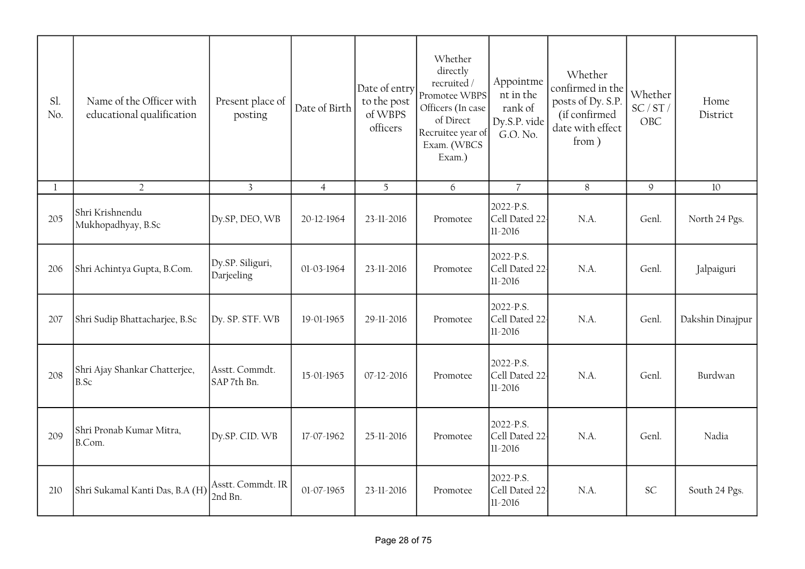| Sl.<br>No. | Name of the Officer with<br>educational qualification | Present place of<br>posting    | Date of Birth  | Date of entry<br>to the post<br>of WBPS<br>officers | Whether<br>directly<br>recruited/<br>Promotee WBPS<br>Officers (In case<br>of Direct<br>Recruitee year of<br>Exam. (WBCS<br>Exam.) | Appointme<br>nt in the<br>rank of<br>Dy.S.P. vide<br>G.O. No. | Whether<br>confirmed in the<br>posts of Dy. S.P.<br>(if confirmed<br>date with effect<br>from) | Whether<br>SC/ST/<br>OBC | Home<br>District |
|------------|-------------------------------------------------------|--------------------------------|----------------|-----------------------------------------------------|------------------------------------------------------------------------------------------------------------------------------------|---------------------------------------------------------------|------------------------------------------------------------------------------------------------|--------------------------|------------------|
| 1          | $\overline{2}$                                        | $\overline{3}$                 | $\overline{4}$ | 5                                                   | 6                                                                                                                                  | $\overline{7}$                                                | $8\,$                                                                                          | $\mathfrak{g}$           | 10               |
| 205        | Shri Krishnendu<br>Mukhopadhyay, B.Sc                 | Dy.SP, DEO, WB                 | 20-12-1964     | 23-11-2016                                          | Promotee                                                                                                                           | 2022-P.S.<br>Cell Dated 22<br>$11 - 2016$                     | N.A.                                                                                           | Genl.                    | North 24 Pgs.    |
| 206        | Shri Achintya Gupta, B.Com.                           | Dy.SP. Siliguri,<br>Darjeeling | 01-03-1964     | 23-11-2016                                          | Promotee                                                                                                                           | 2022-P.S.<br>Cell Dated 22<br>11-2016                         | N.A.                                                                                           | Genl.                    | Jalpaiguri       |
| 207        | Shri Sudip Bhattacharjee, B.Sc                        | Dy. SP. STF. WB                | 19-01-1965     | 29-11-2016                                          | Promotee                                                                                                                           | 2022-P.S.<br>Cell Dated 22<br>$11 - 2016$                     | N.A.                                                                                           | Genl.                    | Dakshin Dinajpur |
| 208        | Shri Ajay Shankar Chatterjee,<br>B.Sc                 | Asstt. Commdt.<br>SAP 7th Bn.  | 15-01-1965     | 07-12-2016                                          | Promotee                                                                                                                           | 2022-P.S.<br>Cell Dated 22-<br>$11 - 2016$                    | N.A.                                                                                           | Genl.                    | Burdwan          |
| 209        | Shri Pronab Kumar Mitra,<br>B.Com.                    | Dy.SP. CID. WB                 | 17-07-1962     | 25-11-2016                                          | Promotee                                                                                                                           | 2022-P.S.<br>Cell Dated 22<br>$11 - 2016$                     | N.A.                                                                                           | Genl.                    | Nadia            |
| 210        | Shri Sukamal Kanti Das, B.A (H)                       | Asstt. Commdt. IR<br>2nd Bn.   | 01-07-1965     | 23-11-2016                                          | Promotee                                                                                                                           | 2022-P.S.<br>Cell Dated 22<br>$11 - 2016$                     | N.A.                                                                                           | <b>SC</b>                | South 24 Pgs.    |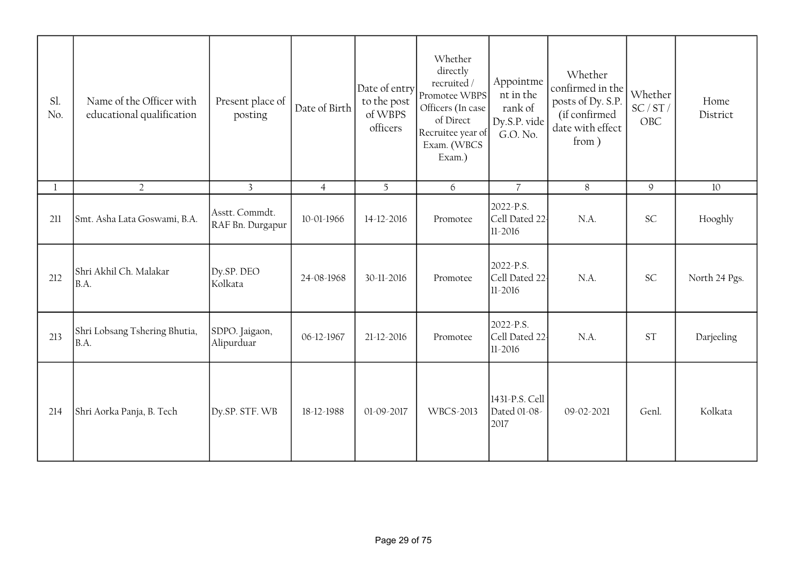| Sl.<br>No. | Name of the Officer with<br>educational qualification | Present place of<br>posting        | Date of Birth  | Date of entry<br>to the post<br>of WBPS<br>officers | Whether<br>directly<br>recruited /<br>Promotee WBPS<br>Officers (In case<br>of Direct<br>Recruitee year of<br>Exam. (WBCS<br>Exam.) | Appointme<br>nt in the<br>rank of<br>Dy.S.P. vide<br>G.O. No. | Whether<br>confirmed in the<br>posts of Dy. S.P.<br>(if confirmed<br>date with effect<br>from ) | Whether<br>SC/ST/<br>OBC | Home<br>District |
|------------|-------------------------------------------------------|------------------------------------|----------------|-----------------------------------------------------|-------------------------------------------------------------------------------------------------------------------------------------|---------------------------------------------------------------|-------------------------------------------------------------------------------------------------|--------------------------|------------------|
| 1          | $\overline{2}$                                        | $\overline{3}$                     | $\overline{4}$ | 5 <sup>1</sup>                                      | 6                                                                                                                                   | $\overline{7}$                                                | 8                                                                                               | 9                        | 10               |
| 211        | Smt. Asha Lata Goswami, B.A.                          | Asstt. Commdt.<br>RAF Bn. Durgapur | 10-01-1966     | 14-12-2016                                          | Promotee                                                                                                                            | 2022-P.S.<br>Cell Dated 22<br>$11-2016$                       | N.A.                                                                                            | <b>SC</b>                | Hooghly          |
| 212        | Shri Akhil Ch. Malakar<br>B.A.                        | Dy.SP. DEO<br>Kolkata              | 24-08-1968     | 30-11-2016                                          | Promotee                                                                                                                            | 2022-P.S.<br>Cell Dated 22<br>$11-2016$                       | N.A.                                                                                            | <b>SC</b>                | North 24 Pgs.    |
| 213        | Shri Lobsang Tshering Bhutia,<br>B.A.                 | SDPO. Jaigaon,<br>Alipurduar       | 06-12-1967     | 21-12-2016                                          | Promotee                                                                                                                            | 2022-P.S.<br>Cell Dated 22<br>$11-2016$                       | N.A.                                                                                            | <b>ST</b>                | Darjeeling       |
| 214        | Shri Aorka Panja, B. Tech                             | Dy.SP. STF. WB                     | 18-12-1988     | 01-09-2017                                          | <b>WBCS-2013</b>                                                                                                                    | 1431-P.S. Cell<br>Dated 01-08-<br>2017                        | 09-02-2021                                                                                      | Genl.                    | Kolkata          |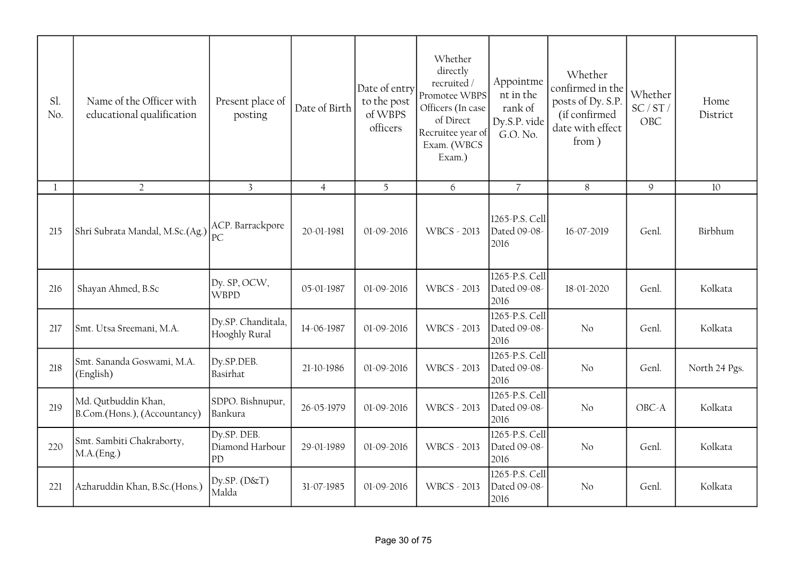| Sl.<br>No.   | Name of the Officer with<br>educational qualification | Present place of<br>posting          | Date of Birth  | Date of entry<br>to the post<br>of WBPS<br>officers | Whether<br>directly<br>recruited/<br>Promotee WBPS<br>Officers (In case<br>of Direct<br>Recruitee year of<br>Exam. (WBCS<br>Exam.) | Appointme<br>nt in the<br>rank of<br>Dy.S.P. vide<br>G.O. No. | Whether<br>confirmed in the<br>posts of Dy. S.P.<br>(if confirmed<br>date with effect<br>from) | Whether<br>SC/ST/<br>OBC | Home<br>District |
|--------------|-------------------------------------------------------|--------------------------------------|----------------|-----------------------------------------------------|------------------------------------------------------------------------------------------------------------------------------------|---------------------------------------------------------------|------------------------------------------------------------------------------------------------|--------------------------|------------------|
| $\mathbf{1}$ | $\overline{2}$                                        | $\overline{3}$                       | $\overline{4}$ | 5                                                   | 6                                                                                                                                  | $\overline{7}$                                                | $8\,$                                                                                          | $\mathcal{G}$            | 10               |
| 215          | Shri Subrata Mandal, M.Sc.(Ag.)                       | ACP. Barrackpore<br>PC               | 20-01-1981     | 01-09-2016                                          | <b>WBCS - 2013</b>                                                                                                                 | 1265-P.S. Cell<br>Dated 09-08-<br>2016                        | 16-07-2019                                                                                     | Genl.                    | Birbhum          |
| 216          | Shayan Ahmed, B.Sc                                    | Dy. SP, OCW,<br><b>WBPD</b>          | 05-01-1987     | 01-09-2016                                          | <b>WBCS - 2013</b>                                                                                                                 | 1265-P.S. Cell<br>Dated 09-08-<br>2016                        | 18-01-2020                                                                                     | Genl.                    | Kolkata          |
| 217          | Smt. Utsa Sreemani, M.A.                              | Dy.SP. Chanditala,<br>Hooghly Rural  | 14-06-1987     | 01-09-2016                                          | <b>WBCS - 2013</b>                                                                                                                 | 1265-P.S. Cell<br>Dated 09-08-<br>2016                        | No                                                                                             | Genl.                    | Kolkata          |
| 218          | Smt. Sananda Goswami, M.A.<br>(English)               | Dy.SP.DEB.<br>Basirhat               | 21-10-1986     | 01-09-2016                                          | <b>WBCS - 2013</b>                                                                                                                 | 1265-P.S. Cell<br>Dated 09-08-<br>2016                        | No                                                                                             | Genl.                    | North 24 Pgs.    |
| 219          | Md. Qutbuddin Khan,<br>B.Com.(Hons.), (Accountancy)   | SDPO. Bishnupur,<br>Bankura          | 26-05-1979     | 01-09-2016                                          | <b>WBCS - 2013</b>                                                                                                                 | 1265-P.S. Cell<br>Dated 09-08-<br>2016                        | No                                                                                             | OBC-A                    | Kolkata          |
| 220          | Smt. Sambiti Chakraborty,<br>MA(Eng.)                 | Dy.SP. DEB.<br>Diamond Harbour<br>PD | 29-01-1989     | 01-09-2016                                          | WBCS - 2013                                                                                                                        | 1265-P.S. Cell<br>Dated 09-08-<br>2016                        | No                                                                                             | Genl.                    | Kolkata          |
| 221          | Azharuddin Khan, B.Sc.(Hons.)                         | Dy.SP. (D&T)<br>Malda                | 31-07-1985     | 01-09-2016                                          | <b>WBCS - 2013</b>                                                                                                                 | 1265-P.S. Cell<br>Dated 09-08-<br>2016                        | No                                                                                             | Genl.                    | Kolkata          |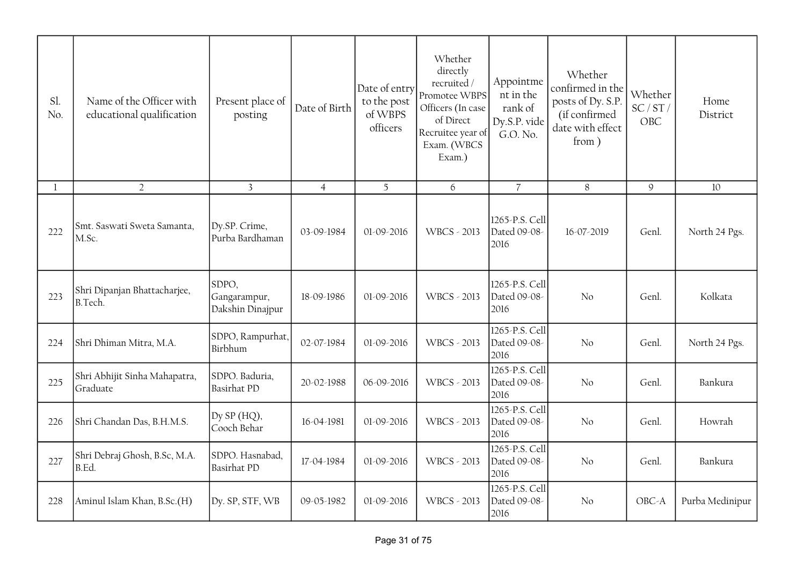| Sl.<br>No. | Name of the Officer with<br>educational qualification | Present place of<br>posting               | Date of Birth  | Date of entry<br>to the post<br>of WBPS<br>officers | Whether<br>directly<br>recruited/<br>Promotee WBPS<br>Officers (In case<br>of Direct<br>Recruitee year of<br>Exam. (WBCS<br>Exam.) | Appointme<br>nt in the<br>rank of<br>Dy.S.P. vide<br>G.O. No. | Whether<br>confirmed in the<br>posts of Dy. S.P.<br>(if confirmed<br>date with effect<br>from ) | Whether<br>SC/ST/<br>OBC | Home<br>District |
|------------|-------------------------------------------------------|-------------------------------------------|----------------|-----------------------------------------------------|------------------------------------------------------------------------------------------------------------------------------------|---------------------------------------------------------------|-------------------------------------------------------------------------------------------------|--------------------------|------------------|
|            | $\overline{2}$                                        | $\overline{3}$                            | $\overline{4}$ | 5                                                   | 6                                                                                                                                  | $\overline{7}$                                                | $8\,$                                                                                           | $\mathsf g$              | 10               |
| 222        | Smt. Saswati Sweta Samanta,<br>M.Sc.                  | Dy.SP. Crime,<br>Purba Bardhaman          | 03-09-1984     | 01-09-2016                                          | <b>WBCS - 2013</b>                                                                                                                 | 1265-P.S. Cell<br>Dated 09-08-<br>2016                        | 16-07-2019                                                                                      | Genl.                    | North 24 Pgs.    |
| 223        | Shri Dipanjan Bhattacharjee,<br><b>B.Tech.</b>        | SDPO,<br>Gangarampur,<br>Dakshin Dinajpur | 18-09-1986     | 01-09-2016                                          | <b>WBCS - 2013</b>                                                                                                                 | 1265-P.S. Cell<br>Dated 09-08-<br>2016                        | No                                                                                              | Genl.                    | Kolkata          |
| 224        | Shri Dhiman Mitra, M.A.                               | SDPO, Rampurhat,<br>Birbhum               | 02-07-1984     | 01-09-2016                                          | <b>WBCS - 2013</b>                                                                                                                 | 1265-P.S. Cell<br>Dated 09-08-<br>2016                        | No                                                                                              | Genl.                    | North 24 Pgs.    |
| 225        | Shri Abhijit Sinha Mahapatra,<br>Graduate             | SDPO. Baduria,<br><b>Basirhat PD</b>      | 20-02-1988     | 06-09-2016                                          | <b>WBCS - 2013</b>                                                                                                                 | 1265-P.S. Cell<br>Dated 09-08-<br>2016                        | No                                                                                              | Genl.                    | Bankura          |
| 226        | Shri Chandan Das, B.H.M.S.                            | Dy SP (HQ),<br>Cooch Behar                | 16-04-1981     | 01-09-2016                                          | WBCS - 2013                                                                                                                        | 1265-P.S. Cell<br>Dated 09-08-<br>2016                        | No                                                                                              | Genl.                    | Howrah           |
| 227        | Shri Debraj Ghosh, B.Sc, M.A.<br>B.Ed.                | SDPO. Hasnabad,<br><b>Basirhat PD</b>     | 17-04-1984     | 01-09-2016                                          | <b>WBCS - 2013</b>                                                                                                                 | 1265-P.S. Cell<br>Dated 09-08-<br>2016                        | No                                                                                              | Genl.                    | Bankura          |
| 228        | Aminul Islam Khan, B.Sc.(H)                           | Dy. SP, STF, WB                           | 09-05-1982     | 01-09-2016                                          | <b>WBCS - 2013</b>                                                                                                                 | 1265-P.S. Cell<br>Dated 09-08-<br>2016                        | No                                                                                              | OBC-A                    | Purba Medinipur  |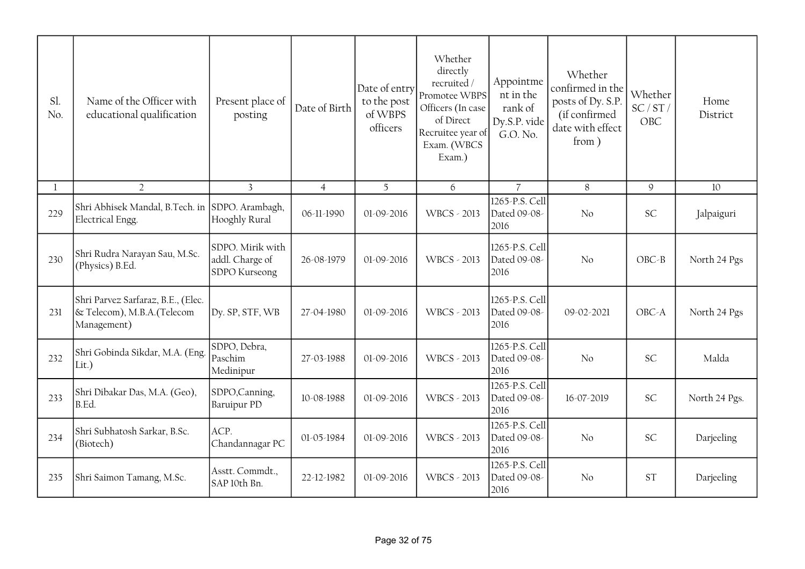| Sl.<br>No. | Name of the Officer with<br>educational qualification                            | Present place of<br>posting                          | Date of Birth  | Date of entry<br>to the post<br>of WBPS<br>officers | Whether<br>directly<br>recruited /<br>Promotee WBPS<br>Officers (In case<br>of Direct<br>Recruitee year of<br>Exam. (WBCS<br>Exam.) | Appointme<br>nt in the<br>rank of<br>Dy.S.P. vide<br>G.O. No. | Whether<br>confirmed in the<br>posts of Dy. S.P.<br>(if confirmed<br>date with effect<br>from) | Whether<br>SC/ST/<br>OBC | Home<br>District |
|------------|----------------------------------------------------------------------------------|------------------------------------------------------|----------------|-----------------------------------------------------|-------------------------------------------------------------------------------------------------------------------------------------|---------------------------------------------------------------|------------------------------------------------------------------------------------------------|--------------------------|------------------|
|            | $\overline{2}$                                                                   | $\overline{3}$                                       | $\overline{4}$ | 5                                                   | 6                                                                                                                                   | $\overline{7}$                                                | 8                                                                                              | 9                        | 10               |
| 229        | Shri Abhisek Mandal, B.Tech. in SDPO. Arambagh,<br>Electrical Engg.              | Hooghly Rural                                        | 06-11-1990     | 01-09-2016                                          | <b>WBCS - 2013</b>                                                                                                                  | 1265-P.S. Cell<br>Dated 09-08-<br>2016                        | No                                                                                             | <b>SC</b>                | Jalpaiguri       |
| 230        | Shri Rudra Narayan Sau, M.Sc.<br>(Physics) B.Ed.                                 | SDPO. Mirik with<br>addl. Charge of<br>SDPO Kurseong | 26-08-1979     | 01-09-2016                                          | <b>WBCS - 2013</b>                                                                                                                  | 1265-P.S. Cell<br>Dated 09-08-<br>2016                        | No                                                                                             | $OBC - B$                | North 24 Pgs     |
| 231        | Shri Parvez Sarfaraz, B.E., (Elec.<br>& Telecom), M.B.A. (Telecom<br>Management) | Dy. SP, STF, WB                                      | 27-04-1980     | $01-09-2016$                                        | <b>WBCS - 2013</b>                                                                                                                  | 1265-P.S. Cell<br>Dated 09-08-<br>2016                        | 09-02-2021                                                                                     | OBC-A                    | North 24 Pgs     |
| 232        | Shri Gobinda Sikdar, M.A. (Eng.<br>Lit.)                                         | SDPO, Debra,<br>Paschim<br>Medinipur                 | 27-03-1988     | 01-09-2016                                          | <b>WBCS - 2013</b>                                                                                                                  | 1265-P.S. Cell<br>Dated 09-08-<br>2016                        | No                                                                                             | <b>SC</b>                | Malda            |
| 233        | Shri Dibakar Das, M.A. (Geo),<br>B.Ed.                                           | SDPO,Canning,<br><b>Baruipur PD</b>                  | 10-08-1988     | 01-09-2016                                          | <b>WBCS - 2013</b>                                                                                                                  | 1265-P.S. Cell<br>Dated 09-08-<br>2016                        | 16-07-2019                                                                                     | <b>SC</b>                | North 24 Pgs.    |
| 234        | Shri Subhatosh Sarkar, B.Sc.<br>(Biotech)                                        | ACP.<br>Chandannagar PC                              | 01-05-1984     | 01-09-2016                                          | <b>WBCS - 2013</b>                                                                                                                  | 1265-P.S. Cell<br>Dated 09-08-<br>2016                        | No                                                                                             | <b>SC</b>                | Darjeeling       |
| 235        | Shri Saimon Tamang, M.Sc.                                                        | Asstt. Commdt.,<br>SAP 10th Bn.                      | 22-12-1982     | 01-09-2016                                          | WBCS - 2013                                                                                                                         | 1265-P.S. Cell<br>Dated 09-08-<br>2016                        | No                                                                                             | <b>ST</b>                | Darjeeling       |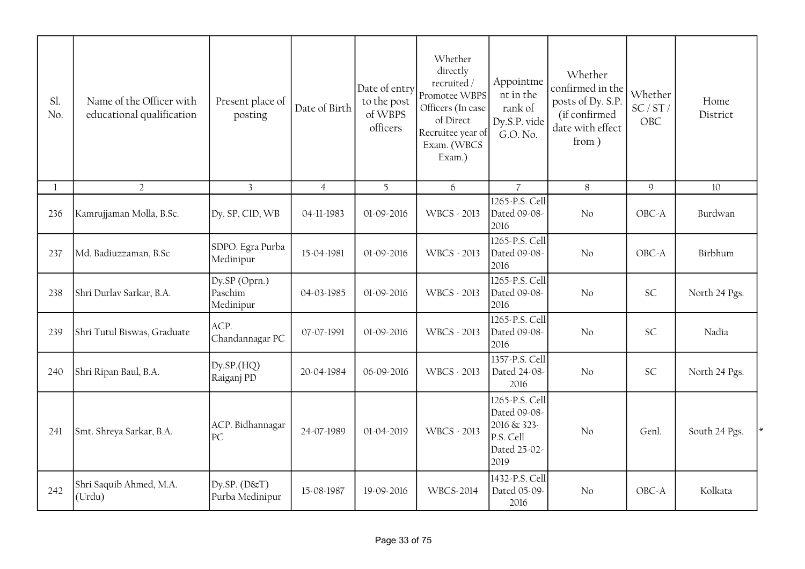| Sl.<br>No. | Name of the Officer with<br>educational qualification | Present place of<br>posting           | Date of Birth  | Date of entry<br>to the post<br>of WBPS<br>officers | Whether<br>directly<br>recruited/<br>Promotee WBPS<br>Officers (In case<br>of Direct<br>Recruitee year of<br>Exam. (WBCS<br>Exam.) | Appointme<br>nt in the<br>rank of<br>Dy.S.P. vide<br>G.O. No.                      | Whether<br>confirmed in the<br>posts of Dy. S.P.<br>(if confirmed<br>date with effect<br>from) | Whether<br>SC/ST/<br>OBC | Home<br>District |
|------------|-------------------------------------------------------|---------------------------------------|----------------|-----------------------------------------------------|------------------------------------------------------------------------------------------------------------------------------------|------------------------------------------------------------------------------------|------------------------------------------------------------------------------------------------|--------------------------|------------------|
| 1          | $\overline{2}$                                        | $\overline{3}$                        | $\overline{4}$ | 5                                                   | 6                                                                                                                                  | $\overline{7}$                                                                     | 8                                                                                              | $\mathsf g$              | 10               |
| 236        | Kamrujjaman Molla, B.Sc.                              | Dy. SP, CID, WB                       | 04-11-1983     | 01-09-2016                                          | <b>WBCS - 2013</b>                                                                                                                 | 1265-P.S. Cell<br>Dated 09-08-<br>2016                                             | No                                                                                             | OBC-A                    | Burdwan          |
| 237        | Md. Badiuzzaman, B.Sc                                 | SDPO. Egra Purba<br>Medinipur         | 15-04-1981     | 01-09-2016                                          | <b>WBCS - 2013</b>                                                                                                                 | 1265-P.S. Cell<br>Dated 09-08-<br>2016                                             | No                                                                                             | OBC-A                    | Birbhum          |
| 238        | Shri Durlav Sarkar, B.A.                              | Dy.SP (Oprn.)<br>Paschim<br>Medinipur | 04-03-1985     | 01-09-2016                                          | <b>WBCS - 2013</b>                                                                                                                 | 1265-P.S. Cell<br>Dated 09-08-<br>2016                                             | No                                                                                             | SC                       | North 24 Pgs.    |
| 239        | Shri Tutul Biswas, Graduate                           | ACP.<br>Chandannagar PC               | 07-07-1991     | 01-09-2016                                          | WBCS - 2013                                                                                                                        | 1265-P.S. Cell<br>Dated 09-08-<br>2016                                             | No                                                                                             | SC                       | Nadia            |
| 240        | Shri Ripan Baul, B.A.                                 | Dy.SP.(HQ)<br>Raiganj PD              | 20-04-1984     | 06-09-2016                                          | <b>WBCS - 2013</b>                                                                                                                 | 1357-P.S. Cell<br>Dated 24-08-<br>2016                                             | No                                                                                             | SC                       | North 24 Pgs.    |
| 241        | Smt. Shreya Sarkar, B.A.                              | ACP. Bidhannagar<br>PC                | 24-07-1989     | 01-04-2019                                          | <b>WBCS - 2013</b>                                                                                                                 | 1265-P.S. Cell<br>Dated 09-08-<br>2016 & 323-<br>P.S. Cell<br>Dated 25-02-<br>2019 | No                                                                                             | Genl.                    | South 24 Pgs.    |
| 242        | Shri Saquib Ahmed, M.A.<br>(Urdu)                     | Dy.SP. $(D&T)$<br>Purba Medinipur     | 15-08-1987     | 19-09-2016                                          | <b>WBCS-2014</b>                                                                                                                   | 1432-P.S. Cell<br>Dated 05-09-<br>2016                                             | No                                                                                             | OBC-A                    | Kolkata          |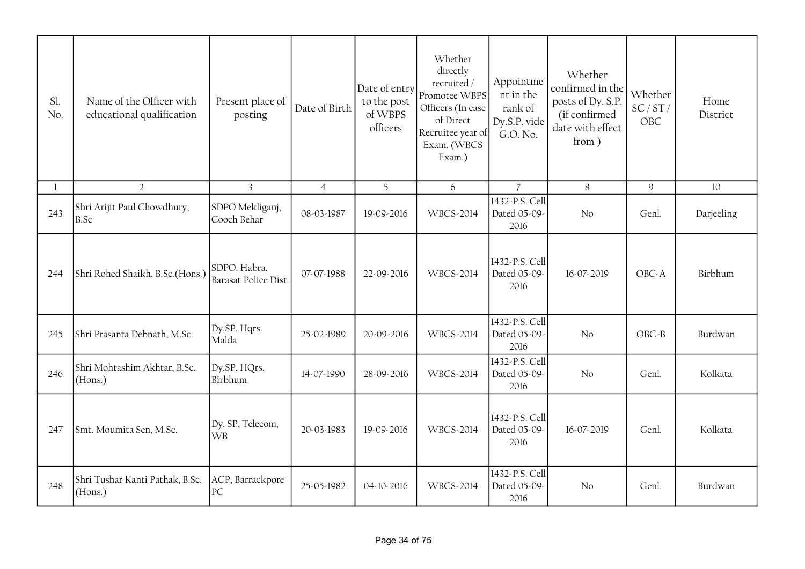| Sl.<br>No. | Name of the Officer with<br>educational qualification | Present place of<br>posting          | Date of Birth  | Date of entry<br>to the post<br>of WBPS<br>officers | Whether<br>directly<br>recruited/<br>Promotee WBPS<br>Officers (In case<br>of Direct<br>Recruitee year of<br>Exam. (WBCS<br>Exam.) | Appointme<br>nt in the<br>rank of<br>Dy.S.P. vide<br>G.O. No. | Whether<br>confirmed in the<br>posts of Dy. S.P.<br>(if confirmed<br>date with effect<br>from) | Whether<br>SC/ST/<br>OBC | Home<br>District |
|------------|-------------------------------------------------------|--------------------------------------|----------------|-----------------------------------------------------|------------------------------------------------------------------------------------------------------------------------------------|---------------------------------------------------------------|------------------------------------------------------------------------------------------------|--------------------------|------------------|
| 1          | $\overline{2}$                                        | $\overline{3}$                       | $\overline{4}$ | $\overline{5}$                                      | $\boldsymbol{6}$                                                                                                                   | $\overline{7}$                                                | $\, 8$                                                                                         | $\mathcal{G}$            | 10               |
| 243        | Shri Arijit Paul Chowdhury,<br>B.Sc                   | SDPO Mekliganj,<br>Cooch Behar       | 08-03-1987     | 19-09-2016                                          | <b>WBCS-2014</b>                                                                                                                   | 1432-P.S. Cell<br>Dated 05-09-<br>2016                        | No                                                                                             | Genl.                    | Darjeeling       |
| 244        | Shri Rohed Shaikh, B.Sc.(Hons.)                       | SDPO. Habra,<br>Barasat Police Dist. | 07-07-1988     | 22-09-2016                                          | <b>WBCS-2014</b>                                                                                                                   | 1432-P.S. Cell<br>Dated 05-09-<br>2016                        | 16-07-2019                                                                                     | OBC-A                    | Birbhum          |
| 245        | Shri Prasanta Debnath, M.Sc.                          | Dy.SP. Hqrs.<br>Malda                | 25-02-1989     | 20-09-2016                                          | <b>WBCS-2014</b>                                                                                                                   | 1432-P.S. Cell<br>Dated 05-09-<br>2016                        | No                                                                                             | $OBC - B$                | Burdwan          |
| 246        | Shri Mohtashim Akhtar, B.Sc.<br>(Hons.)               | Dy SP. HQrs.<br>Birbhum              | 14-07-1990     | 28-09-2016                                          | <b>WBCS-2014</b>                                                                                                                   | 1432-P.S. Cell<br>Dated 05-09-<br>2016                        | No                                                                                             | Genl.                    | Kolkata          |
| 247        | Smt. Moumita Sen, M.Sc.                               | Dy. SP, Telecom,<br><b>WB</b>        | 20-03-1983     | 19-09-2016                                          | <b>WBCS-2014</b>                                                                                                                   | 1432-P.S. Cell<br>Dated 05-09-<br>2016                        | 16-07-2019                                                                                     | Genl.                    | Kolkata          |
| 248        | Shri Tushar Kanti Pathak, B.Sc.<br>(Hons.)            | ACP, Barrackpore<br>PC               | 25-05-1982     | 04-10-2016                                          | <b>WBCS-2014</b>                                                                                                                   | 1432-P.S. Cell<br>Dated 05-09-<br>2016                        | No                                                                                             | Genl.                    | Burdwan          |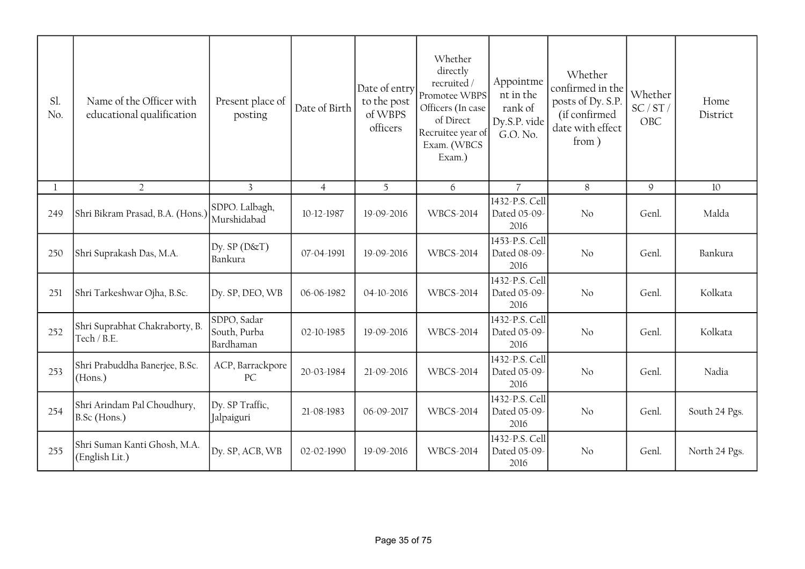| Sl.<br>No. | Name of the Officer with<br>educational qualification | Present place of<br>posting              | Date of Birth  | Date of entry<br>to the post<br>of WBPS<br>officers | Whether<br>directly<br>recruited /<br>Promotee WBPS<br>Officers (In case<br>of Direct<br>Recruitee year of<br>Exam. (WBCS<br>Exam.) | Appointme<br>nt in the<br>rank of<br>Dy.S.P. vide<br>G.O. No. | Whether<br>confirmed in the<br>posts of Dy. S.P.<br>(if confirmed<br>date with effect<br>from ) | Whether<br>SC/ST/<br>OBC | Home<br>District |
|------------|-------------------------------------------------------|------------------------------------------|----------------|-----------------------------------------------------|-------------------------------------------------------------------------------------------------------------------------------------|---------------------------------------------------------------|-------------------------------------------------------------------------------------------------|--------------------------|------------------|
|            | $\overline{2}$                                        | $\overline{3}$                           | $\overline{4}$ | 5                                                   | 6                                                                                                                                   | $\overline{7}$                                                | 8                                                                                               | $\mathcal{G}$            | 10               |
| 249        | Shri Bikram Prasad, B.A. (Hons.)                      | SDPO. Lalbagh,<br>Murshidabad            | 10-12-1987     | 19-09-2016                                          | <b>WBCS-2014</b>                                                                                                                    | 1432-P.S. Cell<br>Dated 05-09-<br>2016                        | No                                                                                              | Genl.                    | Malda            |
| 250        | Shri Suprakash Das, M.A.                              | Dy. $SP(D&T)$<br>Bankura                 | 07-04-1991     | 19-09-2016                                          | <b>WBCS-2014</b>                                                                                                                    | 1453-P.S. Cell<br>Dated 08-09-<br>2016                        | No                                                                                              | Genl.                    | Bankura          |
| 251        | Shri Tarkeshwar Ojha, B.Sc.                           | Dy. SP, DEO, WB                          | 06-06-1982     | 04-10-2016                                          | <b>WBCS-2014</b>                                                                                                                    | 1432-P.S. Cell<br>Dated 05-09-<br>2016                        | No                                                                                              | Genl.                    | Kolkata          |
| 252        | Shri Suprabhat Chakraborty, B.<br>Tech / B.E.         | SDPO, Sadar<br>South, Purba<br>Bardhaman | 02-10-1985     | 19-09-2016                                          | WBCS-2014                                                                                                                           | 1432-P.S. Cell<br>Dated 05-09-<br>2016                        | No                                                                                              | Genl.                    | Kolkata          |
| 253        | Shri Prabuddha Banerjee, B.Sc.<br>(Hons.)             | ACP, Barrackpore<br>PC                   | 20-03-1984     | 21-09-2016                                          | <b>WBCS-2014</b>                                                                                                                    | 1432-P.S. Cell<br>Dated 05-09-<br>2016                        | No                                                                                              | Genl.                    | Nadia            |
| 254        | Shri Arindam Pal Choudhury,<br>B.Sc (Hons.)           | Dy. SP Traffic,<br>Jalpaiguri            | 21-08-1983     | 06-09-2017                                          | <b>WBCS-2014</b>                                                                                                                    | 1432-P.S. Cell<br>Dated 05-09-<br>2016                        | No                                                                                              | Genl.                    | South 24 Pgs.    |
| 255        | Shri Suman Kanti Ghosh, M.A.<br>(English Lit.)        | Dy. SP, ACB, WB                          | 02-02-1990     | 19-09-2016                                          | <b>WBCS-2014</b>                                                                                                                    | 1432-P.S. Cell<br>Dated 05-09-<br>2016                        | No                                                                                              | Genl.                    | North 24 Pgs.    |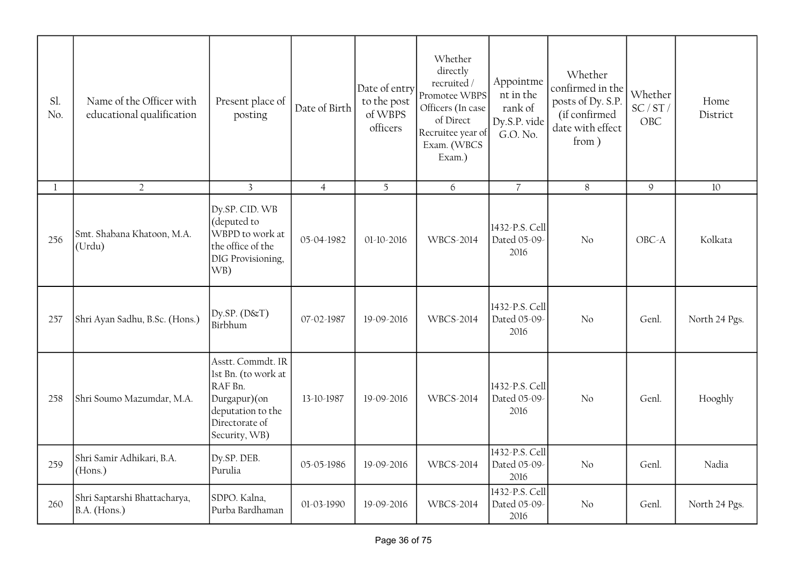| Sl.<br>No. | Name of the Officer with<br>educational qualification | Present place of<br>posting                                                                                                 | Date of Birth  | Date of entry<br>to the post<br>of WBPS<br>officers | Whether<br>directly<br>recruited /<br>Promotee WBPS<br>Officers (In case<br>of Direct<br>Recruitee year of<br>Exam. (WBCS<br>Exam.) | Appointme<br>nt in the<br>rank of<br>Dy.S.P. vide<br>G.O. No. | Whether<br>confirmed in the<br>posts of Dy. S.P.<br>(if confirmed<br>date with effect<br>from) | Whether<br>SC/ST/<br>OBC | Home<br>District |
|------------|-------------------------------------------------------|-----------------------------------------------------------------------------------------------------------------------------|----------------|-----------------------------------------------------|-------------------------------------------------------------------------------------------------------------------------------------|---------------------------------------------------------------|------------------------------------------------------------------------------------------------|--------------------------|------------------|
| 1          | $\overline{2}$                                        | $\overline{3}$                                                                                                              | $\overline{4}$ | 5                                                   | 6                                                                                                                                   | $\overline{7}$                                                | 8                                                                                              | $\mathsf g$              | 10               |
| 256        | Smt. Shabana Khatoon, M.A.<br>(Urdu)                  | Dy.SP. CID. WB<br>(deputed to<br>WBPD to work at<br>the office of the<br>DIG Provisioning,<br>WB)                           | 05-04-1982     | 01-10-2016                                          | <b>WBCS-2014</b>                                                                                                                    | 1432-P.S. Cell<br>Dated 05-09-<br>2016                        | No                                                                                             | OBC-A                    | Kolkata          |
| 257        | Shri Ayan Sadhu, B.Sc. (Hons.)                        | $Dy$ .SP. ( $D$ $\&$ T)<br>Birbhum                                                                                          | 07-02-1987     | 19-09-2016                                          | <b>WBCS-2014</b>                                                                                                                    | 1432-P.S. Cell<br>Dated 05-09-<br>2016                        | No.                                                                                            | Genl.                    | North 24 Pgs.    |
| 258        | Shri Soumo Mazumdar, M.A.                             | Asstt. Commdt. IR<br>lst Bn. (to work at<br>RAF Bn.<br>Durgapur)(on<br>deputation to the<br>Directorate of<br>Security, WB) | 13-10-1987     | 19-09-2016                                          | <b>WBCS-2014</b>                                                                                                                    | 1432-P.S. Cell<br>Dated 05-09-<br>2016                        | No                                                                                             | Genl.                    | Hooghly          |
| 259        | Shri Samir Adhikari, B.A.<br>(Hons.)                  | Dy.SP. DEB.<br>Purulia                                                                                                      | 05-05-1986     | 19-09-2016                                          | <b>WBCS-2014</b>                                                                                                                    | 1432-P.S. Cell<br>Dated 05-09-<br>2016                        | No                                                                                             | Genl.                    | Nadia            |
| 260        | Shri Saptarshi Bhattacharya,<br>B.A. (Hons.)          | SDPO. Kalna,<br>Purba Bardhaman                                                                                             | 01-03-1990     | 19-09-2016                                          | <b>WBCS-2014</b>                                                                                                                    | 1432-P.S. Cell<br>Dated 05-09-<br>2016                        | No.                                                                                            | Genl.                    | North 24 Pgs.    |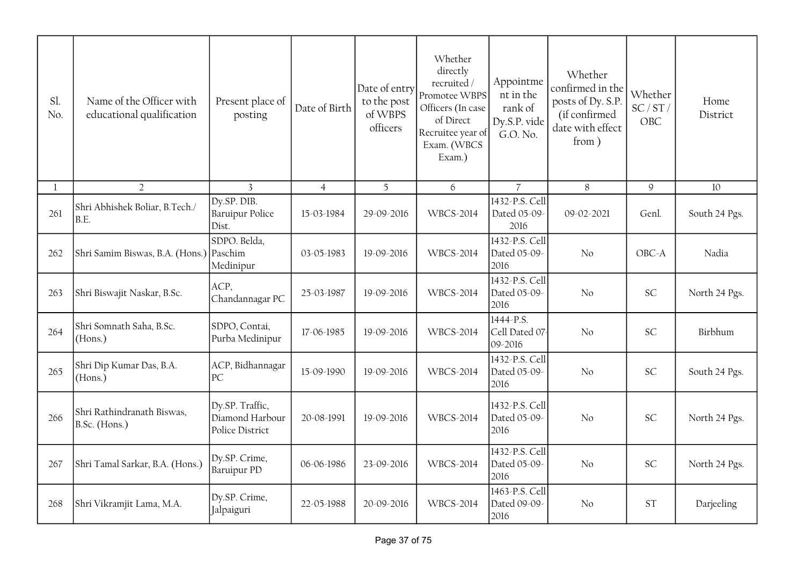| Sl.<br>No. | Name of the Officer with<br>educational qualification | Present place of<br>posting                           | Date of Birth  | Date of entry<br>to the post<br>of WBPS<br>officers | Whether<br>directly<br>recruited/<br>Promotee WBPS<br>Officers (In case<br>of Direct<br>Recruitee year of<br>Exam. (WBCS<br>Exam.) | Appointme<br>nt in the<br>rank of<br>Dy.S.P. vide<br>G.O. No. | Whether<br>confirmed in the<br>posts of Dy. S.P.<br>(if confirmed<br>date with effect<br>from) | Whether<br>SC/ST/<br>OBC | Home<br>District |
|------------|-------------------------------------------------------|-------------------------------------------------------|----------------|-----------------------------------------------------|------------------------------------------------------------------------------------------------------------------------------------|---------------------------------------------------------------|------------------------------------------------------------------------------------------------|--------------------------|------------------|
| 1          | $\overline{2}$                                        | 3                                                     | $\overline{4}$ | 5                                                   | 6                                                                                                                                  | $\overline{7}$                                                | 8                                                                                              | 9                        | 10               |
| 261        | Shri Abhishek Boliar, B.Tech./<br>B.E.                | Dy.SP. DIB.<br><b>Baruipur Police</b><br>Dist.        | 15-03-1984     | 29-09-2016                                          | <b>WBCS-2014</b>                                                                                                                   | 1432-P.S. Cell<br>Dated 05-09-<br>2016                        | 09-02-2021                                                                                     | Genl.                    | South 24 Pgs.    |
| 262        | Shri Samim Biswas, B.A. (Hons.) Paschim               | SDPO. Belda,<br>Medinipur                             | 03-05-1983     | 19-09-2016                                          | <b>WBCS-2014</b>                                                                                                                   | 1432-P.S. Cell<br>Dated 05-09<br>2016                         | No                                                                                             | OBC-A                    | Nadia            |
| 263        | Shri Biswajit Naskar, B.Sc.                           | ACP,<br>Chandannagar PC                               | 25-03-1987     | 19-09-2016                                          | WBCS-2014                                                                                                                          | 1432-P.S. Cell<br>Dated 05-09<br>2016                         | No                                                                                             | SC                       | North 24 Pgs.    |
| 264        | Shri Somnath Saha, B.Sc.<br>(Hons.)                   | SDPO, Contai,<br>Purba Medinipur                      | 17-06-1985     | 19-09-2016                                          | <b>WBCS-2014</b>                                                                                                                   | 1444-P.S.<br>Cell Dated 07<br>09-2016                         | No                                                                                             | <b>SC</b>                | Birbhum          |
| 265        | Shri Dip Kumar Das, B.A.<br>(Hons.)                   | ACP, Bidhannagar<br>PC                                | 15-09-1990     | 19-09-2016                                          | <b>WBCS-2014</b>                                                                                                                   | 1432-P.S. Cell<br>Dated 05-09-<br>2016                        | No                                                                                             | SC                       | South 24 Pgs.    |
| 266        | Shri Rathindranath Biswas,<br>B.Sc. (Hons.)           | Dy.SP. Traffic,<br>Diamond Harbour<br>Police District | 20-08-1991     | 19-09-2016                                          | <b>WBCS-2014</b>                                                                                                                   | 1432-P.S. Cell<br>Dated 05-09<br>2016                         | No                                                                                             | SC                       | North 24 Pgs.    |
| 267        | Shri Tamal Sarkar, B.A. (Hons.)                       | Dy.SP. Crime,<br><b>Baruipur PD</b>                   | 06-06-1986     | 23-09-2016                                          | WBCS-2014                                                                                                                          | 1432-P.S. Cell<br>Dated 05-09<br>2016                         | No                                                                                             | SC                       | North 24 Pgs.    |
| 268        | Shri Vikramjit Lama, M.A.                             | Dy.SP. Crime,<br>Jalpaiguri                           | 22-05-1988     | 20-09-2016                                          | <b>WBCS-2014</b>                                                                                                                   | 1463-P.S. Cell<br>Dated 09-09-<br>2016                        | No                                                                                             | <b>ST</b>                | Darjeeling       |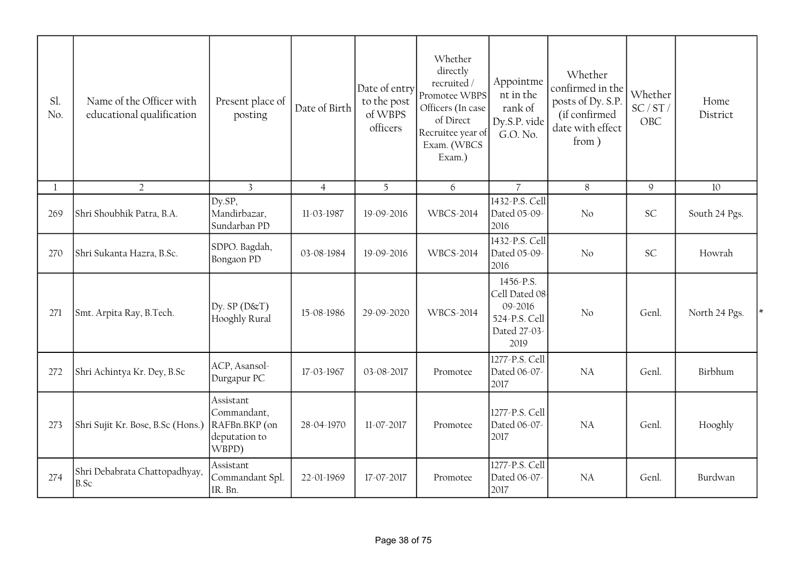| Sl.<br>No. | Name of the Officer with<br>educational qualification | Present place of<br>posting                                         | Date of Birth  | Date of entry<br>to the post<br>of WBPS<br>officers | Whether<br>directly<br>recruited/<br>Promotee WBPS<br>Officers (In case<br>of Direct<br>Recruitee year of<br>Exam. (WBCS<br>Exam.) | Appointme<br>nt in the<br>rank of<br>Dy.S.P. vide<br>G.O. No.                  | Whether<br>confirmed in the<br>posts of Dy. S.P.<br>(if confirmed<br>date with effect<br>from) | Whether<br>SC/ST/<br>OBC | Home<br>District |
|------------|-------------------------------------------------------|---------------------------------------------------------------------|----------------|-----------------------------------------------------|------------------------------------------------------------------------------------------------------------------------------------|--------------------------------------------------------------------------------|------------------------------------------------------------------------------------------------|--------------------------|------------------|
| 1          | $\overline{2}$                                        | $\overline{3}$                                                      | $\overline{4}$ | 5                                                   | 6                                                                                                                                  | $\overline{7}$                                                                 | 8                                                                                              | $\mathcal{Q}$            | 10               |
| 269        | Shri Shoubhik Patra, B.A.                             | Dy.SP,<br>Mandirbazar,<br>Sundarban PD                              | 11-03-1987     | 19-09-2016                                          | <b>WBCS-2014</b>                                                                                                                   | 1432-P.S. Cell<br>Dated 05-09-<br>2016                                         | No                                                                                             | <b>SC</b>                | South 24 Pgs.    |
| 270        | Shri Sukanta Hazra, B.Sc.                             | SDPO. Bagdah,<br>Bongaon PD                                         | 03-08-1984     | 19-09-2016                                          | <b>WBCS-2014</b>                                                                                                                   | 1432-P.S. Cell<br>Dated 05-09-<br>2016                                         | No                                                                                             | <b>SC</b>                | Howrah           |
| 271        | Smt. Arpita Ray, B.Tech.                              | $Dy$ . SP ( $D\&T$ )<br>Hooghly Rural                               | 15-08-1986     | 29-09-2020                                          | <b>WBCS-2014</b>                                                                                                                   | 1456-P.S.<br>Cell Dated 08<br>09-2016<br>524-P.S. Cell<br>Dated 27-03-<br>2019 | No                                                                                             | Genl.                    | North 24 Pgs.    |
| 272        | Shri Achintya Kr. Dey, B.Sc                           | ACP, Asansol-<br>Durgapur PC                                        | 17-03-1967     | 03-08-2017                                          | Promotee                                                                                                                           | 1277-P.S. Cell<br>Dated 06-07-<br>2017                                         | NA                                                                                             | Genl.                    | Birbhum          |
| 273        | Shri Sujit Kr. Bose, B.Sc (Hons.)                     | Assistant<br>Commandant,<br>RAFBn.BKP (on<br>deputation to<br>WBPD) | 28-04-1970     | 11-07-2017                                          | Promotee                                                                                                                           | 1277-P.S. Cell<br>Dated 06-07-<br>2017                                         | NA                                                                                             | Genl.                    | Hooghly          |
| 274        | Shri Debabrata Chattopadhyay,<br>B.Sc                 | Assistant<br>Commandant Spl.<br>IR. Bn.                             | 22-01-1969     | 17-07-2017                                          | Promotee                                                                                                                           | 1277-P.S. Cell<br>Dated 06-07-<br>2017                                         | <b>NA</b>                                                                                      | Genl.                    | Burdwan          |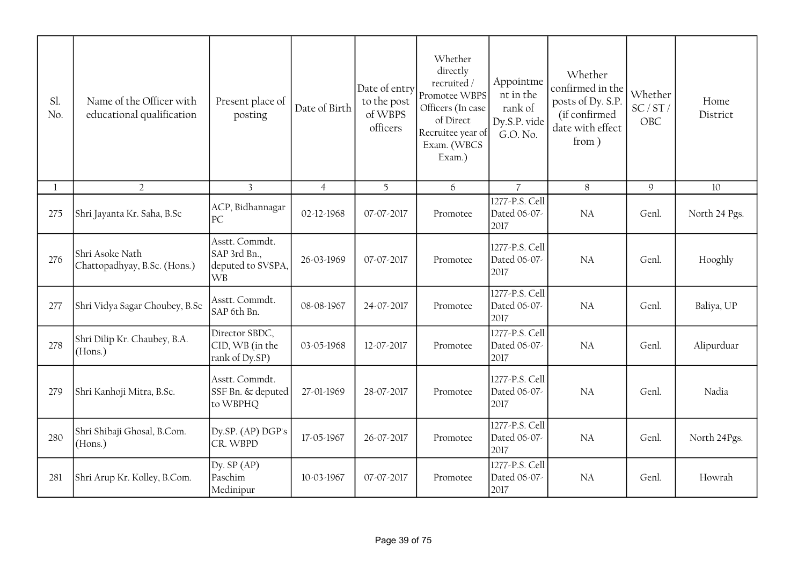| Sl.<br>No. | Name of the Officer with<br>educational qualification | Present place of<br>posting                                      | Date of Birth  | Date of entry<br>to the post<br>of WBPS<br>officers | Whether<br>directly<br>recruited/<br>Promotee WBPS<br>Officers (In case<br>of Direct<br>Recruitee year of<br>Exam. (WBCS<br>Exam.) | Appointme<br>nt in the<br>rank of<br>Dy.S.P. vide<br>G.O. No. | Whether<br>confirmed in the<br>posts of Dy. S.P.<br>(if confirmed<br>date with effect<br>from) | Whether<br>SC/ST/<br>OBC | Home<br>District |
|------------|-------------------------------------------------------|------------------------------------------------------------------|----------------|-----------------------------------------------------|------------------------------------------------------------------------------------------------------------------------------------|---------------------------------------------------------------|------------------------------------------------------------------------------------------------|--------------------------|------------------|
|            | $\overline{2}$                                        | $\overline{3}$                                                   | $\overline{4}$ | 5                                                   | 6                                                                                                                                  | $\overline{7}$                                                | 8                                                                                              | 9                        | 10               |
| 275        | Shri Jayanta Kr. Saha, B.Sc                           | ACP, Bidhannagar<br>PC                                           | 02-12-1968     | 07-07-2017                                          | Promotee                                                                                                                           | 1277-P.S. Cell<br>Dated 06-07-<br>2017                        | NA                                                                                             | Genl.                    | North 24 Pgs.    |
| 276        | Shri Asoke Nath<br>Chattopadhyay, B.Sc. (Hons.)       | Asstt. Commdt.<br>SAP 3rd Bn.,<br>deputed to SVSPA,<br><b>WB</b> | 26-03-1969     | 07-07-2017                                          | Promotee                                                                                                                           | 1277-P.S. Cell<br>Dated 06-07-<br>2017                        | <b>NA</b>                                                                                      | Genl.                    | Hooghly          |
| 277        | Shri Vidya Sagar Choubey, B.Sc                        | Asstt. Commdt.<br>SAP 6th Bn.                                    | 08-08-1967     | 24-07-2017                                          | Promotee                                                                                                                           | 1277-P.S. Cell<br>Dated 06-07-<br>2017                        | <b>NA</b>                                                                                      | Genl.                    | Baliya, UP       |
| 278        | Shri Dilip Kr. Chaubey, B.A.<br>(Hons.)               | Director SBDC,<br>CID, WB (in the<br>rank of Dy.SP)              | 03-05-1968     | 12-07-2017                                          | Promotee                                                                                                                           | 1277-P.S. Cell<br>Dated 06-07-<br>2017                        | NA                                                                                             | Genl.                    | Alipurduar       |
| 279        | Shri Kanhoji Mitra, B.Sc.                             | Asstt. Commdt.<br>SSF Bn. & deputed<br>to WBPHQ                  | 27-01-1969     | 28-07-2017                                          | Promotee                                                                                                                           | 1277-P.S. Cell<br>Dated 06-07-<br>2017                        | <b>NA</b>                                                                                      | Genl.                    | Nadia            |
| 280        | Shri Shibaji Ghosal, B.Com.<br>(Hons.)                | Dy.SP. (AP) DGP's<br>CR. WBPD                                    | 17-05-1967     | 26-07-2017                                          | Promotee                                                                                                                           | 1277-P.S. Cell<br>Dated 06-07-<br>2017                        | <b>NA</b>                                                                                      | Genl.                    | North 24Pgs.     |
| 281        | Shri Arup Kr. Kolley, B.Com.                          | Dy. $SP(AP)$<br>Paschim<br>Medinipur                             | 10-03-1967     | 07-07-2017                                          | Promotee                                                                                                                           | 1277-P.S. Cell<br>Dated 06-07-<br>2017                        | <b>NA</b>                                                                                      | Genl.                    | Howrah           |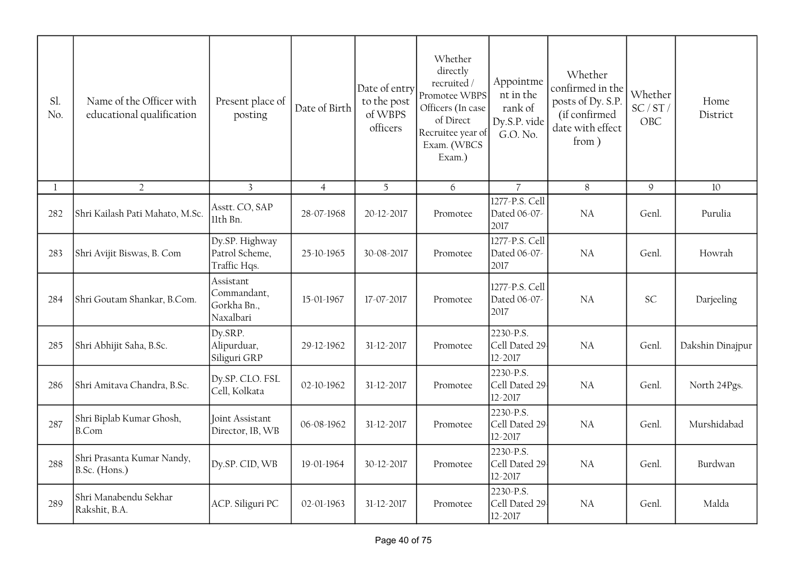| Sl.<br>No. | Name of the Officer with<br>educational qualification | Present place of<br>posting                          | Date of Birth  | Date of entry<br>to the post<br>of WBPS<br>officers | Whether<br>directly<br>recruited /<br>Promotee WBPS<br>Officers (In case<br>of Direct<br>Recruitee year of<br>Exam. (WBCS<br>Exam.) | Appointme<br>nt in the<br>rank of<br>Dy.S.P. vide<br>G.O. No. | Whether<br>confirmed in the<br>posts of Dy. S.P.<br>(if confirmed<br>date with effect<br>from) | Whether<br>SC/ST/<br>OBC | Home<br>District |
|------------|-------------------------------------------------------|------------------------------------------------------|----------------|-----------------------------------------------------|-------------------------------------------------------------------------------------------------------------------------------------|---------------------------------------------------------------|------------------------------------------------------------------------------------------------|--------------------------|------------------|
| 1          | $\overline{2}$                                        | $\overline{3}$                                       | $\overline{4}$ | 5                                                   | 6                                                                                                                                   | $\overline{7}$                                                | 8                                                                                              | $\mathsf 9$              | 10               |
| 282        | Shri Kailash Pati Mahato, M.Sc.                       | Asstt. CO, SAP<br>llth Bn.                           | 28-07-1968     | 20-12-2017                                          | Promotee                                                                                                                            | 1277-P.S. Cell<br>Dated 06-07-<br>2017                        | NA                                                                                             | Genl.                    | Purulia          |
| 283        | Shri Avijit Biswas, B. Com                            | Dy.SP. Highway<br>Patrol Scheme,<br>Traffic Hqs.     | 25-10-1965     | 30-08-2017                                          | Promotee                                                                                                                            | 1277-P.S. Cell<br>Dated 06-07-<br>2017                        | NA                                                                                             | Genl.                    | Howrah           |
| 284        | Shri Goutam Shankar, B.Com.                           | Assistant<br>Commandant,<br>Gorkha Bn.,<br>Naxalbari | 15-01-1967     | 17-07-2017                                          | Promotee                                                                                                                            | 1277-P.S. Cell<br>Dated 06-07-<br>2017                        | <b>NA</b>                                                                                      | <b>SC</b>                | Darjeeling       |
| 285        | Shri Abhijit Saha, B.Sc.                              | Dy.SRP.<br>Alipurduar,<br>Siliguri GRP               | 29-12-1962     | 31-12-2017                                          | Promotee                                                                                                                            | 2230-P.S.<br>Cell Dated 29.<br>12-2017                        | <b>NA</b>                                                                                      | Genl.                    | Dakshin Dinajpur |
| 286        | Shri Amitava Chandra, B.Sc.                           | Dy.SP. CLO. FSL<br>Cell, Kolkata                     | 02-10-1962     | 31-12-2017                                          | Promotee                                                                                                                            | 2230-P.S.<br>Cell Dated 29<br>12-2017                         | <b>NA</b>                                                                                      | Genl.                    | North 24Pgs.     |
| 287        | Shri Biplab Kumar Ghosh,<br>B.Com                     | Joint Assistant<br>Director, IB, WB                  | 06-08-1962     | 31-12-2017                                          | Promotee                                                                                                                            | 2230-P.S.<br>Cell Dated 29<br>12-2017                         | <b>NA</b>                                                                                      | Genl.                    | Murshidabad      |
| 288        | Shri Prasanta Kumar Nandy,<br>B.Sc. (Hons.)           | Dy.SP. CID, WB                                       | 19-01-1964     | 30-12-2017                                          | Promotee                                                                                                                            | 2230-P.S.<br>Cell Dated 29<br>12-2017                         | NA                                                                                             | Genl.                    | Burdwan          |
| 289        | Shri Manabendu Sekhar<br>Rakshit, B.A.                | ACP. Siliguri PC                                     | 02-01-1963     | 31-12-2017                                          | Promotee                                                                                                                            | 2230-P.S.<br>Cell Dated 29<br>12-2017                         | NA                                                                                             | Genl.                    | Malda            |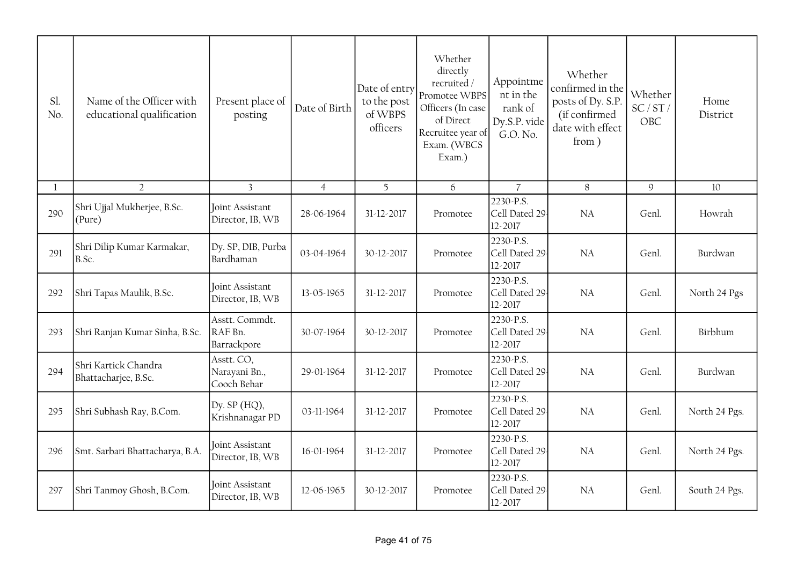| Sl.<br>No.   | Name of the Officer with<br>educational qualification | Present place of<br>posting                | Date of Birth  | Date of entry<br>to the post<br>of WBPS<br>officers | Whether<br>directly<br>recruited /<br>Promotee WBPS<br>Officers (In case<br>of Direct<br>Recruitee year of<br>Exam. (WBCS<br>Exam.) | Appointme<br>nt in the<br>rank of<br>Dy.S.P. vide<br>G.O. No. | Whether<br>confirmed in the<br>posts of Dy. S.P.<br>(if confirmed<br>date with effect<br>from) | Whether<br>SC/ST/<br>OBC | Home<br>District |
|--------------|-------------------------------------------------------|--------------------------------------------|----------------|-----------------------------------------------------|-------------------------------------------------------------------------------------------------------------------------------------|---------------------------------------------------------------|------------------------------------------------------------------------------------------------|--------------------------|------------------|
| $\mathbf{1}$ | $\overline{2}$                                        | $\overline{3}$                             | $\overline{4}$ | 5                                                   | 6                                                                                                                                   | $\overline{7}$                                                | 8                                                                                              | 9                        | 10               |
| 290          | Shri Ujjal Mukherjee, B.Sc.<br>(Pure)                 | Joint Assistant<br>Director, IB, WB        | 28-06-1964     | 31-12-2017                                          | Promotee                                                                                                                            | 2230-P.S.<br>Cell Dated 29<br>12-2017                         | NA                                                                                             | Genl.                    | Howrah           |
| 291          | Shri Dilip Kumar Karmakar,<br>B.Sc.                   | Dy. SP, DIB, Purba<br>Bardhaman            | 03-04-1964     | 30-12-2017                                          | Promotee                                                                                                                            | 2230-P.S.<br>Cell Dated 29<br>12-2017                         | NA                                                                                             | Genl.                    | Burdwan          |
| 292          | Shri Tapas Maulik, B.Sc.                              | Joint Assistant<br>Director, IB, WB        | 13-05-1965     | 31-12-2017                                          | Promotee                                                                                                                            | 2230-P.S.<br>Cell Dated 29<br>12-2017                         | <b>NA</b>                                                                                      | Genl.                    | North 24 Pgs     |
| 293          | Shri Ranjan Kumar Sinha, B.Sc.                        | Asstt. Commdt.<br>RAF Bn.<br>Barrackpore   | 30-07-1964     | 30-12-2017                                          | Promotee                                                                                                                            | 2230-P.S.<br>Cell Dated 29<br>12-2017                         | <b>NA</b>                                                                                      | Genl.                    | Birbhum          |
| 294          | Shri Kartick Chandra<br>Bhattacharjee, B.Sc.          | Asstt. CO,<br>Narayani Bn.,<br>Cooch Behar | 29-01-1964     | 31-12-2017                                          | Promotee                                                                                                                            | 2230-P.S.<br>Cell Dated 29<br>12-2017                         | NA                                                                                             | Genl.                    | Burdwan          |
| 295          | Shri Subhash Ray, B.Com.                              | Dy. $SP(HQ)$ ,<br>Krishnanagar PD          | 03-11-1964     | 31-12-2017                                          | Promotee                                                                                                                            | 2230-P.S.<br>Cell Dated 29<br>12-2017                         | NA                                                                                             | Genl.                    | North 24 Pgs.    |
| 296          | Smt. Sarbari Bhattacharya, B.A.                       | Joint Assistant<br>Director, IB, WB        | 16-01-1964     | 31-12-2017                                          | Promotee                                                                                                                            | 2230-P.S.<br>Cell Dated 29<br>12-2017                         | NA                                                                                             | Genl.                    | North 24 Pgs.    |
| 297          | Shri Tanmoy Ghosh, B.Com.                             | Joint Assistant<br>Director, IB, WB        | 12-06-1965     | 30-12-2017                                          | Promotee                                                                                                                            | 2230-P.S.<br>Cell Dated 29<br>12-2017                         | <b>NA</b>                                                                                      | Genl.                    | South 24 Pgs.    |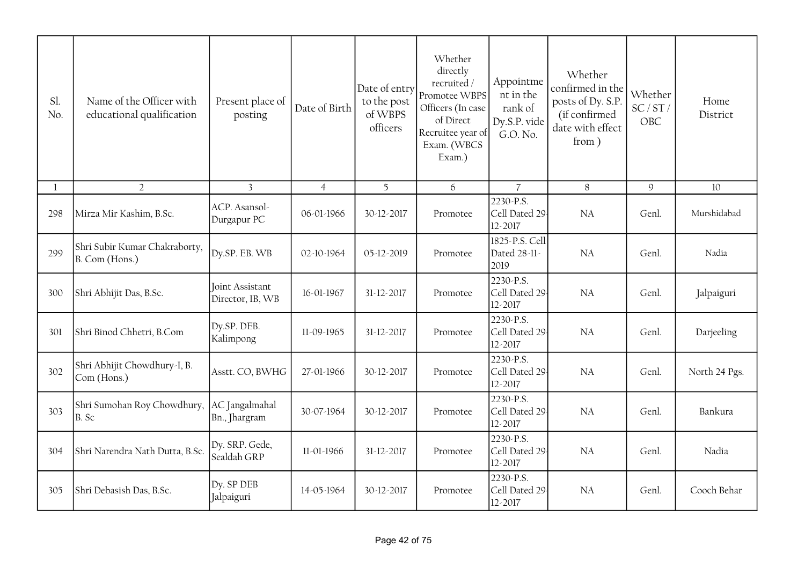| Sl.<br>No.   | Name of the Officer with<br>educational qualification | Present place of<br>posting         | Date of Birth  | Date of entry<br>to the post<br>of WBPS<br>officers | Whether<br>directly<br>recruited /<br>Promotee WBPS<br>Officers (In case<br>of Direct<br>Recruitee year of<br>Exam. (WBCS<br>Exam.) | Appointme<br>nt in the<br>rank of<br>Dy.S.P. vide<br>G.O. No. | Whether<br>confirmed in the<br>posts of Dy. S.P.<br>(if confirmed<br>date with effect<br>from) | Whether<br>SC/ST/<br>OBC | Home<br>District |
|--------------|-------------------------------------------------------|-------------------------------------|----------------|-----------------------------------------------------|-------------------------------------------------------------------------------------------------------------------------------------|---------------------------------------------------------------|------------------------------------------------------------------------------------------------|--------------------------|------------------|
| $\mathbf{l}$ | $\overline{2}$                                        | $\overline{3}$                      | $\overline{4}$ | 5                                                   | 6                                                                                                                                   | $\overline{7}$                                                | $8\,$                                                                                          | 9                        | 10               |
| 298          | Mirza Mir Kashim, B.Sc.                               | ACP. Asansol-<br>Durgapur PC        | 06-01-1966     | 30-12-2017                                          | Promotee                                                                                                                            | 2230-P.S.<br>Cell Dated 29<br>12-2017                         | NA                                                                                             | Genl.                    | Murshidabad      |
| 299          | Shri Subir Kumar Chakraborty,<br>B. Com (Hons.)       | Dy.SP. EB. WB                       | 02-10-1964     | 05-12-2019                                          | Promotee                                                                                                                            | 1825-P.S. Cell<br>Dated 28-11-<br>2019                        | <b>NA</b>                                                                                      | Genl.                    | Nadia            |
| 300          | Shri Abhijit Das, B.Sc.                               | Joint Assistant<br>Director, IB, WB | 16-01-1967     | 31-12-2017                                          | Promotee                                                                                                                            | 2230-P.S.<br>Cell Dated 29<br>12-2017                         | NA                                                                                             | Genl.                    | Jalpaiguri       |
| 301          | Shri Binod Chhetri, B.Com                             | Dy.SP. DEB.<br>Kalimpong            | 11-09-1965     | 31-12-2017                                          | Promotee                                                                                                                            | 2230-P.S.<br>Cell Dated 29<br>12-2017                         | <b>NA</b>                                                                                      | Genl.                    | Darjeeling       |
| 302          | Shri Abhijit Chowdhury-I, B.<br>Com (Hons.)           | Asstt. CO, BWHG                     | 27-01-1966     | 30-12-2017                                          | Promotee                                                                                                                            | 2230-P.S.<br>Cell Dated 29<br>12-2017                         | <b>NA</b>                                                                                      | Genl.                    | North 24 Pgs.    |
| 303          | Shri Sumohan Roy Chowdhury,<br>B. Sc                  | AC Jangalmahal<br>Bn., Jhargram     | 30-07-1964     | 30-12-2017                                          | Promotee                                                                                                                            | 2230-P.S.<br>Cell Dated 29<br>12-2017                         | <b>NA</b>                                                                                      | Genl.                    | Bankura          |
| 304          | Shri Narendra Nath Dutta, B.Sc.                       | Dy. SRP. Gede,<br>Sealdah GRP       | 11-01-1966     | 31-12-2017                                          | Promotee                                                                                                                            | 2230-P.S.<br>Cell Dated 29<br>12-2017                         | <b>NA</b>                                                                                      | Genl.                    | Nadia            |
| 305          | Shri Debasish Das, B.Sc.                              | Dy. SP DEB<br>Jalpaiguri            | 14-05-1964     | 30-12-2017                                          | Promotee                                                                                                                            | 2230-P.S.<br>Cell Dated 29<br>12-2017                         | <b>NA</b>                                                                                      | Genl.                    | Cooch Behar      |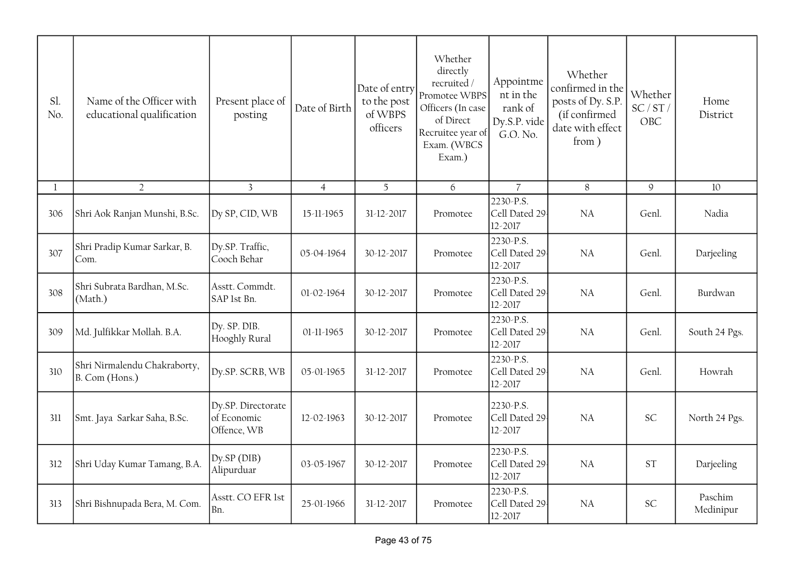| Sl.<br>No. | Name of the Officer with<br>educational qualification | Present place of<br>posting                      | Date of Birth  | Date of entry<br>to the post<br>of WBPS<br>officers | Whether<br>directly<br>recruited/<br>Promotee WBPS<br>Officers (In case<br>of Direct<br>Recruitee year of<br>Exam. (WBCS<br>Exam.) | Appointme<br>nt in the<br>rank of<br>Dy.S.P. vide<br>G.O. No. | Whether<br>confirmed in the<br>posts of Dy. S.P.<br>(if confirmed<br>date with effect<br>from) | Whether<br>SC/ST/<br>OBC | Home<br>District     |
|------------|-------------------------------------------------------|--------------------------------------------------|----------------|-----------------------------------------------------|------------------------------------------------------------------------------------------------------------------------------------|---------------------------------------------------------------|------------------------------------------------------------------------------------------------|--------------------------|----------------------|
| 1          | $\overline{2}$                                        | $\overline{3}$                                   | $\overline{4}$ | 5                                                   | 6                                                                                                                                  | $\overline{7}$                                                | 8                                                                                              | $\mathsf g$              | 10                   |
| 306        | Shri Aok Ranjan Munshi, B.Sc.                         | Dy SP, CID, WB                                   | 15-11-1965     | 31-12-2017                                          | Promotee                                                                                                                           | 2230-P.S.<br>Cell Dated 29<br>12-2017                         | <b>NA</b>                                                                                      | Genl.                    | Nadia                |
| 307        | Shri Pradip Kumar Sarkar, B.<br>Com.                  | Dy.SP. Traffic,<br>Cooch Behar                   | 05-04-1964     | 30-12-2017                                          | Promotee                                                                                                                           | 2230-P.S.<br>Cell Dated 29<br>12-2017                         | NA                                                                                             | Genl.                    | Darjeeling           |
| 308        | Shri Subrata Bardhan, M.Sc.<br>(Math.)                | Asstt. Commdt.<br>SAP 1st Bn.                    | 01-02-1964     | 30-12-2017                                          | Promotee                                                                                                                           | 2230-P.S.<br>Cell Dated 29<br>12-2017                         | NA                                                                                             | Genl.                    | Burdwan              |
| 309        | Md. Julfikkar Mollah. B.A.                            | Dy. SP. DIB.<br>Hooghly Rural                    | 01-11-1965     | 30-12-2017                                          | Promotee                                                                                                                           | 2230-P.S.<br>Cell Dated 29<br>12-2017                         | NA                                                                                             | Genl.                    | South 24 Pgs.        |
| 310        | Shri Nirmalendu Chakraborty,<br>B. Com (Hons.)        | Dy.SP. SCRB, WB                                  | 05-01-1965     | 31-12-2017                                          | Promotee                                                                                                                           | 2230-P.S.<br>Cell Dated 29<br>12-2017                         | <b>NA</b>                                                                                      | Genl.                    | Howrah               |
| 311        | Smt. Jaya Sarkar Saha, B.Sc.                          | Dy.SP. Directorate<br>of Economic<br>Offence, WB | 12-02-1963     | 30-12-2017                                          | Promotee                                                                                                                           | 2230-P.S.<br>Cell Dated 29<br>12-2017                         | <b>NA</b>                                                                                      | SC                       | North 24 Pgs.        |
| 312        | Shri Uday Kumar Tamang, B.A.                          | $Dy$ . $SP(DIB)$<br>Alipurduar                   | 03-05-1967     | 30-12-2017                                          | Promotee                                                                                                                           | 2230-P.S.<br>Cell Dated 29<br>12-2017                         | NA                                                                                             | ST                       | Darjeeling           |
| 313        | Shri Bishnupada Bera, M. Com.                         | Asstt. CO EFR 1st<br>Bn.                         | 25-01-1966     | 31-12-2017                                          | Promotee                                                                                                                           | 2230-P.S.<br>Cell Dated 29<br>12-2017                         | <b>NA</b>                                                                                      | SC                       | Paschim<br>Medinipur |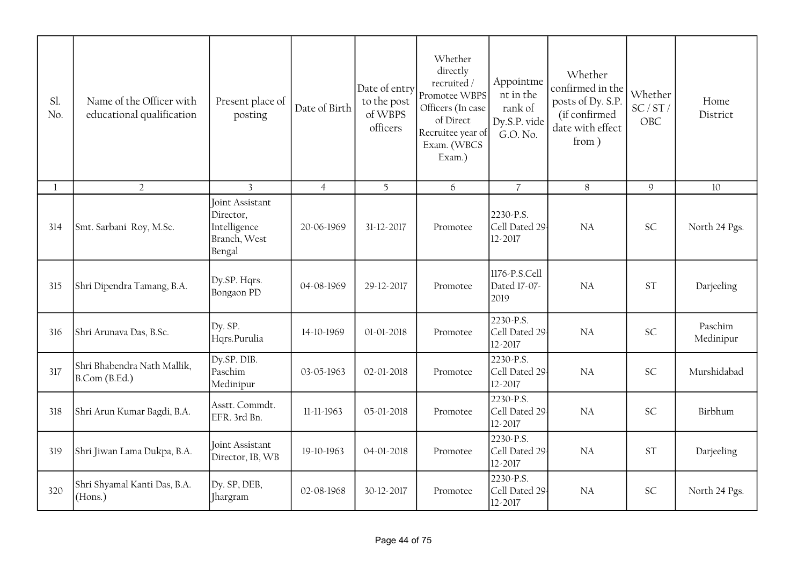| Sl.<br>No.   | Name of the Officer with<br>educational qualification | Present place of<br>posting                                            | Date of Birth  | Date of entry<br>to the post<br>of WBPS<br>officers | Whether<br>directly<br>recruited /<br>Promotee WBPS<br>Officers (In case<br>of Direct<br>Recruitee year of<br>Exam. (WBCS<br>Exam.) | Appointme<br>nt in the<br>rank of<br>Dy.S.P. vide<br>G.O. No. | Whether<br>confirmed in the<br>posts of Dy. S.P.<br>(if confirmed<br>date with effect<br>from) | Whether<br>SC/ST/<br>OBC | Home<br>District     |
|--------------|-------------------------------------------------------|------------------------------------------------------------------------|----------------|-----------------------------------------------------|-------------------------------------------------------------------------------------------------------------------------------------|---------------------------------------------------------------|------------------------------------------------------------------------------------------------|--------------------------|----------------------|
| $\mathbf{1}$ | $\overline{2}$                                        | $\overline{3}$                                                         | $\overline{4}$ | 5                                                   | $6\overline{6}$                                                                                                                     | $\overline{7}$                                                | 8                                                                                              | 9                        | 10                   |
| 314          | Smt. Sarbani Roy, M.Sc.                               | Joint Assistant<br>Director,<br>Intelligence<br>Branch, West<br>Bengal | 20-06-1969     | 31-12-2017                                          | Promotee                                                                                                                            | 2230-P.S.<br>Cell Dated 29<br>12-2017                         | <b>NA</b>                                                                                      | <b>SC</b>                | North 24 Pgs.        |
| 315          | Shri Dipendra Tamang, B.A.                            | Dy.SP. Hqrs.<br>Bongaon PD                                             | 04-08-1969     | 29-12-2017                                          | Promotee                                                                                                                            | 1176-P.S.Cell<br>Dated 17-07-<br>2019                         | <b>NA</b>                                                                                      | <b>ST</b>                | Darjeeling           |
| 316          | Shri Arunava Das, B.Sc.                               | Dy. SP.<br>Hqrs.Purulia                                                | 14-10-1969     | 01-01-2018                                          | Promotee                                                                                                                            | 2230-P.S.<br>Cell Dated 29<br>12-2017                         | NA                                                                                             | SC                       | Paschim<br>Medinipur |
| 317          | Shri Bhabendra Nath Mallik,<br>B.Com (B.Ed.)          | Dy.SP. DIB.<br>Paschim<br>Medinipur                                    | 03-05-1963     | 02-01-2018                                          | Promotee                                                                                                                            | 2230-P.S.<br>Cell Dated 29<br>12-2017                         | <b>NA</b>                                                                                      | SC                       | Murshidabad          |
| 318          | Shri Arun Kumar Bagdi, B.A.                           | Asstt. Commdt.<br>EFR. 3rd Bn.                                         | 11-11-1963     | 05-01-2018                                          | Promotee                                                                                                                            | 2230-P.S.<br>Cell Dated 29<br>12-2017                         | NA                                                                                             | <b>SC</b>                | Birbhum              |
| 319          | Shri Jiwan Lama Dukpa, B.A.                           | Joint Assistant<br>Director, IB, WB                                    | 19-10-1963     | $04 - 01 - 2018$                                    | Promotee                                                                                                                            | 2230-P.S.<br>Cell Dated 29<br>12-2017                         | <b>NA</b>                                                                                      | <b>ST</b>                | Darjeeling           |
| 320          | Shri Shyamal Kanti Das, B.A.<br>(Hons.)               | Dy. SP, DEB,<br><b>Ihargram</b>                                        | 02-08-1968     | 30-12-2017                                          | Promotee                                                                                                                            | 2230-P.S.<br>Cell Dated 29<br>12-2017                         | <b>NA</b>                                                                                      | <b>SC</b>                | North 24 Pgs.        |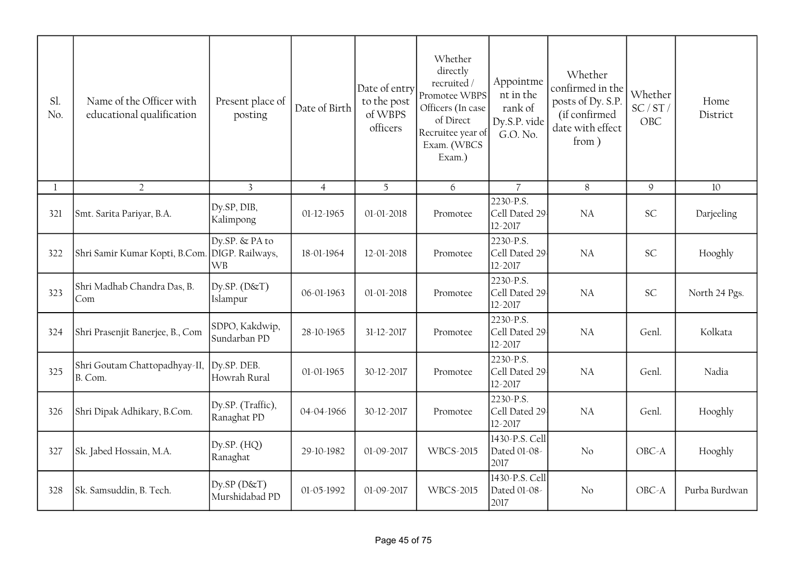| Sl.<br>No. | Name of the Officer with<br>educational qualification | Present place of<br>posting                    | Date of Birth  | Date of entry<br>to the post<br>of WBPS<br>officers | Whether<br>directly<br>recruited /<br>Promotee WBPS<br>Officers (In case<br>of Direct<br>Recruitee year of<br>Exam. (WBCS<br>Exam.) | Appointme<br>nt in the<br>rank of<br>Dy.S.P. vide<br>G.O. No. | Whether<br>confirmed in the<br>posts of Dy. S.P.<br>(if confirmed<br>date with effect<br>from) | Whether<br>SC/ST/<br>OBC | Home<br>District |
|------------|-------------------------------------------------------|------------------------------------------------|----------------|-----------------------------------------------------|-------------------------------------------------------------------------------------------------------------------------------------|---------------------------------------------------------------|------------------------------------------------------------------------------------------------|--------------------------|------------------|
| 1          | $\overline{2}$                                        | $\overline{3}$                                 | $\overline{4}$ | 5                                                   | 6                                                                                                                                   | $\overline{7}$                                                | 8                                                                                              | 9                        | 10               |
| 321        | Smt. Sarita Pariyar, B.A.                             | Dy.SP, DIB,<br>Kalimpong                       | 01-12-1965     | 01-01-2018                                          | Promotee                                                                                                                            | 2230-P.S.<br>Cell Dated 29<br>12-2017                         | <b>NA</b>                                                                                      | <b>SC</b>                | Darjeeling       |
| 322        | Shri Samir Kumar Kopti, B.Com.                        | Dy.SP. & PA to<br>DIGP. Railways,<br><b>WB</b> | 18-01-1964     | 12-01-2018                                          | Promotee                                                                                                                            | 2230-P.S.<br>Cell Dated 29<br>12-2017                         | <b>NA</b>                                                                                      | <b>SC</b>                | Hooghly          |
| 323        | Shri Madhab Chandra Das, B.<br>Com                    | Dy.SP. $(D&T)$<br>Islampur                     | 06-01-1963     | 01-01-2018                                          | Promotee                                                                                                                            | 2230-P.S.<br>Cell Dated 29<br>12-2017                         | <b>NA</b>                                                                                      | <b>SC</b>                | North 24 Pgs.    |
| 324        | Shri Prasenjit Banerjee, B., Com                      | SDPO, Kakdwip,<br>Sundarban PD                 | 28-10-1965     | 31-12-2017                                          | Promotee                                                                                                                            | 2230-P.S.<br>Cell Dated 29<br>12-2017                         | <b>NA</b>                                                                                      | Genl.                    | Kolkata          |
| 325        | Shri Goutam Chattopadhyay-II,<br>B. Com.              | Dy.SP. DEB.<br>Howrah Rural                    | 01-01-1965     | 30-12-2017                                          | Promotee                                                                                                                            | 2230-P.S.<br>Cell Dated 29<br>12-2017                         | <b>NA</b>                                                                                      | Genl.                    | Nadia            |
| 326        | Shri Dipak Adhikary, B.Com.                           | Dy.SP. (Traffic),<br>Ranaghat PD               | 04-04-1966     | 30-12-2017                                          | Promotee                                                                                                                            | 2230-P.S.<br>Cell Dated 29<br>12-2017                         | <b>NA</b>                                                                                      | Genl.                    | Hooghly          |
| 327        | Sk. Jabed Hossain, M.A.                               | Dy.SP. $(HQ)$<br>Ranaghat                      | 29-10-1982     | 01-09-2017                                          | <b>WBCS-2015</b>                                                                                                                    | 1430-P.S. Cell<br>Dated 01-08-<br>2017                        | No                                                                                             | OBC-A                    | Hooghly          |
| 328        | Sk. Samsuddin, B. Tech.                               | $Dy$ .SP $(D&T)$<br>Murshidabad PD             | 01-05-1992     | 01-09-2017                                          | <b>WBCS-2015</b>                                                                                                                    | 1430-P.S. Cell<br>Dated 01-08-<br>2017                        | No                                                                                             | OBC-A                    | Purba Burdwan    |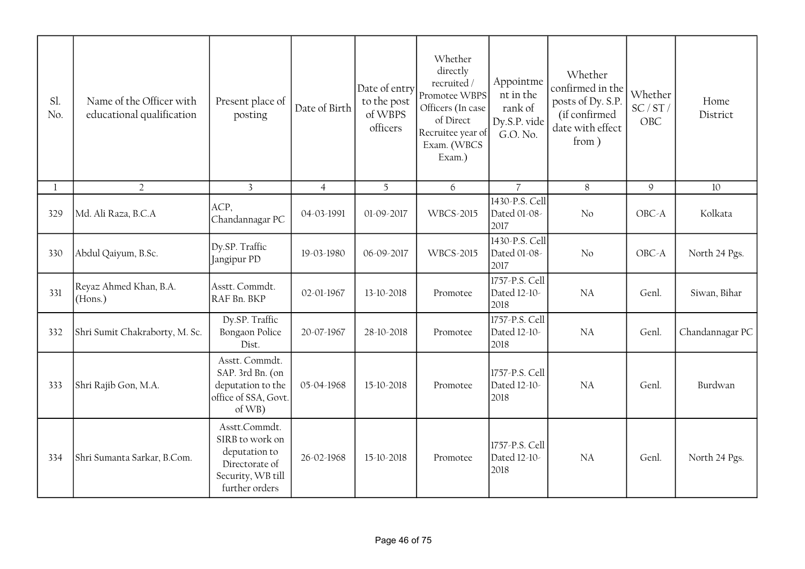| Sl.<br>No. | Name of the Officer with<br>educational qualification | Present place of<br>posting                                                                                | Date of Birth  | Date of entry<br>to the post<br>of WBPS<br>officers | Whether<br>directly<br>recruited /<br>Promotee WBPS<br>Officers (In case<br>of Direct<br>Recruitee year of<br>Exam. (WBCS<br>Exam.) | Appointme<br>nt in the<br>rank of<br>Dy.S.P. vide<br>G.O. No. | Whether<br>confirmed in the<br>posts of Dy. S.P.<br>(if confirmed<br>date with effect<br>from) | Whether<br>SC/ST/<br>OBC | Home<br>District |
|------------|-------------------------------------------------------|------------------------------------------------------------------------------------------------------------|----------------|-----------------------------------------------------|-------------------------------------------------------------------------------------------------------------------------------------|---------------------------------------------------------------|------------------------------------------------------------------------------------------------|--------------------------|------------------|
| 1          | $\overline{2}$                                        | $\overline{3}$                                                                                             | $\overline{4}$ | 5 <sup>5</sup>                                      | 6                                                                                                                                   | $\overline{7}$                                                | $8\phantom{.}$                                                                                 | $\mathcal{G}$            | 10               |
| 329        | Md. Ali Raza, B.C.A                                   | ACP,<br>Chandannagar PC                                                                                    | 04-03-1991     | 01-09-2017                                          | <b>WBCS-2015</b>                                                                                                                    | 1430-P.S. Cell<br>Dated 01-08-<br>2017                        | No                                                                                             | OBC-A                    | Kolkata          |
| 330        | Abdul Qaiyum, B.Sc.                                   | Dy.SP. Traffic<br>Jangipur PD                                                                              | 19-03-1980     | 06-09-2017                                          | <b>WBCS-2015</b>                                                                                                                    | 1430-P.S. Cell<br>Dated 01-08-<br>2017                        | No                                                                                             | OBC-A                    | North 24 Pgs.    |
| 331        | Reyaz Ahmed Khan, B.A.<br>(Hons.)                     | Asstt. Commdt.<br>RAF Bn. BKP                                                                              | 02-01-1967     | 13-10-2018                                          | Promotee                                                                                                                            | 1757-P.S. Cell<br>Dated 12-10-<br>2018                        | <b>NA</b>                                                                                      | Genl.                    | Siwan, Bihar     |
| 332        | Shri Sumit Chakraborty, M. Sc.                        | Dy.SP. Traffic<br>Bongaon Police<br>Dist.                                                                  | 20-07-1967     | 28-10-2018                                          | Promotee                                                                                                                            | 1757-P.S. Cell<br>Dated 12-10-<br>2018                        | <b>NA</b>                                                                                      | Genl.                    | Chandannagar PC  |
| 333        | Shri Rajib Gon, M.A.                                  | Asstt. Commdt.<br>SAP. 3rd Bn. (on<br>deputation to the<br>office of SSA, Govt.<br>$of WB$ )               | 05-04-1968     | 15-10-2018                                          | Promotee                                                                                                                            | 1757-P.S. Cell<br>Dated 12-10-<br>2018                        | <b>NA</b>                                                                                      | Genl.                    | Burdwan          |
| 334        | Shri Sumanta Sarkar, B.Com.                           | Asstt.Commdt.<br>SIRB to work on<br>deputation to<br>Directorate of<br>Security, WB till<br>further orders | 26-02-1968     | 15-10-2018                                          | Promotee                                                                                                                            | 1757-P.S. Cell<br>Dated 12-10-<br>2018                        | <b>NA</b>                                                                                      | Genl.                    | North 24 Pgs.    |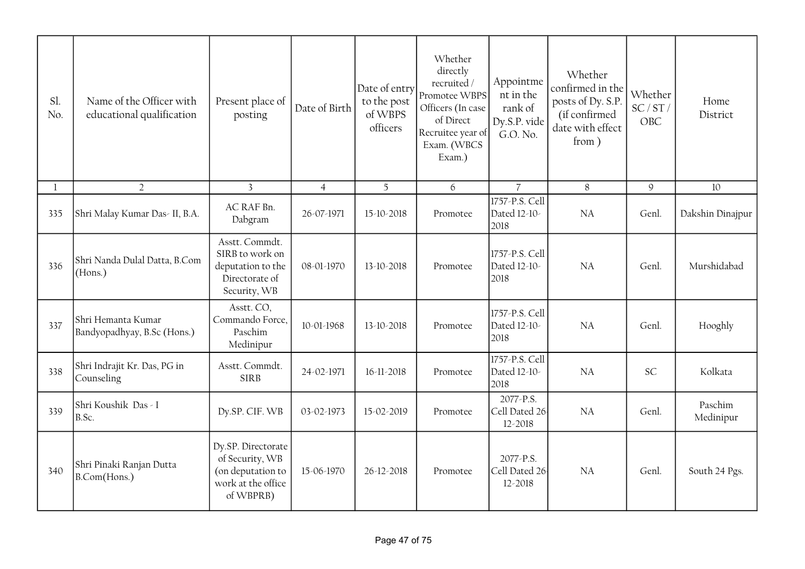| Sl.<br>No. | Name of the Officer with<br>educational qualification | Present place of<br>posting                                                                   | Date of Birth  | Date of entry<br>to the post<br>of WBPS<br>officers | Whether<br>directly<br>recruited/<br>Promotee WBPS<br>Officers (In case<br>of Direct<br>Recruitee year of<br>Exam. (WBCS<br>Exam.) | Appointme<br>nt in the<br>rank of<br>Dy.S.P. vide<br>G.O. No. | Whether<br>confirmed in the<br>posts of Dy. S.P.<br>(if confirmed<br>date with effect<br>from) | Whether<br>SC/ST/<br>OBC | Home<br>District     |
|------------|-------------------------------------------------------|-----------------------------------------------------------------------------------------------|----------------|-----------------------------------------------------|------------------------------------------------------------------------------------------------------------------------------------|---------------------------------------------------------------|------------------------------------------------------------------------------------------------|--------------------------|----------------------|
| 1          | $\overline{2}$                                        | $\overline{3}$                                                                                | $\overline{4}$ | 5                                                   | 6                                                                                                                                  | $\overline{7}$                                                | 8                                                                                              | $\mathcal{Q}$            | 10                   |
| 335        | Shri Malay Kumar Das- II, B.A.                        | AC RAF Bn.<br>Dabgram                                                                         | 26-07-1971     | 15-10-2018                                          | Promotee                                                                                                                           | 1757-P.S. Cell<br>Dated 12-10-<br>2018                        | <b>NA</b>                                                                                      | Genl.                    | Dakshin Dinajpur     |
| 336        | Shri Nanda Dulal Datta, B.Com<br>(Hons.)              | Asstt. Commdt.<br>SIRB to work on<br>deputation to the<br>Directorate of<br>Security, WB      | 08-01-1970     | 13-10-2018                                          | Promotee                                                                                                                           | 1757-P.S. Cell<br>Dated 12-10-<br>2018                        | NA                                                                                             | Genl.                    | Murshidabad          |
| 337        | Shri Hemanta Kumar<br>Bandyopadhyay, B.Sc (Hons.)     | Asstt. CO,<br>Commando Force,<br>Paschim<br>Medinipur                                         | 10-01-1968     | 13-10-2018                                          | Promotee                                                                                                                           | 1757-P.S. Cell<br>Dated 12-10-<br>2018                        | <b>NA</b>                                                                                      | Genl.                    | Hooghly              |
| 338        | Shri Indrajit Kr. Das, PG in<br>Counseling            | Asstt. Commdt.<br><b>SIRB</b>                                                                 | 24-02-1971     | 16-11-2018                                          | Promotee                                                                                                                           | 1757-P.S. Cell<br>Dated 12-10-<br>2018                        | <b>NA</b>                                                                                      | <b>SC</b>                | Kolkata              |
| 339        | Shri Koushik Das - I<br>B.Sc.                         | Dy.SP. CIF. WB                                                                                | 03-02-1973     | 15-02-2019                                          | Promotee                                                                                                                           | 2077-P.S.<br>Cell Dated 26<br>12-2018                         | <b>NA</b>                                                                                      | Genl.                    | Paschim<br>Medinipur |
| 340        | Shri Pinaki Ranjan Dutta<br>B.Com(Hons.)              | Dy.SP. Directorate<br>of Security, WB<br>(on deputation to<br>work at the office<br>of WBPRB) | 15-06-1970     | 26-12-2018                                          | Promotee                                                                                                                           | 2077-P.S.<br>Cell Dated 26<br>12-2018                         | <b>NA</b>                                                                                      | Genl.                    | South 24 Pgs.        |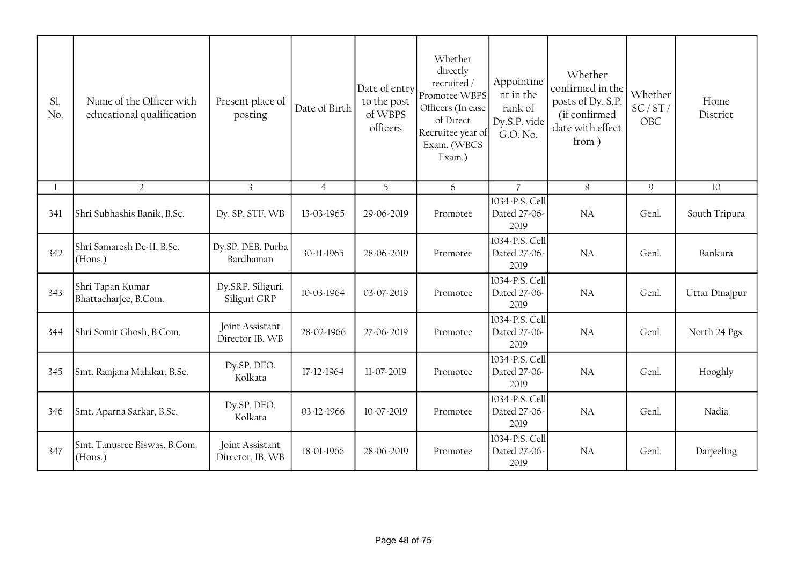| Sl.<br>No. | Name of the Officer with<br>educational qualification | Present place of<br>posting         | Date of Birth  | Date of entry<br>to the post<br>of WBPS<br>officers | Whether<br>directly<br>recruited /<br>Promotee WBPS<br>Officers (In case<br>of Direct<br>Recruitee year of<br>Exam. (WBCS<br>Exam.) | Appointme<br>nt in the<br>rank of<br>Dy.S.P. vide<br>G.O. No. | Whether<br>confirmed in the<br>posts of Dy. S.P.<br>(if confirmed<br>date with effect<br>from) | Whether<br>SC/ST/<br>OBC | Home<br>District |
|------------|-------------------------------------------------------|-------------------------------------|----------------|-----------------------------------------------------|-------------------------------------------------------------------------------------------------------------------------------------|---------------------------------------------------------------|------------------------------------------------------------------------------------------------|--------------------------|------------------|
| 1          | $\overline{2}$                                        | $\overline{3}$                      | $\overline{4}$ | 5                                                   | 6                                                                                                                                   | $\overline{7}$                                                | 8                                                                                              | $\mathsf g$              | 10               |
| 341        | Shri Subhashis Banik, B.Sc.                           | Dy. SP, STF, WB                     | 13-03-1965     | 29-06-2019                                          | Promotee                                                                                                                            | 1034-P.S. Cell<br>Dated 27-06-<br>2019                        | NA                                                                                             | Genl.                    | South Tripura    |
| 342        | Shri Samaresh De-II, B.Sc.<br>(Hons.)                 | Dy.SP. DEB. Purba<br>Bardhaman      | 30-11-1965     | 28-06-2019                                          | Promotee                                                                                                                            | 1034-P.S. Cell<br>Dated 27-06-<br>2019                        | <b>NA</b>                                                                                      | Genl.                    | Bankura          |
| 343        | Shri Tapan Kumar<br>Bhattacharjee, B.Com.             | Dy.SRP. Siliguri,<br>Siliguri GRP   | 10-03-1964     | 03-07-2019                                          | Promotee                                                                                                                            | 1034-P.S. Cell<br>Dated 27-06-<br>2019                        | NA                                                                                             | Genl.                    | Uttar Dinajpur   |
| 344        | Shri Somit Ghosh, B.Com.                              | Joint Assistant<br>Director IB, WB  | 28-02-1966     | 27-06-2019                                          | Promotee                                                                                                                            | 1034-P.S. Cell<br>Dated 27-06-<br>2019                        | NA                                                                                             | Genl.                    | North 24 Pgs.    |
| 345        | Smt. Ranjana Malakar, B.Sc.                           | Dy.SP. DEO.<br>Kolkata              | 17-12-1964     | 11-07-2019                                          | Promotee                                                                                                                            | 1034-P.S. Cell<br>Dated 27-06-<br>2019                        | NA                                                                                             | Genl.                    | Hooghly          |
| 346        | Smt. Aparna Sarkar, B.Sc.                             | Dy.SP. DEO.<br>Kolkata              | 03-12-1966     | 10-07-2019                                          | Promotee                                                                                                                            | 1034-P.S. Cell<br>Dated 27-06-<br>2019                        | NA                                                                                             | Genl.                    | Nadia            |
| 347        | Smt. Tanusree Biswas, B.Com.<br>(Hons.)               | Joint Assistant<br>Director, IB, WB | 18-01-1966     | 28-06-2019                                          | Promotee                                                                                                                            | 1034-P.S. Cell<br>Dated 27-06-<br>2019                        | NA                                                                                             | Genl.                    | Darjeeling       |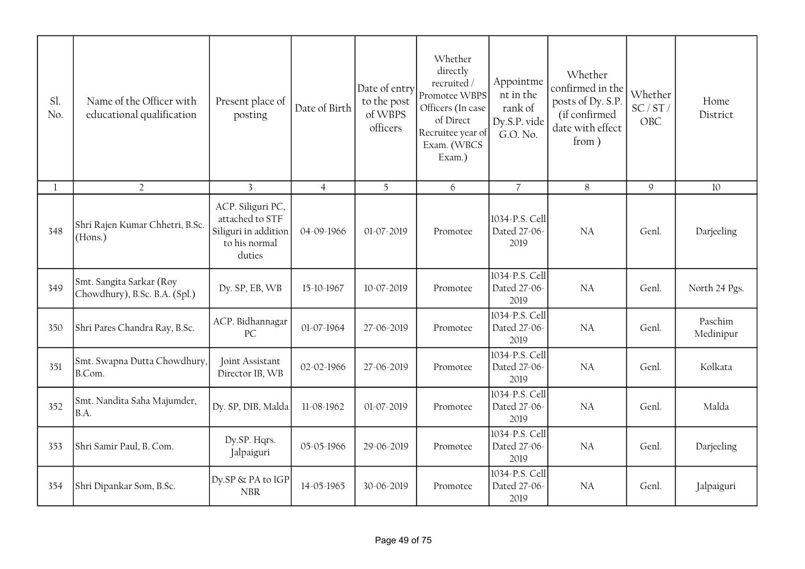| Sl.<br>No. | Name of the Officer with<br>educational qualification     | Present place of<br>posting                                                             | Date of Birth  | Date of entry<br>to the post<br>of WBPS<br>officers | Whether<br>directly<br>recruited/<br>Promotee WBPS<br>Officers (In case<br>of Direct<br>Recruitee year of<br>Exam. (WBCS<br>Exam.) | Appointme<br>nt in the<br>rank of<br>Dy.S.P. vide<br>G.O. No. | Whether<br>confirmed in the<br>posts of Dy. S.P.<br>(if confirmed<br>date with effect<br>from) | Whether<br>SC/ST/<br>OBC | Home<br>District     |
|------------|-----------------------------------------------------------|-----------------------------------------------------------------------------------------|----------------|-----------------------------------------------------|------------------------------------------------------------------------------------------------------------------------------------|---------------------------------------------------------------|------------------------------------------------------------------------------------------------|--------------------------|----------------------|
| 1          | $\overline{2}$                                            | $\overline{3}$                                                                          | $\overline{4}$ | 5                                                   | 6                                                                                                                                  | $\overline{7}$                                                | $\, 8$                                                                                         | $\mathcal{Q}$            | 10                   |
| 348        | Shri Rajen Kumar Chhetri, B.Sc.<br>(Hons.)                | ACP. Siliguri PC,<br>attached to STF<br>Siliguri in addition<br>to his normal<br>duties | 04-09-1966     | 01-07-2019                                          | Promotee                                                                                                                           | 1034-P.S. Cell<br>Dated 27-06-<br>2019                        | <b>NA</b>                                                                                      | Genl.                    | Darjeeling           |
| 349        | Smt. Sangita Sarkar (Roy<br>Chowdhury), B.Sc. B.A. (Spl.) | Dy. SP, EB, WB                                                                          | 15-10-1967     | 10-07-2019                                          | Promotee                                                                                                                           | 1034-P.S. Cell<br>Dated 27-06-<br>2019                        | NA                                                                                             | Genl.                    | North 24 Pgs.        |
| 350        | Shri Pares Chandra Ray, B.Sc.                             | ACP. Bidhannagar<br>PC                                                                  | 01-07-1964     | 27-06-2019                                          | Promotee                                                                                                                           | 1034-P.S. Cell<br>Dated 27-06-<br>2019                        | <b>NA</b>                                                                                      | Genl.                    | Paschim<br>Medinipur |
| 351        | Smt. Swapna Dutta Chowdhury,<br>B.Com.                    | Joint Assistant<br>Director IB, WB                                                      | 02-02-1966     | 27-06-2019                                          | Promotee                                                                                                                           | 1034-P.S. Cell<br>Dated 27-06-<br>2019                        | <b>NA</b>                                                                                      | Genl.                    | Kolkata              |
| 352        | Smt. Nandita Saha Majumder,<br>B.A.                       | Dy. SP, DIB, Malda                                                                      | 11-08-1962     | 01-07-2019                                          | Promotee                                                                                                                           | 1034-P.S. Cell<br>Dated 27-06-<br>2019                        | <b>NA</b>                                                                                      | Genl.                    | Malda                |
| 353        | Shri Samir Paul, B. Com.                                  | Dy.SP. Hqrs.<br>Jalpaiguri                                                              | 05-05-1966     | 29-06-2019                                          | Promotee                                                                                                                           | 1034-P.S. Cell<br>Dated 27-06-<br>2019                        | <b>NA</b>                                                                                      | Genl.                    | Darjeeling           |
| 354        | Shri Dipankar Som, B.Sc.                                  | Dy.SP & PA to IGP<br><b>NBR</b>                                                         | 14-05-1965     | 30-06-2019                                          | Promotee                                                                                                                           | 1034-P.S. Cell<br>Dated 27-06-<br>2019                        | NA                                                                                             | Genl.                    | Jalpaiguri           |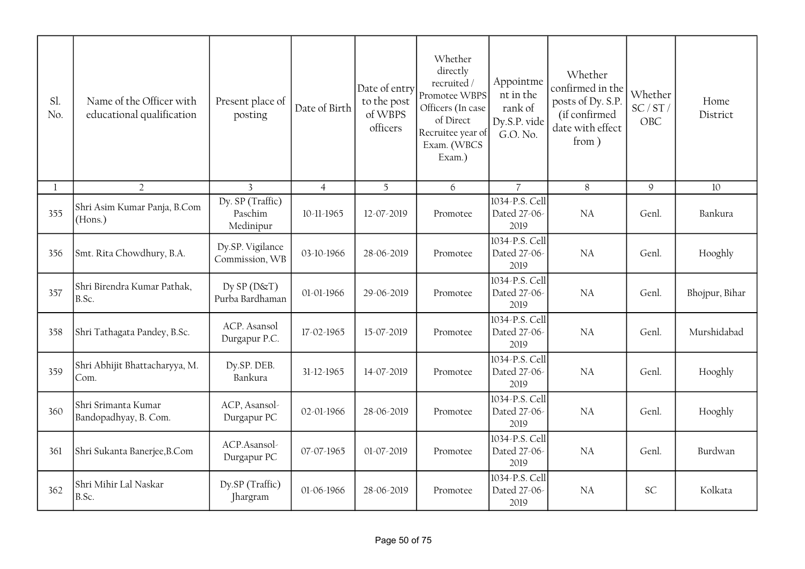| Sl.<br>No.   | Name of the Officer with<br>educational qualification | Present place of<br>posting              | Date of Birth  | Date of entry<br>to the post<br>of WBPS<br>officers | Whether<br>directly<br>recruited /<br>Promotee WBPS<br>Officers (In case<br>of Direct<br>Recruitee year of<br>Exam. (WBCS<br>Exam.) | Appointme<br>nt in the<br>rank of<br>Dy.S.P. vide<br>G.O. No. | Whether<br>confirmed in the<br>posts of Dy. S.P.<br>(if confirmed<br>date with effect<br>from) | Whether<br>SC/ST/<br>OBC | Home<br>District |
|--------------|-------------------------------------------------------|------------------------------------------|----------------|-----------------------------------------------------|-------------------------------------------------------------------------------------------------------------------------------------|---------------------------------------------------------------|------------------------------------------------------------------------------------------------|--------------------------|------------------|
| $\mathbf{1}$ | $\overline{2}$                                        | $\overline{3}$                           | $\overline{4}$ | 5                                                   | 6                                                                                                                                   | $\overline{7}$                                                | 8                                                                                              | 9                        | 10               |
| 355          | Shri Asim Kumar Panja, B.Com<br>(Hons.)               | Dy. SP (Traffic)<br>Paschim<br>Medinipur | 10-11-1965     | 12-07-2019                                          | Promotee                                                                                                                            | 1034-P.S. Cell<br>Dated 27-06-<br>2019                        | <b>NA</b>                                                                                      | Genl.                    | Bankura          |
| 356          | Smt. Rita Chowdhury, B.A.                             | Dy.SP. Vigilance<br>Commission, WB       | 03-10-1966     | 28-06-2019                                          | Promotee                                                                                                                            | 1034-P.S. Cell<br>Dated 27-06-<br>2019                        | NA                                                                                             | Genl.                    | Hooghly          |
| 357          | Shri Birendra Kumar Pathak,<br>B.Sc.                  | $Dy$ SP ( $D$ &T)<br>Purba Bardhaman     | 01-01-1966     | 29-06-2019                                          | Promotee                                                                                                                            | 1034-P.S. Cell<br>Dated 27-06-<br>2019                        | NA                                                                                             | Genl.                    | Bhojpur, Bihar   |
| 358          | Shri Tathagata Pandey, B.Sc.                          | ACP. Asansol<br>Durgapur P.C.            | 17-02-1965     | 15-07-2019                                          | Promotee                                                                                                                            | 1034-P.S. Cell<br>Dated 27-06-<br>2019                        | NA                                                                                             | Genl.                    | Murshidabad      |
| 359          | Shri Abhijit Bhattacharyya, M.<br>Com.                | Dy.SP. DEB.<br>Bankura                   | 31-12-1965     | 14-07-2019                                          | Promotee                                                                                                                            | 1034-P.S. Cell<br>Dated 27-06-<br>2019                        | NA                                                                                             | Genl.                    | Hooghly          |
| 360          | Shri Srimanta Kumar<br>Bandopadhyay, B. Com.          | ACP, Asansol-<br>Durgapur PC             | 02-01-1966     | 28-06-2019                                          | Promotee                                                                                                                            | 1034-P.S. Cell<br>Dated 27-06-<br>2019                        | NA                                                                                             | Genl.                    | Hooghly          |
| 361          | Shri Sukanta Banerjee, B.Com                          | ACP.Asansol-<br>Durgapur PC              | 07-07-1965     | 01-07-2019                                          | Promotee                                                                                                                            | 1034-P.S. Cell<br>Dated 27-06-<br>2019                        | NA                                                                                             | Genl.                    | Burdwan          |
| 362          | Shri Mihir Lal Naskar<br>B.Sc.                        | Dy.SP (Traffic)<br><b>I</b> hargram      | 01-06-1966     | 28-06-2019                                          | Promotee                                                                                                                            | 1034-P.S. Cell<br>Dated 27-06-<br>2019                        | <b>NA</b>                                                                                      | <b>SC</b>                | Kolkata          |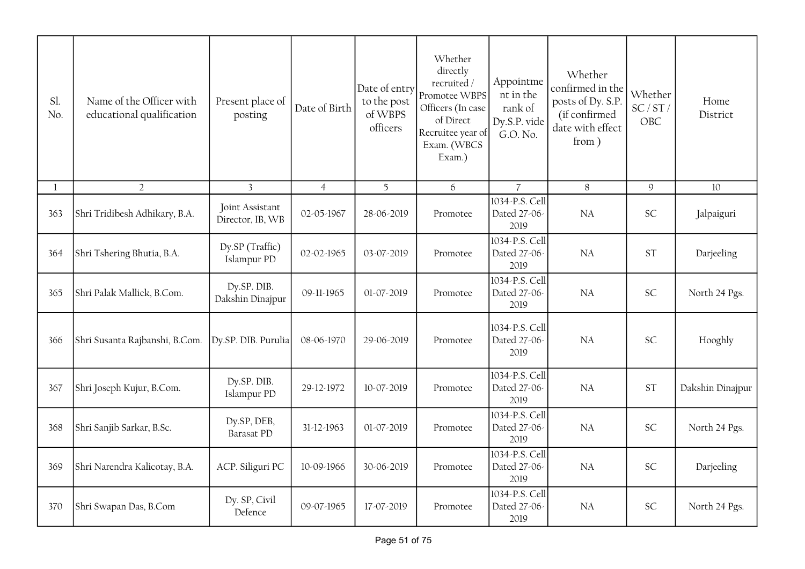| Sl.<br>No. | Name of the Officer with<br>educational qualification | Present place of<br>posting         | Date of Birth  | Date of entry<br>to the post<br>of WBPS<br>officers | Whether<br>directly<br>recruited /<br>Promotee WBPS<br>Officers (In case<br>of Direct<br>Recruitee year of<br>Exam. (WBCS<br>Exam.) | Appointme<br>nt in the<br>rank of<br>Dy.S.P. vide<br>G.O. No. | Whether<br>confirmed in the<br>posts of Dy. S.P.<br>(if confirmed<br>date with effect<br>from) | Whether<br>SC/ST/<br>OBC | Home<br>District |
|------------|-------------------------------------------------------|-------------------------------------|----------------|-----------------------------------------------------|-------------------------------------------------------------------------------------------------------------------------------------|---------------------------------------------------------------|------------------------------------------------------------------------------------------------|--------------------------|------------------|
| 1          | $\overline{2}$                                        | $\overline{3}$                      | $\overline{4}$ | 5                                                   | 6                                                                                                                                   | $\overline{7}$                                                | 8                                                                                              | $\mathcal{G}$            | 10               |
| 363        | Shri Tridibesh Adhikary, B.A.                         | Joint Assistant<br>Director, IB, WB | 02-05-1967     | 28-06-2019                                          | Promotee                                                                                                                            | 1034-P.S. Cell<br>Dated 27-06-<br>2019                        | <b>NA</b>                                                                                      | <b>SC</b>                | Jalpaiguri       |
| 364        | Shri Tshering Bhutia, B.A.                            | Dy.SP (Traffic)<br>Islampur PD      | 02-02-1965     | 03-07-2019                                          | Promotee                                                                                                                            | 1034-P.S. Cell<br>Dated 27-06-<br>2019                        | <b>NA</b>                                                                                      | <b>ST</b>                | Darjeeling       |
| 365        | Shri Palak Mallick, B.Com.                            | Dy.SP. DIB.<br>Dakshin Dinajpur     | 09-11-1965     | 01-07-2019                                          | Promotee                                                                                                                            | 1034-P.S. Cell<br>Dated 27-06-<br>2019                        | <b>NA</b>                                                                                      | <b>SC</b>                | North 24 Pgs.    |
| 366        | Shri Susanta Rajbanshi, B.Com.                        | Dy.SP. DIB. Purulia                 | 08-06-1970     | 29-06-2019                                          | Promotee                                                                                                                            | 1034-P.S. Cell<br>Dated 27-06-<br>2019                        | <b>NA</b>                                                                                      | <b>SC</b>                | Hooghly          |
| 367        | Shri Joseph Kujur, B.Com.                             | Dy.SP. DIB.<br>Islampur PD          | 29-12-1972     | 10-07-2019                                          | Promotee                                                                                                                            | 1034-P.S. Cell<br>Dated 27-06-<br>2019                        | NA                                                                                             | ST                       | Dakshin Dinajpur |
| 368        | Shri Sanjib Sarkar, B.Sc.                             | Dy.SP, DEB,<br><b>Barasat PD</b>    | 31-12-1963     | 01-07-2019                                          | Promotee                                                                                                                            | 1034-P.S. Cell<br>Dated 27-06-<br>2019                        | NA                                                                                             | SC                       | North 24 Pgs.    |
| 369        | Shri Narendra Kalicotay, B.A.                         | ACP. Siliguri PC                    | 10-09-1966     | 30-06-2019                                          | Promotee                                                                                                                            | 1034-P.S. Cell<br>Dated 27-06-<br>2019                        | NA                                                                                             | SC                       | Darjeeling       |
| 370        | Shri Swapan Das, B.Com                                | Dy. SP, Civil<br>Defence            | 09-07-1965     | 17-07-2019                                          | Promotee                                                                                                                            | 1034-P.S. Cell<br>Dated 27-06-<br>2019                        | NA                                                                                             | SC                       | North 24 Pgs.    |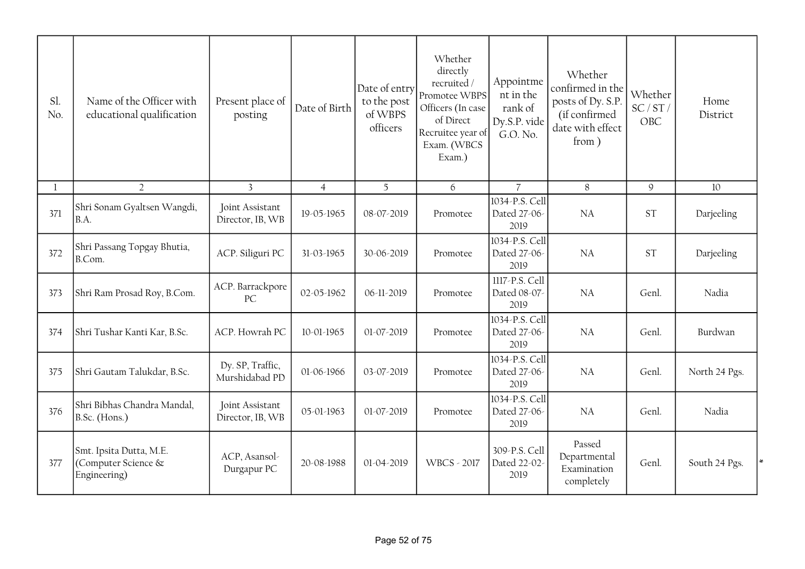| Sl.<br>No.   | Name of the Officer with<br>educational qualification          | Present place of<br>posting         | Date of Birth  | Date of entry<br>to the post<br>of WBPS<br>officers | Whether<br>directly<br>recruited /<br>Promotee WBPS<br>Officers (In case<br>of Direct<br>Recruitee year of<br>Exam. (WBCS<br>Exam.) | Appointme<br>nt in the<br>rank of<br>Dy.S.P. vide<br>G.O. No. | Whether<br>confirmed in the<br>posts of Dy. S.P.<br>(if confirmed<br>date with effect<br>from) | Whether<br>SC/ST/<br>OBC | Home<br>District |
|--------------|----------------------------------------------------------------|-------------------------------------|----------------|-----------------------------------------------------|-------------------------------------------------------------------------------------------------------------------------------------|---------------------------------------------------------------|------------------------------------------------------------------------------------------------|--------------------------|------------------|
| $\mathbf{1}$ | $\overline{2}$                                                 | $\overline{3}$                      | $\overline{4}$ | $\overline{5}$                                      | 6                                                                                                                                   | $\overline{7}$                                                | 8                                                                                              | $\mathcal{Q}$            | 10               |
| 371          | Shri Sonam Gyaltsen Wangdi,<br>B.A.                            | Joint Assistant<br>Director, IB, WB | 19-05-1965     | 08-07-2019                                          | Promotee                                                                                                                            | 1034-P.S. Cell<br>Dated 27-06-<br>2019                        | NA                                                                                             | <b>ST</b>                | Darjeeling       |
| 372          | Shri Passang Topgay Bhutia,<br>B.Com.                          | ACP. Siliguri PC                    | 31-03-1965     | 30-06-2019                                          | Promotee                                                                                                                            | 1034-P.S. Cell<br>Dated 27-06-<br>2019                        | <b>NA</b>                                                                                      | <b>ST</b>                | Darjeeling       |
| 373          | Shri Ram Prosad Roy, B.Com.                                    | ACP. Barrackpore<br>PC              | 02-05-1962     | 06-11-2019                                          | Promotee                                                                                                                            | 1117-P.S. Cell<br>Dated 08-07-<br>2019                        | NA                                                                                             | Genl.                    | Nadia            |
| 374          | Shri Tushar Kanti Kar, B.Sc.                                   | ACP. Howrah PC                      | 10-01-1965     | 01-07-2019                                          | Promotee                                                                                                                            | 1034-P.S. Cell<br>Dated 27-06-<br>2019                        | NA                                                                                             | Genl.                    | Burdwan          |
| 375          | Shri Gautam Talukdar, B.Sc.                                    | Dy. SP, Traffic,<br>Murshidabad PD  | 01-06-1966     | 03-07-2019                                          | Promotee                                                                                                                            | 1034-P.S. Cell<br>Dated 27-06-<br>2019                        | NA                                                                                             | Genl.                    | North 24 Pgs.    |
| 376          | Shri Bibhas Chandra Mandal,<br>B.Sc. (Hons.)                   | Joint Assistant<br>Director, IB, WB | 05-01-1963     | 01-07-2019                                          | Promotee                                                                                                                            | 1034-P.S. Cell<br>Dated 27-06-<br>2019                        | <b>NA</b>                                                                                      | Genl.                    | Nadia            |
| 377          | Smt. Ipsita Dutta, M.E.<br>(Computer Science &<br>Engineering) | ACP, Asansol-<br>Durgapur PC        | 20-08-1988     | 01-04-2019                                          | <b>WBCS - 2017</b>                                                                                                                  | 309-P.S. Cell<br>Dated 22-02-<br>2019                         | Passed<br>Departmental<br>Examination<br>completely                                            | Genl.                    | South 24 Pgs.    |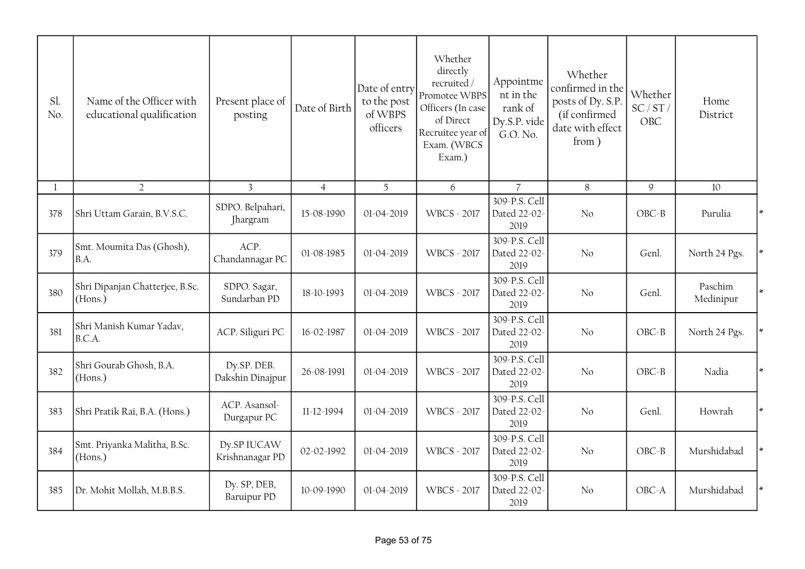| Sl.<br>No.   | Name of the Officer with<br>educational qualification | Present place of<br>posting     | Date of Birth  | Date of entry<br>to the post<br>of WBPS<br>officers | Whether<br>directly<br>recruited/<br>Promotee WBPS<br>Officers (In case<br>of Direct<br>Recruitee year of<br>Exam. (WBCS<br>Exam.) | Appointme<br>nt in the<br>rank of<br>Dy.S.P. vide<br>G.O. No. | Whether<br>confirmed in the<br>posts of Dy. S.P.<br>(if confirmed<br>date with effect<br>from) | Whether<br>SC/ST/<br>OBC | Home<br>District     |  |
|--------------|-------------------------------------------------------|---------------------------------|----------------|-----------------------------------------------------|------------------------------------------------------------------------------------------------------------------------------------|---------------------------------------------------------------|------------------------------------------------------------------------------------------------|--------------------------|----------------------|--|
| $\mathbf{1}$ | $\overline{2}$                                        | $\overline{3}$                  | $\overline{4}$ | 5                                                   | 6                                                                                                                                  | $\overline{7}$                                                | 8                                                                                              | $\mathsf g$              | 10                   |  |
| 378          | Shri Uttam Garain, B.V.S.C.                           | SDPO. Belpahari,<br>Jhargram    | 15-08-1990     | 01-04-2019                                          | <b>WBCS - 2017</b>                                                                                                                 | 309-P.S. Cell<br>Dated 22-02-<br>2019                         | $\rm No$                                                                                       | $OBC - B$                | Purulia              |  |
| 379          | Smt. Moumita Das (Ghosh),<br>B.A.                     | ACP.<br>Chandannagar PC         | 01-08-1985     | 01-04-2019                                          | <b>WBCS - 2017</b>                                                                                                                 | 309-P.S. Cell<br>Dated 22-02-<br>2019                         | No                                                                                             | Genl.                    | North 24 Pgs.        |  |
| 380          | Shri Dipanjan Chatterjee, B.Sc.<br>(Hons.)            | SDPO. Sagar,<br>Sundarban PD    | 18-10-1993     | 01-04-2019                                          | <b>WBCS - 2017</b>                                                                                                                 | 309-P.S. Cell<br>Dated 22-02-<br>2019                         | No                                                                                             | Genl.                    | Paschim<br>Medinipur |  |
| 381          | Shri Manish Kumar Yadav,<br>B.C.A.                    | ACP. Siliguri PC                | 16-02-1987     | 01-04-2019                                          | <b>WBCS - 2017</b>                                                                                                                 | 309-P.S. Cell<br>Dated 22-02-<br>2019                         | No                                                                                             | $OBC-B$                  | North 24 Pgs.        |  |
| 382          | Shri Gourab Ghosh, B.A.<br>(Hons.)                    | Dy.SP. DEB.<br>Dakshin Dinajpur | 26-08-1991     | 01-04-2019                                          | <b>WBCS - 2017</b>                                                                                                                 | 309-P.S. Cell<br>Dated 22-02-<br>2019                         | No                                                                                             | $OBC - B$                | Nadia                |  |
| 383          | Shri Pratik Rai, B.A. (Hons.)                         | ACP. Asansol-<br>Durgapur PC    | 11-12-1994     | 01-04-2019                                          | WBCS - 2017                                                                                                                        | 309-P.S. Cell<br>Dated 22-02-<br>2019                         | No                                                                                             | Genl.                    | Howrah               |  |
| 384          | Smt. Priyanka Malitha, B.Sc.<br>(Hons.)               | Dy.SP IUCAW<br>Krishnanagar PD  | 02-02-1992     | 01-04-2019                                          | <b>WBCS - 2017</b>                                                                                                                 | 309-P.S. Cell<br>Dated 22-02-<br>2019                         | N <sub>o</sub>                                                                                 | $OBC - B$                | Murshidabad          |  |
| 385          | Dr. Mohit Mollah, M.B.B.S.                            | Dy. SP, DEB,<br>Baruipur PD     | 10-09-1990     | 01-04-2019                                          | <b>WBCS - 2017</b>                                                                                                                 | 309-P.S. Cell<br>Dated 22-02-<br>2019                         | No                                                                                             | OBC-A                    | Murshidabad          |  |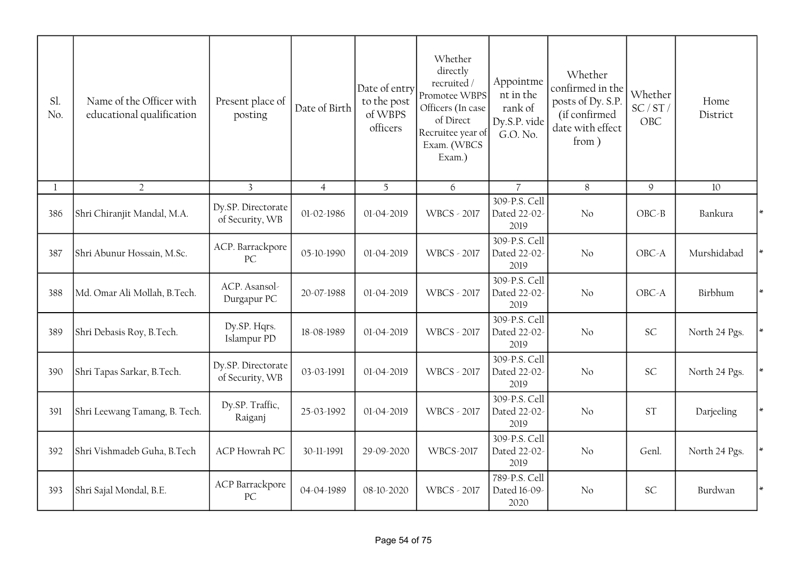| Sl.<br>No.   | Name of the Officer with<br>educational qualification | Present place of<br>posting           | Date of Birth  | Date of entry<br>to the post<br>of WBPS<br>officers | Whether<br>directly<br>recruited/<br>Promotee WBPS<br>Officers (In case<br>of Direct<br>Recruitee year of<br>Exam. (WBCS<br>Exam.) | Appointme<br>nt in the<br>rank of<br>Dy.S.P. vide<br>G.O. No. | Whether<br>confirmed in the<br>posts of Dy. S.P.<br>(if confirmed<br>date with effect<br>from) | Whether<br>SC/ST/<br>OBC | Home<br>District |  |
|--------------|-------------------------------------------------------|---------------------------------------|----------------|-----------------------------------------------------|------------------------------------------------------------------------------------------------------------------------------------|---------------------------------------------------------------|------------------------------------------------------------------------------------------------|--------------------------|------------------|--|
| $\mathbf{1}$ | $\overline{2}$                                        | $\overline{3}$                        | $\overline{4}$ | 5                                                   | 6                                                                                                                                  | $\overline{7}$                                                | 8                                                                                              | $\mathsf g$              | 10               |  |
| 386          | Shri Chiranjit Mandal, M.A.                           | Dy.SP. Directorate<br>of Security, WB | 01-02-1986     | 01-04-2019                                          | <b>WBCS - 2017</b>                                                                                                                 | 309-P.S. Cell<br>Dated 22-02-<br>2019                         | No                                                                                             | $OBC - B$                | Bankura          |  |
| 387          | Shri Abunur Hossain, M.Sc.                            | ACP. Barrackpore<br>PC                | 05-10-1990     | 01-04-2019                                          | <b>WBCS - 2017</b>                                                                                                                 | 309-P.S. Cell<br>Dated 22-02-<br>2019                         | No                                                                                             | OBC-A                    | Murshidabad      |  |
| 388          | Md. Omar Ali Mollah, B.Tech.                          | ACP. Asansol-<br>Durgapur PC          | 20-07-1988     | 01-04-2019                                          | <b>WBCS - 2017</b>                                                                                                                 | 309-P.S. Cell<br>Dated 22-02-<br>2019                         | No                                                                                             | OBC-A                    | Birbhum          |  |
| 389          | Shri Debasis Roy, B.Tech.                             | Dy.SP. Hqrs.<br>Islampur PD           | 18-08-1989     | 01-04-2019                                          | <b>WBCS - 2017</b>                                                                                                                 | 309-P.S. Cell<br>Dated 22-02-<br>2019                         | No                                                                                             | SC                       | North 24 Pgs.    |  |
| 390          | Shri Tapas Sarkar, B.Tech.                            | Dy.SP. Directorate<br>of Security, WB | 03-03-1991     | 01-04-2019                                          | <b>WBCS - 2017</b>                                                                                                                 | 309-P.S. Cell<br>Dated 22-02-<br>2019                         | No                                                                                             | <b>SC</b>                | North 24 Pgs.    |  |
| 391          | Shri Leewang Tamang, B. Tech.                         | Dy.SP. Traffic,<br>Raiganj            | 25-03-1992     | 01-04-2019                                          | <b>WBCS - 2017</b>                                                                                                                 | 309-P.S. Cell<br>Dated 22-02-<br>2019                         | No                                                                                             | <b>ST</b>                | Darjeeling       |  |
| 392          | Shri Vishmadeb Guha, B.Tech                           | <b>ACP</b> Howrah PC                  | 30-11-1991     | 29-09-2020                                          | <b>WBCS-2017</b>                                                                                                                   | 309-P.S. Cell<br>Dated 22-02-<br>2019                         | N <sub>0</sub>                                                                                 | Genl.                    | North 24 Pgs.    |  |
| 393          | Shri Sajal Mondal, B.E.                               | <b>ACP Barrackpore</b><br>PC          | 04-04-1989     | 08-10-2020                                          | <b>WBCS - 2017</b>                                                                                                                 | 789-P.S. Cell<br>Dated 16-09-<br>2020                         | No                                                                                             | SC                       | Burdwan          |  |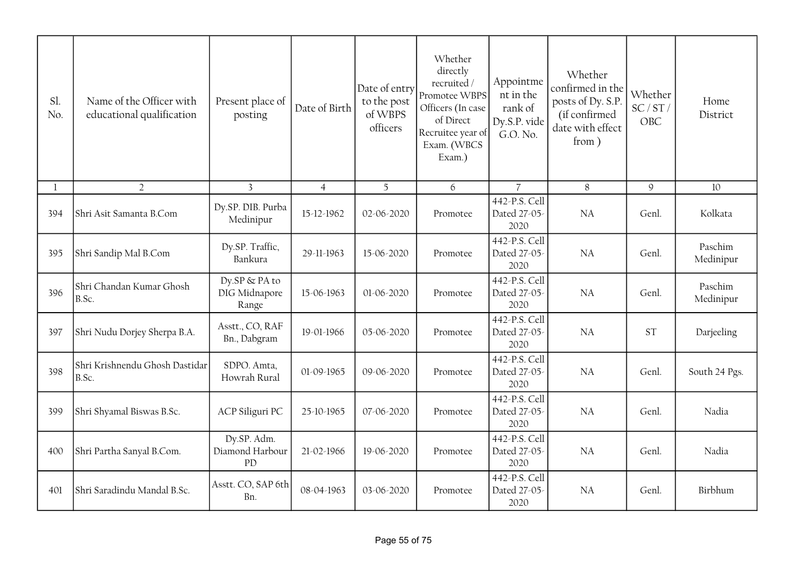| Sl.<br>No.   | Name of the Officer with<br>educational qualification | Present place of<br>posting                  | Date of Birth  | Date of entry<br>to the post<br>of WBPS<br>officers | Whether<br>directly<br>recruited /<br>Promotee WBPS<br>Officers (In case<br>of Direct<br>Recruitee year of<br>Exam. (WBCS<br>Exam.) | Appointme<br>nt in the<br>rank of<br>Dy.S.P. vide<br>G.O. No. | Whether<br>confirmed in the<br>posts of Dy. S.P.<br>(if confirmed<br>date with effect<br>from) | Whether<br>SC/ST/<br>OBC | Home<br>District     |
|--------------|-------------------------------------------------------|----------------------------------------------|----------------|-----------------------------------------------------|-------------------------------------------------------------------------------------------------------------------------------------|---------------------------------------------------------------|------------------------------------------------------------------------------------------------|--------------------------|----------------------|
| $\mathbf{1}$ | $\overline{2}$                                        | $\overline{3}$                               | $\overline{4}$ | 5 <sup>5</sup>                                      | 6                                                                                                                                   | $\overline{7}$                                                | 8                                                                                              | $\mathcal{Q}$            | 10                   |
| 394          | Shri Asit Samanta B.Com                               | Dy.SP. DIB. Purba<br>Medinipur               | 15-12-1962     | 02-06-2020                                          | Promotee                                                                                                                            | 442-P.S. Cell<br>Dated 27-05-<br>2020                         | <b>NA</b>                                                                                      | Genl.                    | Kolkata              |
| 395          | Shri Sandip Mal B.Com                                 | Dy.SP. Traffic,<br>Bankura                   | 29-11-1963     | 15-06-2020                                          | Promotee                                                                                                                            | 442-P.S. Cell<br>Dated 27-05-<br>2020                         | NA                                                                                             | Genl.                    | Paschim<br>Medinipur |
| 396          | Shri Chandan Kumar Ghosh<br>B.Sc.                     | Dy.SP & PA to<br>DIG Midnapore<br>Range      | 15-06-1963     | 01-06-2020                                          | Promotee                                                                                                                            | 442-P.S. Cell<br>Dated 27-05-<br>2020                         | <b>NA</b>                                                                                      | Genl.                    | Paschim<br>Medinipur |
| 397          | Shri Nudu Dorjey Sherpa B.A.                          | Asstt., CO, RAF<br>Bn., Dabgram              | 19-01-1966     | 05-06-2020                                          | Promotee                                                                                                                            | 442-P.S. Cell<br>Dated 27-05-<br>2020                         | <b>NA</b>                                                                                      | <b>ST</b>                | Darjeeling           |
| 398          | Shri Krishnendu Ghosh Dastidar<br>B.Sc.               | SDPO. Amta,<br>Howrah Rural                  | 01-09-1965     | 09-06-2020                                          | Promotee                                                                                                                            | 442-P.S. Cell<br>Dated 27-05-<br>2020                         | <b>NA</b>                                                                                      | Genl.                    | South 24 Pgs.        |
| 399          | Shri Shyamal Biswas B.Sc.                             | ACP Siliguri PC                              | 25-10-1965     | 07-06-2020                                          | Promotee                                                                                                                            | 442-P.S. Cell<br>Dated 27-05-<br>2020                         | <b>NA</b>                                                                                      | Genl.                    | Nadia                |
| 400          | Shri Partha Sanyal B.Com.                             | Dy.SP. Adm.<br>Diamond Harbour<br>${\rm PD}$ | 21-02-1966     | 19-06-2020                                          | Promotee                                                                                                                            | 442-P.S. Cell<br>Dated 27-05-<br>2020                         | <b>NA</b>                                                                                      | Genl.                    | Nadia                |
| 401          | Shri Saradindu Mandal B.Sc.                           | Asstt. CO, SAP 6th<br>Bn.                    | 08-04-1963     | 03-06-2020                                          | Promotee                                                                                                                            | 442-P.S. Cell<br>Dated 27-05-<br>2020                         | <b>NA</b>                                                                                      | Genl.                    | Birbhum              |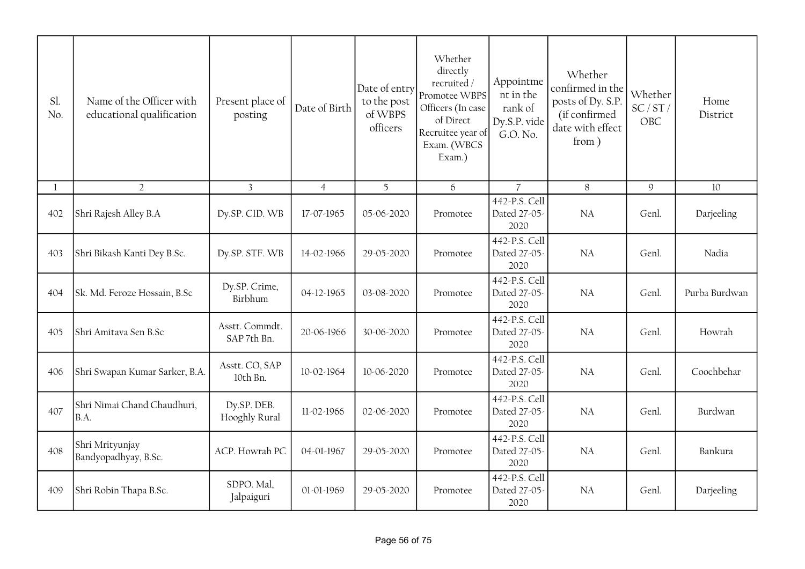| Sl.<br>No. | Name of the Officer with<br>educational qualification | Present place of<br>posting   | Date of Birth  | Date of entry<br>to the post<br>of WBPS<br>officers | Whether<br>directly<br>recruited /<br>Promotee WBPS<br>Officers (In case<br>of Direct<br>Recruitee year of<br>Exam. (WBCS<br>Exam.) | Appointme<br>nt in the<br>rank of<br>Dy.S.P. vide<br>G.O. No. | Whether<br>confirmed in the<br>posts of Dy. S.P.<br>(if confirmed<br>date with effect<br>from) | Whether<br>SC/ST/<br>OBC | Home<br>District |
|------------|-------------------------------------------------------|-------------------------------|----------------|-----------------------------------------------------|-------------------------------------------------------------------------------------------------------------------------------------|---------------------------------------------------------------|------------------------------------------------------------------------------------------------|--------------------------|------------------|
| 1          | $\overline{2}$                                        | $\overline{3}$                | $\overline{4}$ | 5                                                   | 6                                                                                                                                   | $\overline{7}$                                                | 8                                                                                              | 9                        | 10               |
| 402        | Shri Rajesh Alley B.A                                 | Dy.SP. CID. WB                | 17-07-1965     | 05-06-2020                                          | Promotee                                                                                                                            | 442-P.S. Cell<br>Dated 27-05-<br>2020                         | NA                                                                                             | Genl.                    | Darjeeling       |
| 403        | Shri Bikash Kanti Dey B.Sc.                           | Dy.SP. STF. WB                | 14-02-1966     | 29-05-2020                                          | Promotee                                                                                                                            | 442-P.S. Cell<br>Dated 27-05-<br>2020                         | NA                                                                                             | Genl.                    | Nadia            |
| 404        | Sk. Md. Feroze Hossain, B.Sc                          | Dy.SP. Crime,<br>Birbhum      | 04-12-1965     | 03-08-2020                                          | Promotee                                                                                                                            | 442-P.S. Cell<br>Dated 27-05-<br>2020                         | NA                                                                                             | Genl.                    | Purba Burdwan    |
| 405        | Shri Amitava Sen B.Sc                                 | Asstt. Commdt.<br>SAP 7th Bn. | 20-06-1966     | 30-06-2020                                          | Promotee                                                                                                                            | 442-P.S. Cell<br>Dated 27-05-<br>2020                         | NA                                                                                             | Genl.                    | Howrah           |
| 406        | Shri Swapan Kumar Sarker, B.A.                        | Asstt. CO, SAP<br>10th Bn.    | 10-02-1964     | 10-06-2020                                          | Promotee                                                                                                                            | 442-P.S. Cell<br>Dated 27-05-<br>2020                         | NA                                                                                             | Genl.                    | Coochbehar       |
| 407        | Shri Nimai Chand Chaudhuri,<br>B.A.                   | Dy.SP. DEB.<br>Hooghly Rural  | 11-02-1966     | 02-06-2020                                          | Promotee                                                                                                                            | 442-P.S. Cell<br>Dated 27-05-<br>2020                         | NA                                                                                             | Genl.                    | Burdwan          |
| 408        | Shri Mrityunjay<br>Bandyopadhyay, B.Sc.               | ACP. Howrah PC                | 04-01-1967     | 29-05-2020                                          | Promotee                                                                                                                            | 442-P.S. Cell<br>Dated 27-05-<br>2020                         | NA                                                                                             | Genl.                    | Bankura          |
| 409        | Shri Robin Thapa B.Sc.                                | SDPO. Mal,<br>Jalpaiguri      | 01-01-1969     | 29-05-2020                                          | Promotee                                                                                                                            | 442-P.S. Cell<br>Dated 27-05-<br>2020                         | <b>NA</b>                                                                                      | Genl.                    | Darjeeling       |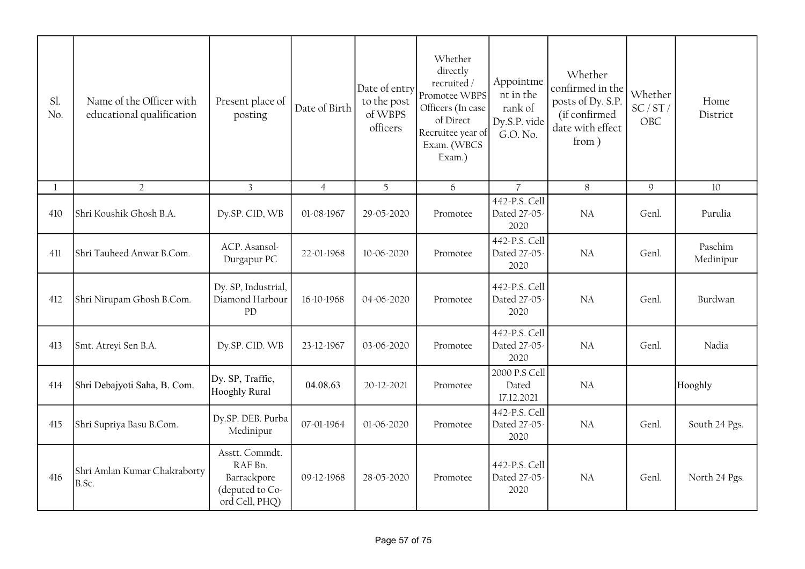| Sl.<br>No.   | Name of the Officer with<br>educational qualification | Present place of<br>posting                                                   | Date of Birth  | Date of entry<br>to the post<br>of WBPS<br>officers | Whether<br>directly<br>recruited /<br>Promotee WBPS<br>Officers (In case<br>of Direct<br>Recruitee year of<br>Exam. (WBCS<br>Exam.) | Appointme<br>nt in the<br>rank of<br>Dy.S.P. vide<br>G.O. No. | Whether<br>confirmed in the<br>posts of Dy. S.P.<br>(if confirmed<br>date with effect<br>from ) | Whether<br>SC/ST/<br>OBC | Home<br>District     |
|--------------|-------------------------------------------------------|-------------------------------------------------------------------------------|----------------|-----------------------------------------------------|-------------------------------------------------------------------------------------------------------------------------------------|---------------------------------------------------------------|-------------------------------------------------------------------------------------------------|--------------------------|----------------------|
| $\mathbf{1}$ | $\overline{2}$                                        | $\overline{3}$                                                                | $\overline{4}$ | 5 <sup>5</sup>                                      | 6                                                                                                                                   | $\overline{7}$                                                | 8                                                                                               | $\mathcal{Q}$            | 10                   |
| 410          | Shri Koushik Ghosh B.A.                               | Dy.SP. CID, WB                                                                | 01-08-1967     | 29-05-2020                                          | Promotee                                                                                                                            | 442-P.S. Cell<br>Dated 27-05-<br>2020                         | <b>NA</b>                                                                                       | Genl.                    | Purulia              |
| 411          | Shri Tauheed Anwar B.Com.                             | ACP. Asansol-<br>Durgapur PC                                                  | 22-01-1968     | 10-06-2020                                          | Promotee                                                                                                                            | 442-P.S. Cell<br>Dated 27-05-<br>2020                         | NA                                                                                              | Genl.                    | Paschim<br>Medinipur |
| 412          | Shri Nirupam Ghosh B.Com.                             | Dy. SP, Industrial,<br>Diamond Harbour<br>PD                                  | 16-10-1968     | 04-06-2020                                          | Promotee                                                                                                                            | 442-P.S. Cell<br>Dated 27-05-<br>2020                         | NA                                                                                              | Genl.                    | Burdwan              |
| 413          | Smt. Atreyi Sen B.A.                                  | Dy.SP. CID. WB                                                                | 23-12-1967     | 03-06-2020                                          | Promotee                                                                                                                            | 442-P.S. Cell<br>Dated 27-05-<br>2020                         | NA                                                                                              | Genl.                    | Nadia                |
| 414          | Shri Debajyoti Saha, B. Com.                          | Dy. SP, Traffic,<br>Hooghly Rural                                             | 04.08.63       | 20-12-2021                                          | Promotee                                                                                                                            | 2000 P.S Cell<br>Dated<br>17.12.2021                          | <b>NA</b>                                                                                       |                          | Hooghly              |
| 415          | Shri Supriya Basu B.Com.                              | Dy.SP. DEB. Purba<br>Medinipur                                                | 07-01-1964     | 01-06-2020                                          | Promotee                                                                                                                            | 442-P.S. Cell<br>Dated 27-05-<br>2020                         | NA                                                                                              | Genl.                    | South 24 Pgs.        |
| 416          | Shri Amlan Kumar Chakraborty<br>B.Sc.                 | Asstt. Commdt.<br>RAF Bn.<br>Barrackpore<br>(deputed to Co-<br>ord Cell, PHQ) | 09-12-1968     | 28-05-2020                                          | Promotee                                                                                                                            | 442-P.S. Cell<br>Dated 27-05-<br>2020                         | NA.                                                                                             | Genl.                    | North 24 Pgs.        |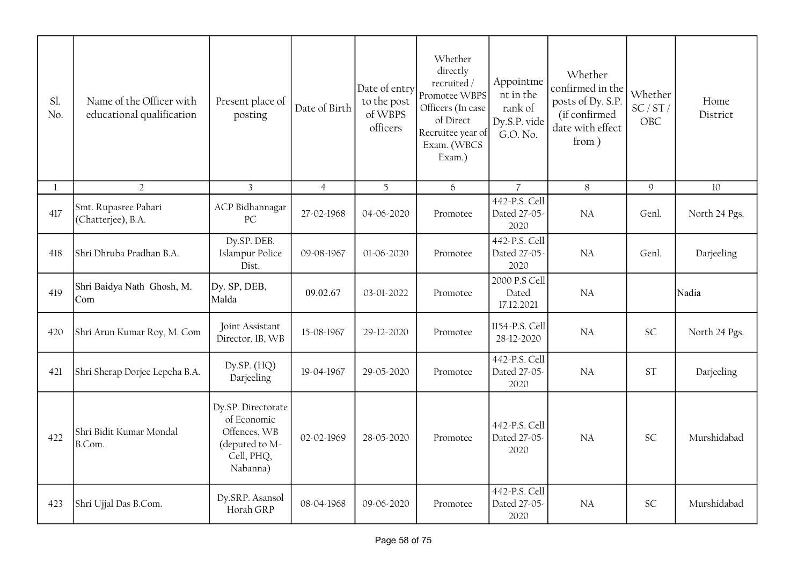| Sl.<br>No.   | Name of the Officer with<br>educational qualification | Present place of<br>posting                                                                   | Date of Birth  | Date of entry<br>to the post<br>of WBPS<br>officers | Whether<br>directly<br>recruited/<br>Promotee WBPS<br>Officers (In case<br>of Direct<br>Recruitee year of<br>Exam. (WBCS<br>Exam.) | Appointme<br>nt in the<br>rank of<br>Dy.S.P. vide<br>G.O. No. | Whether<br>confirmed in the<br>posts of Dy. S.P.<br>(if confirmed<br>date with effect<br>from) | Whether<br>SC/ST/<br><b>OBC</b> | Home<br>District |
|--------------|-------------------------------------------------------|-----------------------------------------------------------------------------------------------|----------------|-----------------------------------------------------|------------------------------------------------------------------------------------------------------------------------------------|---------------------------------------------------------------|------------------------------------------------------------------------------------------------|---------------------------------|------------------|
| $\mathbf{1}$ | $\overline{2}$                                        | $\overline{3}$                                                                                | $\overline{4}$ | 5                                                   | 6                                                                                                                                  | $\overline{7}$                                                | 8                                                                                              | $\mathsf 9$                     | 10               |
| 417          | Smt. Rupasree Pahari<br>(Chatterjee), B.A.            | ACP Bidhannagar<br>PC                                                                         | 27-02-1968     | 04-06-2020                                          | Promotee                                                                                                                           | 442-P.S. Cell<br>Dated 27-05-<br>2020                         | <b>NA</b>                                                                                      | Genl.                           | North 24 Pgs.    |
| 418          | Shri Dhruba Pradhan B.A.                              | Dy.SP. DEB.<br>Islampur Police<br>Dist.                                                       | 09-08-1967     | 01-06-2020                                          | Promotee                                                                                                                           | 442-P.S. Cell<br>Dated 27-05-<br>2020                         | <b>NA</b>                                                                                      | Genl.                           | Darjeeling       |
| 419          | Shri Baidya Nath Ghosh, M.<br>Com                     | Dy. SP, DEB,<br>Malda                                                                         | 09.02.67       | 03-01-2022                                          | Promotee                                                                                                                           | 2000 P.S Cell<br>Dated<br>17.12.2021                          | <b>NA</b>                                                                                      |                                 | Nadia            |
| 420          | Shri Arun Kumar Roy, M. Com                           | Joint Assistant<br>Director, IB, WB                                                           | 15-08-1967     | 29-12-2020                                          | Promotee                                                                                                                           | 1154-P.S. Cell<br>28-12-2020                                  | <b>NA</b>                                                                                      | <b>SC</b>                       | North 24 Pgs.    |
| 421          | Shri Sherap Dorjee Lepcha B.A.                        | Dy.SP. $(HQ)$<br>Darjeeling                                                                   | 19-04-1967     | 29-05-2020                                          | Promotee                                                                                                                           | 442-P.S. Cell<br>Dated 27-05-<br>2020                         | <b>NA</b>                                                                                      | <b>ST</b>                       | Darjeeling       |
| 422          | Shri Bidit Kumar Mondal<br>B.Com.                     | Dy.SP. Directorate<br>of Economic<br>Offences, WB<br>(deputed to M-<br>Cell, PHQ,<br>Nabanna) | 02-02-1969     | 28-05-2020                                          | Promotee                                                                                                                           | 442-P.S. Cell<br>Dated 27-05-<br>2020                         | NA                                                                                             | <b>SC</b>                       | Murshidabad      |
| 423          | Shri Ujjal Das B.Com.                                 | Dy.SRP. Asansol<br>Horah GRP                                                                  | 08-04-1968     | 09-06-2020                                          | Promotee                                                                                                                           | 442-P.S. Cell<br>Dated 27-05-<br>2020                         | NA                                                                                             | <b>SC</b>                       | Murshidabad      |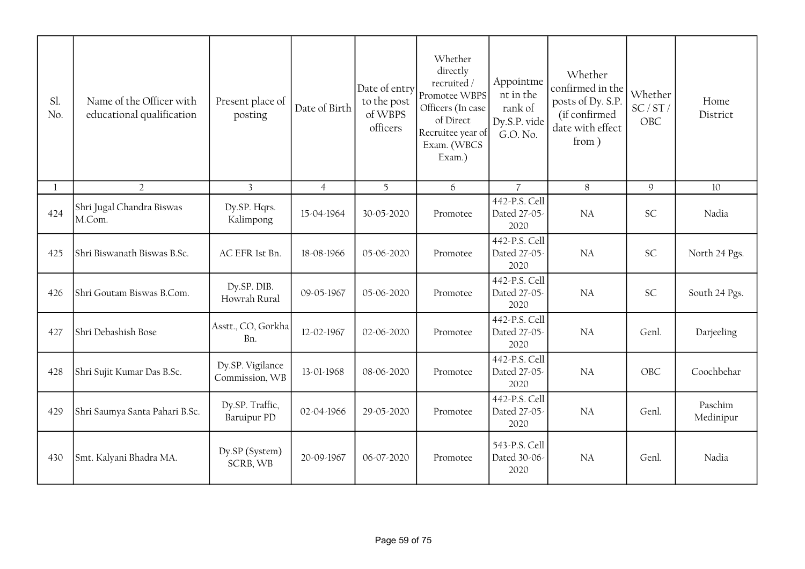| Sl.<br>No. | Name of the Officer with<br>educational qualification | Present place of<br>posting           | Date of Birth  | Date of entry<br>to the post<br>of WBPS<br>officers | Whether<br>directly<br>recruited /<br>Promotee WBPS<br>Officers (In case<br>of Direct<br>Recruitee year of<br>Exam. (WBCS<br>Exam.) | Appointme<br>nt in the<br>rank of<br>Dy.S.P. vide<br>G.O. No. | Whether<br>confirmed in the<br>posts of Dy. S.P.<br>(if confirmed<br>date with effect<br>from) | Whether<br>SC/ST/<br>OBC | Home<br>District     |
|------------|-------------------------------------------------------|---------------------------------------|----------------|-----------------------------------------------------|-------------------------------------------------------------------------------------------------------------------------------------|---------------------------------------------------------------|------------------------------------------------------------------------------------------------|--------------------------|----------------------|
| 1          | $\overline{2}$                                        | $\overline{3}$                        | $\overline{4}$ | 5 <sup>5</sup>                                      | 6                                                                                                                                   | $\overline{7}$                                                | 8                                                                                              | $\mathcal{Q}$            | 10                   |
| 424        | Shri Jugal Chandra Biswas<br>M.Com.                   | Dy.SP. Hqrs.<br>Kalimpong             | 15-04-1964     | 30-05-2020                                          | Promotee                                                                                                                            | 442-P.S. Cell<br>Dated 27-05-<br>2020                         | <b>NA</b>                                                                                      | <b>SC</b>                | Nadia                |
| 425        | Shri Biswanath Biswas B.Sc.                           | AC EFR 1st Bn.                        | 18-08-1966     | 05-06-2020                                          | Promotee                                                                                                                            | 442-P.S. Cell<br>Dated 27-05-<br>2020                         | NA                                                                                             | <b>SC</b>                | North 24 Pgs.        |
| 426        | Shri Goutam Biswas B.Com.                             | Dy.SP. DIB.<br>Howrah Rural           | 09-05-1967     | $05 - 06 - 2020$                                    | Promotee                                                                                                                            | 442-P.S. Cell<br>Dated 27-05-<br>2020                         | <b>NA</b>                                                                                      | <b>SC</b>                | South 24 Pgs.        |
| 427        | Shri Debashish Bose                                   | Asstt., CO, Gorkha<br>Bn.             | 12-02-1967     | 02-06-2020                                          | Promotee                                                                                                                            | 442-P.S. Cell<br>Dated 27-05-<br>2020                         | <b>NA</b>                                                                                      | Genl.                    | Darjeeling           |
| 428        | Shri Sujit Kumar Das B.Sc.                            | Dy.SP. Vigilance<br>Commission, WB    | 13-01-1968     | 08-06-2020                                          | Promotee                                                                                                                            | 442-P.S. Cell<br>Dated 27-05-<br>2020                         | NA                                                                                             | OBC                      | Coochbehar           |
| 429        | Shri Saumya Santa Pahari B.Sc.                        | Dy.SP. Traffic,<br><b>Baruipur PD</b> | 02-04-1966     | 29-05-2020                                          | Promotee                                                                                                                            | 442-P.S. Cell<br>Dated 27-05-<br>2020                         | <b>NA</b>                                                                                      | Genl.                    | Paschim<br>Medinipur |
| 430        | Smt. Kalyani Bhadra MA.                               | Dy.SP (System)<br>SCRB, WB            | 20-09-1967     | 06-07-2020                                          | Promotee                                                                                                                            | 543-P.S. Cell<br>Dated 30-06-<br>2020                         | <b>NA</b>                                                                                      | Genl.                    | Nadia                |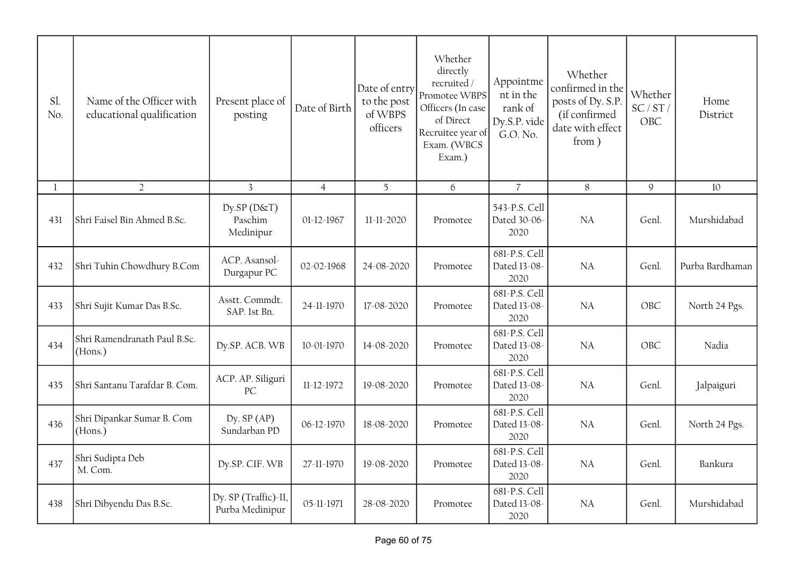| Sl.<br>No. | Name of the Officer with<br>educational qualification | Present place of<br>posting                | Date of Birth  | Date of entry<br>to the post<br>of WBPS<br>officers | Whether<br>directly<br>recruited/<br>Promotee WBPS<br>Officers (In case<br>of Direct<br>Recruitee year of<br>Exam. (WBCS<br>Exam.) | Appointme<br>nt in the<br>rank of<br>Dy.S.P. vide<br>G.O. No. | Whether<br>confirmed in the<br>posts of Dy. S.P.<br>(if confirmed<br>date with effect<br>from) | Whether<br>SC/ST/<br>OBC | Home<br>District |
|------------|-------------------------------------------------------|--------------------------------------------|----------------|-----------------------------------------------------|------------------------------------------------------------------------------------------------------------------------------------|---------------------------------------------------------------|------------------------------------------------------------------------------------------------|--------------------------|------------------|
| 1          | $\overline{2}$                                        | $\mathbf{3}$                               | $\overline{4}$ | 5                                                   | 6                                                                                                                                  | $\overline{7}$                                                | 8                                                                                              | 9                        | 10               |
| 431        | Shri Faisel Bin Ahmed B.Sc.                           | $Dy$ .SP ( $D$ &T)<br>Paschim<br>Medinipur | 01-12-1967     | 11-11-2020                                          | Promotee                                                                                                                           | 543-P.S. Cell<br>Dated 30-06-<br>2020                         | <b>NA</b>                                                                                      | Genl.                    | Murshidabad      |
| 432        | Shri Tuhin Chowdhury B.Com                            | ACP. Asansol-<br>Durgapur PC               | 02-02-1968     | 24-08-2020                                          | Promotee                                                                                                                           | 681-P.S. Cell<br>Dated 13-08-<br>2020                         | <b>NA</b>                                                                                      | Genl.                    | Purba Bardhaman  |
| 433        | Shri Sujit Kumar Das B.Sc.                            | Asstt. Commdt.<br>SAP. 1st Bn.             | 24-11-1970     | 17-08-2020                                          | Promotee                                                                                                                           | 681-P.S. Cell<br>Dated 13-08-<br>2020                         | <b>NA</b>                                                                                      | OBC                      | North 24 Pgs.    |
| 434        | Shri Ramendranath Paul B.Sc.<br>(Hons.)               | Dy.SP. ACB. WB                             | 10-01-1970     | 14-08-2020                                          | Promotee                                                                                                                           | 681-P.S. Cell<br>Dated 13-08-<br>2020                         | <b>NA</b>                                                                                      | OBC                      | Nadia            |
| 435        | Shri Santanu Tarafdar B. Com.                         | ACP. AP. Siliguri<br>PC                    | 11-12-1972     | 19-08-2020                                          | Promotee                                                                                                                           | 681-P.S. Cell<br>Dated 13-08-<br>2020                         | <b>NA</b>                                                                                      | Genl.                    | Jalpaiguri       |
| 436        | Shri Dipankar Sumar B. Com<br>(Hons.)                 | Dy. $SP(AP)$<br>Sundarban PD               | 06-12-1970     | 18-08-2020                                          | Promotee                                                                                                                           | 681-P.S. Cell<br>Dated 13-08-<br>2020                         | NA                                                                                             | Genl.                    | North 24 Pgs.    |
| 437        | Shri Sudipta Deb<br>M. Com.                           | Dy.SP. CIF. WB                             | 27-11-1970     | 19-08-2020                                          | Promotee                                                                                                                           | 681-P.S. Cell<br>Dated 13-08-<br>2020                         | <b>NA</b>                                                                                      | Genl.                    | Bankura          |
| 438        | Shri Dibyendu Das B.Sc.                               | Dy. SP (Traffic)-II,<br>Purba Medinipur    | 05-11-1971     | 28-08-2020                                          | Promotee                                                                                                                           | 681-P.S. Cell<br>Dated 13-08-<br>2020                         | NA                                                                                             | Genl.                    | Murshidabad      |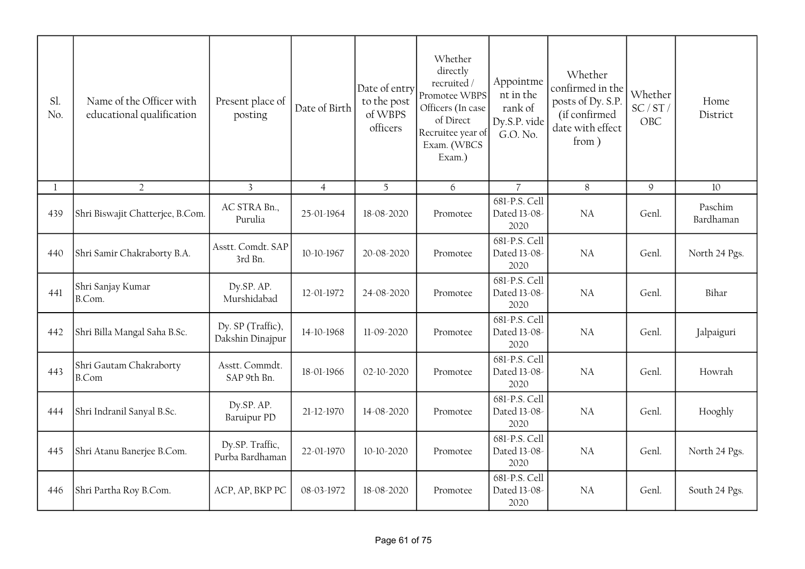| Sl.<br>No.   | Name of the Officer with<br>educational qualification | Present place of<br>posting           | Date of Birth  | Date of entry<br>to the post<br>of WBPS<br>officers | Whether<br>directly<br>recruited /<br>Promotee WBPS<br>Officers (In case<br>of Direct<br>Recruitee year of<br>Exam. (WBCS<br>Exam.) | Appointme<br>nt in the<br>rank of<br>Dy.S.P. vide<br>G.O. No. | Whether<br>confirmed in the<br>posts of Dy. S.P.<br>(if confirmed<br>date with effect<br>from) | Whether<br>SC/ST/<br>OBC | Home<br>District     |
|--------------|-------------------------------------------------------|---------------------------------------|----------------|-----------------------------------------------------|-------------------------------------------------------------------------------------------------------------------------------------|---------------------------------------------------------------|------------------------------------------------------------------------------------------------|--------------------------|----------------------|
| $\mathbf{1}$ | $\overline{2}$                                        | $\overline{3}$                        | $\overline{4}$ | 5 <sup>5</sup>                                      | 6                                                                                                                                   | $\overline{7}$                                                | 8                                                                                              | 9                        | 10                   |
| 439          | Shri Biswajit Chatterjee, B.Com.                      | AC STRA Bn.,<br>Purulia               | 25-01-1964     | 18-08-2020                                          | Promotee                                                                                                                            | 681-P.S. Cell<br>Dated 13-08-<br>2020                         | <b>NA</b>                                                                                      | Genl.                    | Paschim<br>Bardhaman |
| 440          | Shri Samir Chakraborty B.A.                           | Asstt. Comdt. SAP<br>3rd Bn.          | 10-10-1967     | 20-08-2020                                          | Promotee                                                                                                                            | 681-P.S. Cell<br>Dated 13-08-<br>2020                         | NA                                                                                             | Genl.                    | North 24 Pgs.        |
| 441          | Shri Sanjay Kumar<br>B.Com.                           | Dy.SP. AP.<br>Murshidabad             | 12-01-1972     | 24-08-2020                                          | Promotee                                                                                                                            | 681-P.S. Cell<br>Dated 13-08-<br>2020                         | NA                                                                                             | Genl.                    | Bihar                |
| 442          | Shri Billa Mangal Saha B.Sc.                          | Dy. SP (Traffic),<br>Dakshin Dinajpur | 14-10-1968     | 11-09-2020                                          | Promotee                                                                                                                            | 681-P.S. Cell<br>Dated 13-08-<br>2020                         | <b>NA</b>                                                                                      | Genl.                    | Jalpaiguri           |
| 443          | Shri Gautam Chakraborty<br>B.Com                      | Asstt. Commdt.<br>SAP 9th Bn.         | 18-01-1966     | 02-10-2020                                          | Promotee                                                                                                                            | 681-P.S. Cell<br>Dated 13-08-<br>2020                         | <b>NA</b>                                                                                      | Genl.                    | Howrah               |
| 444          | Shri Indranil Sanyal B.Sc.                            | Dy.SP. AP.<br>Baruipur PD             | 21-12-1970     | 14-08-2020                                          | Promotee                                                                                                                            | 681-P.S. Cell<br>Dated 13-08-<br>2020                         | <b>NA</b>                                                                                      | Genl.                    | Hooghly              |
| 445          | Shri Atanu Banerjee B.Com.                            | Dy.SP. Traffic,<br>Purba Bardhaman    | 22-01-1970     | 10-10-2020                                          | Promotee                                                                                                                            | 681-P.S. Cell<br>Dated 13-08-<br>2020                         | <b>NA</b>                                                                                      | Genl.                    | North 24 Pgs.        |
| 446          | Shri Partha Roy B.Com.                                | ACP, AP, BKP PC                       | 08-03-1972     | 18-08-2020                                          | Promotee                                                                                                                            | 681-P.S. Cell<br>Dated 13-08-<br>2020                         | <b>NA</b>                                                                                      | Genl.                    | South 24 Pgs.        |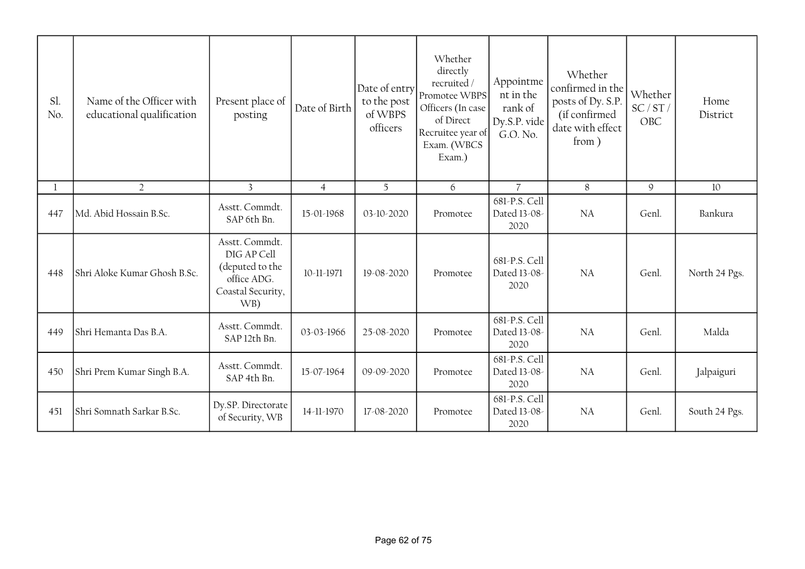| Sl.<br>No. | Name of the Officer with<br>educational qualification | Present place of<br>posting                                                                 | Date of Birth  | Date of entry<br>to the post<br>of WBPS<br>officers | Whether<br>directly<br>recruited /<br>Promotee WBPS<br>Officers (In case<br>of Direct<br>Recruitee year of<br>Exam. (WBCS<br>Exam.) | Appointme<br>nt in the<br>rank of<br>Dy.S.P. vide<br>G.O. No. | Whether<br>confirmed in the<br>posts of Dy. S.P.<br>(if confirmed<br>date with effect<br>from ) | Whether<br>SC/ST/<br>OBC | Home<br>District |
|------------|-------------------------------------------------------|---------------------------------------------------------------------------------------------|----------------|-----------------------------------------------------|-------------------------------------------------------------------------------------------------------------------------------------|---------------------------------------------------------------|-------------------------------------------------------------------------------------------------|--------------------------|------------------|
|            | $\overline{2}$                                        | $\overline{3}$                                                                              | $\overline{4}$ | 5                                                   | 6                                                                                                                                   | $\overline{7}$                                                | 8                                                                                               | $\mathsf{Q}$             | 10               |
| 447        | Md. Abid Hossain B.Sc.                                | Asstt. Commdt.<br>SAP 6th Bn.                                                               | 15-01-1968     | 03-10-2020                                          | Promotee                                                                                                                            | 681-P.S. Cell<br>Dated 13-08-<br>2020                         | NA                                                                                              | Genl.                    | Bankura          |
| 448        | Shri Aloke Kumar Ghosh B.Sc.                          | Asstt. Commdt.<br>DIG AP Cell<br>(deputed to the<br>office ADG.<br>Coastal Security,<br>WB) | 10-11-1971     | 19-08-2020                                          | Promotee                                                                                                                            | 681-P.S. Cell<br>Dated 13-08-<br>2020                         | <b>NA</b>                                                                                       | Genl.                    | North 24 Pgs.    |
| 449        | Shri Hemanta Das B.A.                                 | Asstt. Commdt.<br>SAP 12th Bn.                                                              | 03-03-1966     | 25-08-2020                                          | Promotee                                                                                                                            | 681-P.S. Cell<br>Dated 13-08-<br>2020                         | NA                                                                                              | Genl.                    | Malda            |
| 450        | Shri Prem Kumar Singh B.A.                            | Asstt. Commdt.<br>SAP 4th Bn.                                                               | 15-07-1964     | 09-09-2020                                          | Promotee                                                                                                                            | 681-P.S. Cell<br>Dated 13-08-<br>2020                         | NA                                                                                              | Genl.                    | Jalpaiguri       |
| 451        | Shri Somnath Sarkar B.Sc.                             | Dy.SP. Directorate<br>of Security, WB                                                       | 14-11-1970     | 17-08-2020                                          | Promotee                                                                                                                            | 681-P.S. Cell<br>Dated 13-08-<br>2020                         | NA                                                                                              | Genl.                    | South 24 Pgs.    |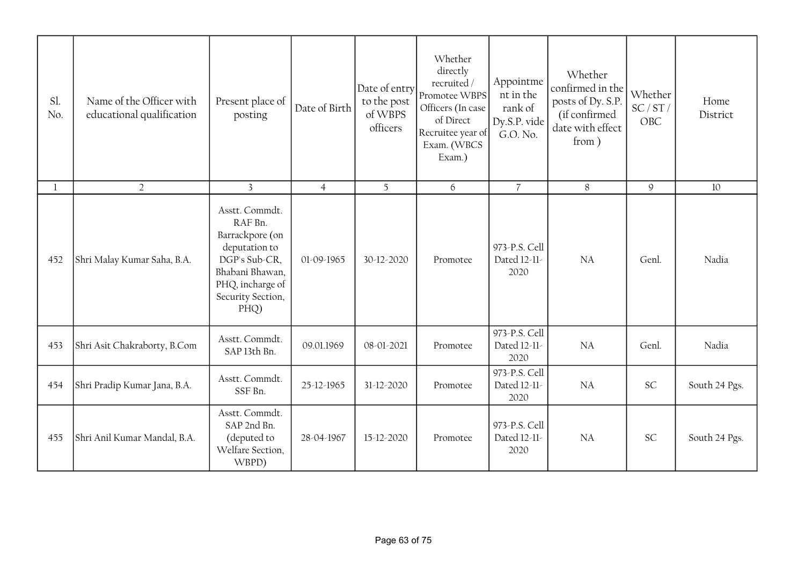| Sl.<br>No.   | Name of the Officer with<br>educational qualification | Present place of<br>posting                                                                                                                        | Date of Birth  | Date of entry<br>to the post<br>of WBPS<br>officers | Whether<br>directly<br>recruited/<br>Promotee WBPS<br>Officers (In case<br>of Direct<br>Recruitee year of<br>Exam. (WBCS<br>Exam.) | Appointme<br>nt in the<br>rank of<br>Dy.S.P. vide<br>G.O. No. | Whether<br>confirmed in the<br>posts of Dy. S.P.<br>(if confirmed<br>date with effect<br>from) | Whether<br>SC/ST/<br>OBC | Home<br>District |
|--------------|-------------------------------------------------------|----------------------------------------------------------------------------------------------------------------------------------------------------|----------------|-----------------------------------------------------|------------------------------------------------------------------------------------------------------------------------------------|---------------------------------------------------------------|------------------------------------------------------------------------------------------------|--------------------------|------------------|
| $\mathbf{1}$ | $\overline{2}$                                        | $\overline{3}$                                                                                                                                     | $\overline{4}$ | 5                                                   | 6                                                                                                                                  | $\overline{7}$                                                | $8\,$                                                                                          | $\mathcal{G}$            | 10               |
| 452          | Shri Malay Kumar Saha, B.A.                           | Asstt. Commdt.<br>RAF Bn.<br>Barrackpore (on<br>deputation to<br>DGP's Sub-CR,<br>Bhabani Bhawan,<br>PHQ, incharge of<br>Security Section,<br>PHQ) | 01-09-1965     | 30-12-2020                                          | Promotee                                                                                                                           | 973-P.S. Cell<br>Dated 12-11-<br>2020                         | <b>NA</b>                                                                                      | Genl.                    | Nadia            |
| 453          | Shri Asit Chakraborty, B.Com                          | Asstt. Commdt.<br>SAP 13th Bn.                                                                                                                     | 09.01.1969     | 08-01-2021                                          | Promotee                                                                                                                           | 973-P.S. Cell<br>Dated 12-11-<br>2020                         | NA                                                                                             | Genl.                    | Nadia            |
| 454          | Shri Pradip Kumar Jana, B.A.                          | Asstt. Commdt.<br>SSF Bn.                                                                                                                          | 25-12-1965     | 31-12-2020                                          | Promotee                                                                                                                           | 973-P.S. Cell<br>Dated 12-11-<br>2020                         | <b>NA</b>                                                                                      | <b>SC</b>                | South 24 Pgs.    |
| 455          | Shri Anil Kumar Mandal, B.A.                          | Asstt. Commdt.<br>SAP 2nd Bn.<br>(deputed to<br>Welfare Section,<br>WBPD)                                                                          | 28-04-1967     | 15-12-2020                                          | Promotee                                                                                                                           | 973-P.S. Cell<br>Dated 12-11-<br>2020                         | <b>NA</b>                                                                                      | <b>SC</b>                | South 24 Pgs.    |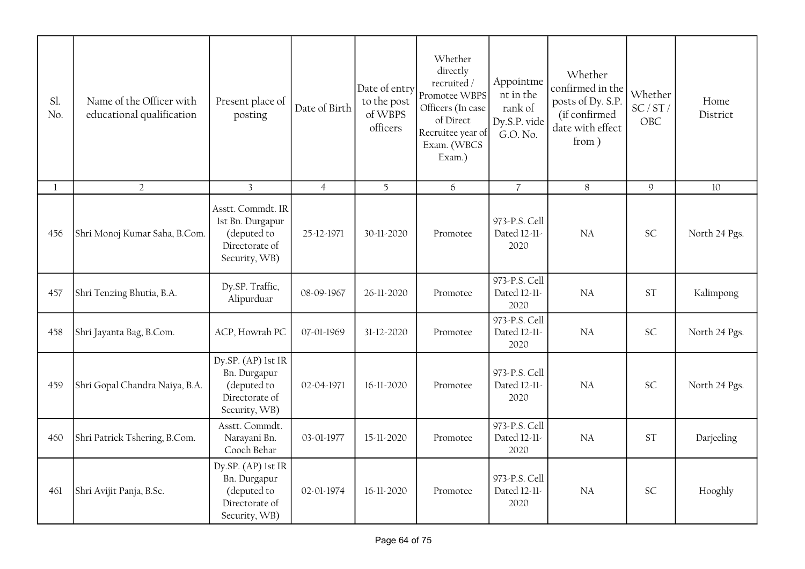| Sl.<br>No. | Name of the Officer with<br>educational qualification | Present place of<br>posting                                                             | Date of Birth  | Date of entry<br>to the post<br>of WBPS<br>officers | Whether<br>directly<br>recruited /<br>Promotee WBPS<br>Officers (In case<br>of Direct<br>Recruitee year of<br>Exam. (WBCS<br>Exam.) | Appointme<br>nt in the<br>rank of<br>Dy.S.P. vide<br>G.O. No. | Whether<br>confirmed in the<br>posts of Dy. S.P.<br>(if confirmed<br>date with effect<br>from) | Whether<br>SC/ST/<br>OBC | Home<br>District |
|------------|-------------------------------------------------------|-----------------------------------------------------------------------------------------|----------------|-----------------------------------------------------|-------------------------------------------------------------------------------------------------------------------------------------|---------------------------------------------------------------|------------------------------------------------------------------------------------------------|--------------------------|------------------|
| 1          | $\overline{2}$                                        | $\mathbf{3}$                                                                            | $\overline{4}$ | 5                                                   | 6                                                                                                                                   | $\overline{7}$                                                | 8                                                                                              | $\mathsf g$              | 10               |
| 456        | Shri Monoj Kumar Saha, B.Com.                         | Asstt. Commdt. IR<br>1st Bn. Durgapur<br>(deputed to<br>Directorate of<br>Security, WB) | 25-12-1971     | 30-11-2020                                          | Promotee                                                                                                                            | 973-P.S. Cell<br>Dated 12-11-<br>2020                         | <b>NA</b>                                                                                      | <b>SC</b>                | North 24 Pgs.    |
| 457        | Shri Tenzing Bhutia, B.A.                             | Dy.SP. Traffic,<br>Alipurduar                                                           | 08-09-1967     | 26-11-2020                                          | Promotee                                                                                                                            | 973-P.S. Cell<br>Dated 12-11-<br>2020                         | <b>NA</b>                                                                                      | <b>ST</b>                | Kalimpong        |
| 458        | Shri Jayanta Bag, B.Com.                              | ACP, Howrah PC                                                                          | 07-01-1969     | 31-12-2020                                          | Promotee                                                                                                                            | 973-P.S. Cell<br>Dated 12-11-<br>2020                         | <b>NA</b>                                                                                      | <b>SC</b>                | North 24 Pgs.    |
| 459        | Shri Gopal Chandra Naiya, B.A.                        | Dy.SP. (AP) lst IR<br>Bn. Durgapur<br>(deputed to<br>Directorate of<br>Security, WB)    | 02-04-1971     | 16-11-2020                                          | Promotee                                                                                                                            | 973-P.S. Cell<br>Dated 12-11-<br>2020                         | <b>NA</b>                                                                                      | <b>SC</b>                | North 24 Pgs.    |
| 460        | Shri Patrick Tshering, B.Com.                         | Asstt. Commdt.<br>Narayani Bn.<br>Cooch Behar                                           | 03-01-1977     | 15-11-2020                                          | Promotee                                                                                                                            | 973-P.S. Cell<br>Dated 12-11-<br>2020                         | NA                                                                                             | <b>ST</b>                | Darjeeling       |
| 461        | Shri Avijit Panja, B.Sc.                              | Dy.SP. (AP) lst IR<br>Bn. Durgapur<br>(deputed to<br>Directorate of<br>Security, WB)    | 02-01-1974     | 16-11-2020                                          | Promotee                                                                                                                            | 973-P.S. Cell<br>Dated 12-11-<br>2020                         | <b>NA</b>                                                                                      | <b>SC</b>                | Hooghly          |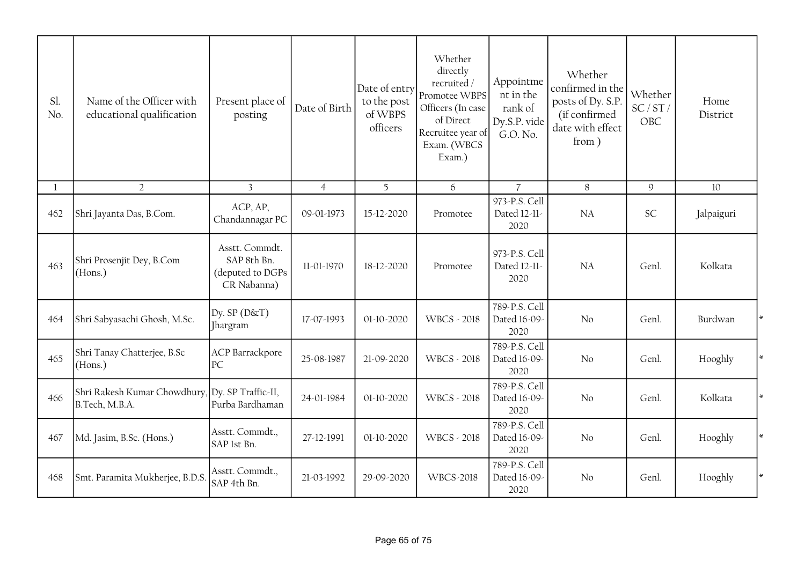| Sl.<br>No. | Name of the Officer with<br>educational qualification             | Present place of<br>posting                                      | Date of Birth  | Date of entry<br>to the post<br>of WBPS<br>officers | Whether<br>directly<br>recruited /<br>Promotee WBPS<br>Officers (In case<br>of Direct<br>Recruitee year of<br>Exam. (WBCS<br>Exam.) | Appointme<br>nt in the<br>rank of<br>Dy.S.P. vide<br>G.O. No. | Whether<br>confirmed in the<br>posts of Dy. S.P.<br>(if confirmed<br>date with effect<br>from) | Whether<br>SC/ST/<br>OBC | Home<br>District  |
|------------|-------------------------------------------------------------------|------------------------------------------------------------------|----------------|-----------------------------------------------------|-------------------------------------------------------------------------------------------------------------------------------------|---------------------------------------------------------------|------------------------------------------------------------------------------------------------|--------------------------|-------------------|
|            | $\overline{2}$                                                    | $\overline{3}$                                                   | $\overline{4}$ | $\overline{5}$                                      | 6                                                                                                                                   | $\overline{7}$                                                | 8                                                                                              | $\mathcal{Q}$            | 10                |
| 462        | Shri Jayanta Das, B.Com.                                          | ACP, AP,<br>Chandannagar PC                                      | 09-01-1973     | 15-12-2020                                          | Promotee                                                                                                                            | 973-P.S. Cell<br>Dated 12-11-<br>2020                         | NA                                                                                             | SC                       | Jalpaiguri        |
| 463        | Shri Prosenjit Dey, B.Com<br>(Hons.)                              | Asstt. Commdt.<br>SAP 8th Bn.<br>(deputed to DGPs<br>CR Nabanna) | 11-01-1970     | 18-12-2020                                          | Promotee                                                                                                                            | 973-P.S. Cell<br>Dated 12-11-<br>2020                         | NA                                                                                             | Genl.                    | Kolkata           |
| 464        | Shri Sabyasachi Ghosh, M.Sc.                                      | Dy. $SP(D&T)$<br>Jhargram                                        | 17-07-1993     | 01-10-2020                                          | <b>WBCS - 2018</b>                                                                                                                  | 789-P.S. Cell<br>Dated 16-09-<br>2020                         | No                                                                                             | Genl.                    | Burdwan<br>$\ast$ |
| 465        | Shri Tanay Chatterjee, B.Sc<br>(Hons.)                            | <b>ACP</b> Barrackpore<br>PC                                     | 25-08-1987     | 21-09-2020                                          | <b>WBCS - 2018</b>                                                                                                                  | 789-P.S. Cell<br>Dated 16-09-<br>2020                         | No                                                                                             | Genl.                    | Hooghly<br>∗      |
| 466        | Shri Rakesh Kumar Chowdhury, Dy. SP Traffic-II,<br>B.Tech, M.B.A. | Purba Bardhaman                                                  | 24-01-1984     | 01-10-2020                                          | <b>WBCS - 2018</b>                                                                                                                  | 789-P.S. Cell<br>Dated 16-09-<br>2020                         | No                                                                                             | Genl.                    | Kolkata           |
| 467        | Md. Jasim, B.Sc. (Hons.)                                          | Asstt. Commdt.,<br>SAP 1st Bn.                                   | 27-12-1991     | 01-10-2020                                          | <b>WBCS - 2018</b>                                                                                                                  | 789-P.S. Cell<br>Dated 16-09-<br>2020                         | No                                                                                             | Genl.                    | Hooghly           |
| 468        | Smt. Paramita Mukherjee, B.D.S                                    | Asstt. Commdt.,<br>SAP 4th Bn.                                   | 21-03-1992     | 29-09-2020                                          | <b>WBCS-2018</b>                                                                                                                    | 789-P.S. Cell<br>Dated 16-09-<br>2020                         | No                                                                                             | Genl.                    | ∗<br>Hooghly      |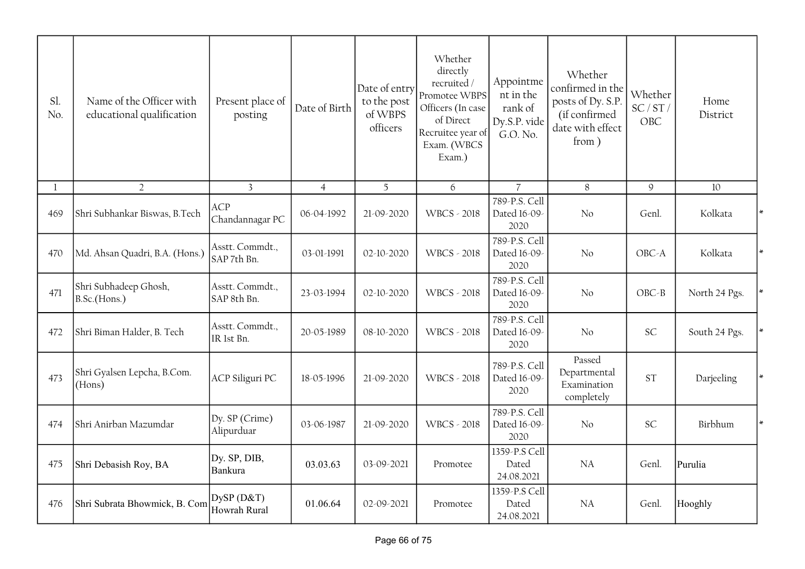| Sl.<br>No. | Name of the Officer with<br>educational qualification | Present place of<br>posting    | Date of Birth  | Date of entry<br>to the post<br>of WBPS<br>officers | Whether<br>directly<br>recruited/<br>Promotee WBPS<br>Officers (In case<br>of Direct<br>Recruitee year of<br>Exam. (WBCS<br>Exam.) | Appointme<br>nt in the<br>rank of<br>Dy.S.P. vide<br>G.O. No. | Whether<br>confirmed in the<br>posts of Dy. S.P.<br>(if confirmed<br>date with effect<br>from) | Whether<br>SC/ST/<br>OBC | Home<br>District |        |
|------------|-------------------------------------------------------|--------------------------------|----------------|-----------------------------------------------------|------------------------------------------------------------------------------------------------------------------------------------|---------------------------------------------------------------|------------------------------------------------------------------------------------------------|--------------------------|------------------|--------|
| 1          | $\overline{2}$                                        | $\overline{3}$                 | $\overline{4}$ | 5                                                   | 6                                                                                                                                  | $\overline{7}$                                                | 8                                                                                              | $\mathsf g$              | 10               |        |
| 469        | Shri Subhankar Biswas, B.Tech                         | ACP<br>Chandannagar PC         | 06-04-1992     | 21-09-2020                                          | <b>WBCS - 2018</b>                                                                                                                 | 789-P.S. Cell<br>Dated 16-09-<br>2020                         | No                                                                                             | Genl.                    | Kolkata          | $\ast$ |
| 470        | Md. Ahsan Quadri, B.A. (Hons.)                        | Asstt. Commdt.,<br>SAP 7th Bn. | 03-01-1991     | 02-10-2020                                          | <b>WBCS - 2018</b>                                                                                                                 | 789-P.S. Cell<br>Dated 16-09-<br>2020                         | N <sub>o</sub>                                                                                 | OBC-A                    | Kolkata          |        |
| 471        | Shri Subhadeep Ghosh,<br>B.Sc.(Hons.)                 | Asstt. Commdt.,<br>SAP 8th Bn. | 23-03-1994     | 02-10-2020                                          | <b>WBCS - 2018</b>                                                                                                                 | 789-P.S. Cell<br>Dated 16-09-<br>2020                         | No                                                                                             | $OBC - B$                | North 24 Pgs.    |        |
| 472        | Shri Biman Halder, B. Tech                            | Asstt. Commdt.,<br>IR 1st Bn.  | 20-05-1989     | 08-10-2020                                          | <b>WBCS - 2018</b>                                                                                                                 | 789-P.S. Cell<br>Dated 16-09-<br>2020                         | No                                                                                             | SC                       | South 24 Pgs.    |        |
| 473        | Shri Gyalsen Lepcha, B.Com.<br>(Hons)                 | ACP Siliguri PC                | 18-05-1996     | 21-09-2020                                          | <b>WBCS - 2018</b>                                                                                                                 | 789-P.S. Cell<br>Dated 16-09-<br>2020                         | Passed<br>Departmental<br>Examination<br>completely                                            | <b>ST</b>                | Darjeeling       |        |
| 474        | Shri Anirban Mazumdar                                 | Dy. SP (Crime)<br>Alipurduar   | 03-06-1987     | 21-09-2020                                          | <b>WBCS - 2018</b>                                                                                                                 | 789-P.S. Cell<br>Dated 16-09-<br>2020                         | No                                                                                             | SC                       | Birbhum          |        |
| 475        | Shri Debasish Roy, BA                                 | Dy. SP, DIB,<br>Bankura        | 03.03.63       | 03-09-2021                                          | Promotee                                                                                                                           | 1359-P.S Cell<br>Dated<br>24.08.2021                          | NA                                                                                             | Genl.                    | Purulia          |        |
| 476        | Shri Subrata Bhowmick, B. Com                         | DySP(D&T)<br>Howrah Rural      | 01.06.64       | 02-09-2021                                          | Promotee                                                                                                                           | 1359-P.S Cell<br>Dated<br>24.08.2021                          | NA                                                                                             | Genl.                    | Hooghly          |        |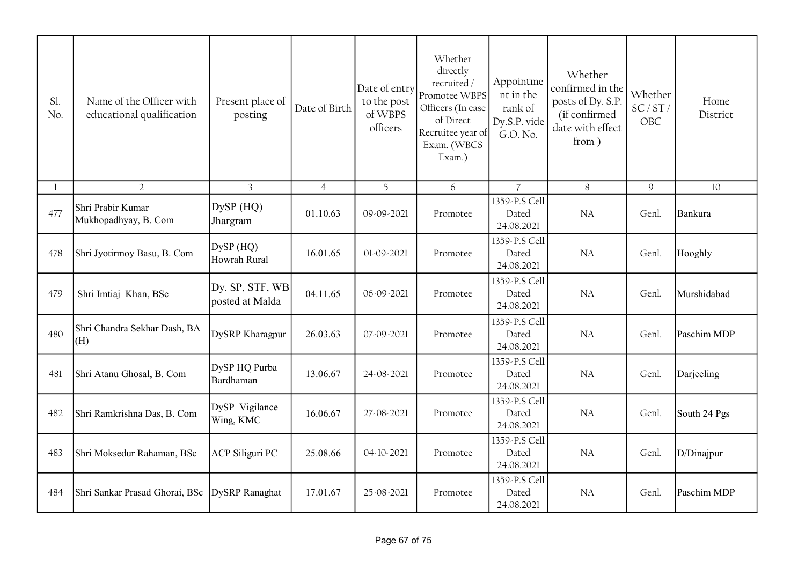| Sl.<br>No.   | Name of the Officer with<br>educational qualification | Present place of<br>posting        | Date of Birth  | Date of entry<br>to the post<br>of WBPS<br>officers | Whether<br>directly<br>recruited/<br>Promotee WBPS<br>Officers (In case<br>of Direct<br>Recruitee year of<br>Exam. (WBCS<br>Exam.) | Appointme<br>nt in the<br>rank of<br>Dy.S.P. vide<br>G.O. No. | Whether<br>confirmed in the<br>posts of Dy. S.P.<br>(if confirmed<br>date with effect<br>from) | Whether<br>SC/ST/<br>OBC | Home<br>District |
|--------------|-------------------------------------------------------|------------------------------------|----------------|-----------------------------------------------------|------------------------------------------------------------------------------------------------------------------------------------|---------------------------------------------------------------|------------------------------------------------------------------------------------------------|--------------------------|------------------|
| $\mathbf{I}$ | $\overline{2}$                                        | $\overline{3}$                     | $\overline{4}$ | 5                                                   | 6                                                                                                                                  | $\overline{7}$                                                | 8                                                                                              | $\mathcal{Q}$            | 10               |
| 477          | Shri Prabir Kumar<br>Mukhopadhyay, B. Com             | DySP (HQ)<br>Jhargram              | 01.10.63       | 09-09-2021                                          | Promotee                                                                                                                           | 1359-P.S Cell<br>Dated<br>24.08.2021                          | NA                                                                                             | Genl.                    | Bankura          |
| 478          | Shri Jyotirmoy Basu, B. Com                           | $DySP$ (HQ)<br>Howrah Rural        | 16.01.65       | 01-09-2021                                          | Promotee                                                                                                                           | 1359-P.S Cell<br>Dated<br>24.08.2021                          | NA                                                                                             | Genl.                    | Hooghly          |
| 479          | Shri Imtiaj Khan, BSc                                 | Dy. SP, STF, WB<br>posted at Malda | 04.11.65       | 06-09-2021                                          | Promotee                                                                                                                           | 1359-P.S Cell<br>Dated<br>24.08.2021                          | NA                                                                                             | Genl.                    | Murshidabad      |
| 480          | Shri Chandra Sekhar Dash, BA<br>(H)                   | DySRP Kharagpur                    | 26.03.63       | 07-09-2021                                          | Promotee                                                                                                                           | 1359-P.S Cell<br>Dated<br>24.08.2021                          | NA                                                                                             | Genl.                    | Paschim MDP      |
| 481          | Shri Atanu Ghosal, B. Com                             | DySP HQ Purba<br>Bardhaman         | 13.06.67       | 24-08-2021                                          | Promotee                                                                                                                           | 1359-P.S Cell<br>Dated<br>24.08.2021                          | <b>NA</b>                                                                                      | Genl.                    | Darjeeling       |
| 482          | Shri Ramkrishna Das, B. Com                           | DySP Vigilance<br>Wing, KMC        | 16.06.67       | 27-08-2021                                          | Promotee                                                                                                                           | 1359-P.S Cell<br>Dated<br>24.08.2021                          | NA                                                                                             | Genl.                    | South 24 Pgs     |
| 483          | Shri Moksedur Rahaman, BSc                            | <b>ACP Siliguri PC</b>             | 25.08.66       | 04-10-2021                                          | Promotee                                                                                                                           | 1359-P.S Cell<br>Dated<br>24.08.2021                          | <b>NA</b>                                                                                      | Genl.                    | D/Dinajpur       |
| 484          | Shri Sankar Prasad Ghorai, BSc                        | DySRP Ranaghat                     | 17.01.67       | 25-08-2021                                          | Promotee                                                                                                                           | 1359-P.S Cell<br>Dated<br>24.08.2021                          | <b>NA</b>                                                                                      | Genl.                    | Paschim MDP      |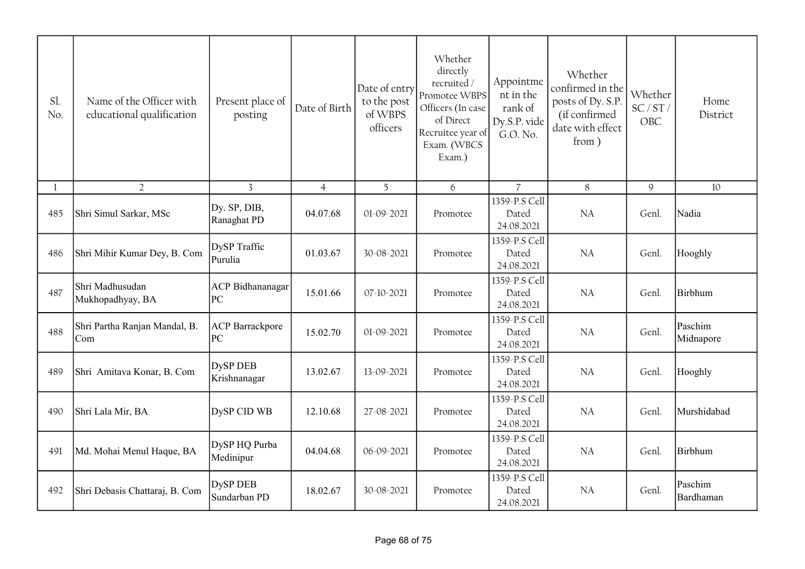| Sl.<br>No.  | Name of the Officer with<br>educational qualification | Present place of<br>posting     | Date of Birth  | Date of entry<br>to the post<br>of WBPS<br>officers | Whether<br>directly<br>recruited /<br>Promotee WBPS<br>Officers (In case<br>of Direct<br>Recruitee year of<br>Exam. (WBCS<br>Exam.) | Appointme<br>nt in the<br>rank of<br>Dy.S.P. vide<br>G.O. No. | Whether<br>confirmed in the<br>posts of Dy. S.P.<br>(if confirmed<br>date with effect<br>from) | Whether<br>SC/ST/<br>OBC | Home<br>District     |
|-------------|-------------------------------------------------------|---------------------------------|----------------|-----------------------------------------------------|-------------------------------------------------------------------------------------------------------------------------------------|---------------------------------------------------------------|------------------------------------------------------------------------------------------------|--------------------------|----------------------|
| $\mathbf l$ | $\overline{2}$                                        | $\overline{3}$                  | $\overline{4}$ | 5                                                   | 6                                                                                                                                   | $\overline{7}$                                                | 8                                                                                              | $\mathcal{G}$            | 10                   |
| 485         | Shri Simul Sarkar, MSc                                | Dy. SP, DIB,<br>Ranaghat PD     | 04.07.68       | 01-09-2021                                          | Promotee                                                                                                                            | 1359-P.S Cell<br>Dated<br>24.08.2021                          | <b>NA</b>                                                                                      | Genl.                    | Nadia                |
| 486         | Shri Mihir Kumar Dey, B. Com                          | DySP Traffic<br>Purulia         | 01.03.67       | 30-08-2021                                          | Promotee                                                                                                                            | 1359-P.S Cell<br>Dated<br>24.08.2021                          | NA                                                                                             | Genl.                    | Hooghly              |
| 487         | Shri Madhusudan<br>Mukhopadhyay, BA                   | <b>ACP</b> Bidhananagar<br> PC  | 15.01.66       | 07-10-2021                                          | Promotee                                                                                                                            | 1359-P.S Cell<br>Dated<br>24.08.2021                          | NA                                                                                             | Genl.                    | Birbhum              |
| 488         | Shri Partha Ranjan Mandal, B.<br>Com                  | <b>ACP</b> Barrackpore<br> PC   | 15.02.70       | 01-09-2021                                          | Promotee                                                                                                                            | 1359-P.S Cell<br>Dated<br>24.08.2021                          | <b>NA</b>                                                                                      | Genl.                    | Paschim<br>Midnapore |
| 489         | Shri Amitava Konar, B. Com                            | <b>DySP DEB</b><br>Krishnanagar | 13.02.67       | 13-09-2021                                          | Promotee                                                                                                                            | 1359-P.S Cell<br>Dated<br>24.08.2021                          | <b>NA</b>                                                                                      | Genl.                    | Hooghly              |
| 490         | Shri Lala Mir, BA                                     | DySP CID WB                     | 12.10.68       | 27-08-2021                                          | Promotee                                                                                                                            | 1359-P.S Cell<br>Dated<br>24.08.2021                          | NA                                                                                             | Genl.                    | Murshidabad          |
| 491         | Md. Mohai Menul Haque, BA                             | DySP HQ Purba<br>Medinipur      | 04.04.68       | 06-09-2021                                          | Promotee                                                                                                                            | 1359-P.S Cell<br>Dated<br>24.08.2021                          | <b>NA</b>                                                                                      | Genl.                    | Birbhum              |
| 492         | Shri Debasis Chattaraj, B. Com                        | <b>DySP DEB</b><br>Sundarban PD | 18.02.67       | 30-08-2021                                          | Promotee                                                                                                                            | 1359-P.S Cell<br>Dated<br>24.08.2021                          | <b>NA</b>                                                                                      | Genl.                    | Paschim<br>Bardhaman |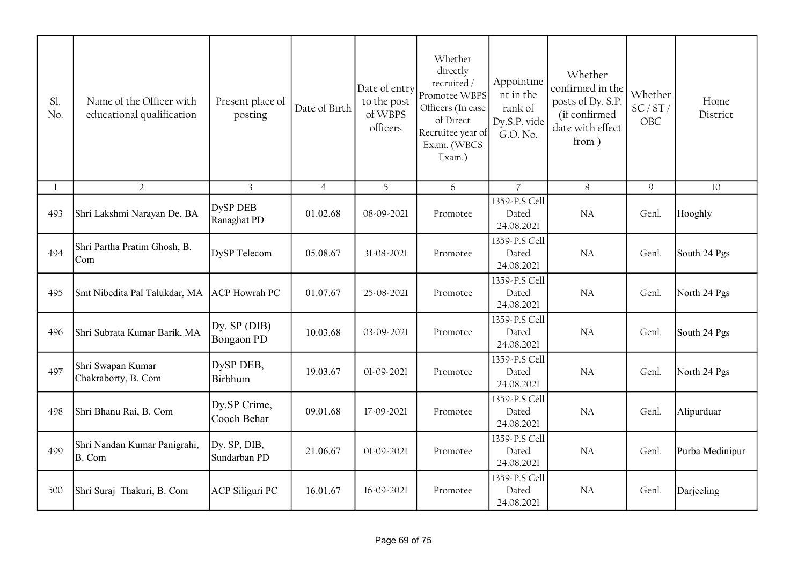| Sl.<br>No.   | Name of the Officer with<br>educational qualification | Present place of<br>posting       | Date of Birth  | Date of entry<br>to the post<br>of WBPS<br>officers | Whether<br>directly<br>recruited /<br>Promotee WBPS<br>Officers (In case<br>of Direct<br>Recruitee year of<br>Exam. (WBCS<br>Exam.) | Appointme<br>nt in the<br>rank of<br>Dy.S.P. vide<br>G.O. No. | Whether<br>confirmed in the<br>posts of Dy. S.P.<br>(if confirmed<br>date with effect<br>from) | Whether<br>SC/ST/<br>OBC | Home<br>District |
|--------------|-------------------------------------------------------|-----------------------------------|----------------|-----------------------------------------------------|-------------------------------------------------------------------------------------------------------------------------------------|---------------------------------------------------------------|------------------------------------------------------------------------------------------------|--------------------------|------------------|
| $\mathbf{1}$ | $\overline{2}$                                        | $\overline{3}$                    | $\overline{4}$ | 5                                                   | 6                                                                                                                                   | $\overline{7}$                                                | 8                                                                                              | 9                        | 10               |
| 493          | Shri Lakshmi Narayan De, BA                           | <b>DySP DEB</b><br>Ranaghat PD    | 01.02.68       | 08-09-2021                                          | Promotee                                                                                                                            | 1359-P.S Cell<br>Dated<br>24.08.2021                          | <b>NA</b>                                                                                      | Genl.                    | Hooghly          |
| 494          | Shri Partha Pratim Ghosh, B.<br>Com                   | <b>DySP</b> Telecom               | 05.08.67       | 31-08-2021                                          | Promotee                                                                                                                            | 1359-P.S Cell<br>Dated<br>24.08.2021                          | <b>NA</b>                                                                                      | Genl.                    | South 24 Pgs     |
| 495          | Smt Nibedita Pal Talukdar, MA                         | <b>ACP</b> Howrah PC              | 01.07.67       | 25-08-2021                                          | Promotee                                                                                                                            | 1359-P.S Cell<br>Dated<br>24.08.2021                          | NA                                                                                             | Genl.                    | North 24 Pgs     |
| 496          | Shri Subrata Kumar Barik, MA                          | Dy. SP (DIB)<br><b>Bongaon PD</b> | 10.03.68       | 03-09-2021                                          | Promotee                                                                                                                            | 1359-P.S Cell<br>Dated<br>24.08.2021                          | NA                                                                                             | Genl.                    | South 24 Pgs     |
| 497          | Shri Swapan Kumar<br>Chakraborty, B. Com              | DySP DEB,<br><b>Birbhum</b>       | 19.03.67       | 01-09-2021                                          | Promotee                                                                                                                            | 1359-P.S Cell<br>Dated<br>24.08.2021                          | <b>NA</b>                                                                                      | Genl.                    | North 24 Pgs     |
| 498          | Shri Bhanu Rai, B. Com                                | Dy.SP Crime,<br>Cooch Behar       | 09.01.68       | 17-09-2021                                          | Promotee                                                                                                                            | 1359-P.S Cell<br>Dated<br>24.08.2021                          | NA                                                                                             | Genl.                    | Alipurduar       |
| 499          | Shri Nandan Kumar Panigrahi,<br>B. Com                | Dy. SP, DIB,<br>Sundarban PD      | 21.06.67       | 01-09-2021                                          | Promotee                                                                                                                            | 1359-P.S Cell<br>Dated<br>24.08.2021                          | NA                                                                                             | Genl.                    | Purba Medinipur  |
| 500          | Shri Suraj Thakuri, B. Com                            | <b>ACP Siliguri PC</b>            | 16.01.67       | 16-09-2021                                          | Promotee                                                                                                                            | 1359-P.S Cell<br>Dated<br>24.08.2021                          | <b>NA</b>                                                                                      | Genl.                    | Darjeeling       |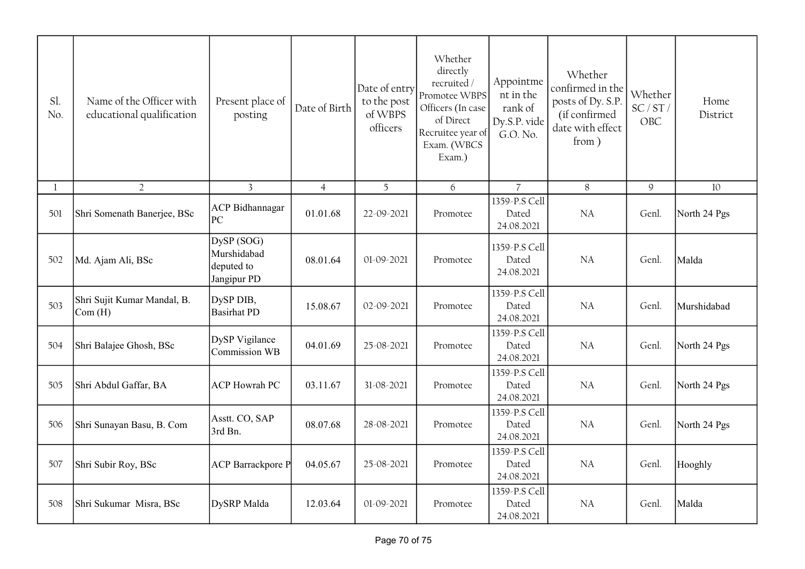| Sl.<br>No. | Name of the Officer with<br>educational qualification     | Present place of<br>posting                            | Date of Birth  | Date of entry<br>to the post<br>of WBPS<br>officers | Whether<br>directly<br>recruited/<br>Promotee WBPS<br>Officers (In case<br>of Direct<br>Recruitee year of<br>Exam. (WBCS<br>Exam.) | Appointme<br>nt in the<br>rank of<br>Dy.S.P. vide<br>G.O. No. | Whether<br>confirmed in the<br>posts of Dy. S.P.<br>(if confirmed<br>date with effect<br>from) | Whether<br>SC/ST/<br>OBC | Home<br>District |
|------------|-----------------------------------------------------------|--------------------------------------------------------|----------------|-----------------------------------------------------|------------------------------------------------------------------------------------------------------------------------------------|---------------------------------------------------------------|------------------------------------------------------------------------------------------------|--------------------------|------------------|
| 1          | $\overline{2}$                                            | $\overline{3}$                                         | $\overline{4}$ | 5                                                   | 6                                                                                                                                  | $\overline{7}$                                                | 8                                                                                              | 9                        | $10\,$           |
| 501        | Shri Somenath Banerjee, BSc                               | <b>ACP</b> Bidhannagar<br>PC                           | 01.01.68       | 22-09-2021                                          | Promotee                                                                                                                           | 1359-P.S Cell<br>Dated<br>24.08.2021                          | NA                                                                                             | Genl.                    | North 24 Pgs     |
| 502        | Md. Ajam Ali, BSc                                         | DySP (SOG)<br>Murshidabad<br>deputed to<br>Jangipur PD | 08.01.64       | 01-09-2021                                          | Promotee                                                                                                                           | 1359-P.S Cell<br>Dated<br>24.08.2021                          | NA                                                                                             | Genl.                    | Malda            |
| 503        | Shri Sujit Kumar Mandal, B.<br>$\mathsf{Com}(\mathrm{H})$ | DySP DIB,<br><b>Basirhat PD</b>                        | 15.08.67       | 02-09-2021                                          | Promotee                                                                                                                           | 1359-P.S Cell<br>Dated<br>24.08.2021                          | NA                                                                                             | Genl.                    | Murshidabad      |
| 504        | Shri Balajee Ghosh, BSc                                   | DySP Vigilance<br>Commission WB                        | 04.01.69       | 25-08-2021                                          | Promotee                                                                                                                           | 1359-P.S Cell<br>Dated<br>24.08.2021                          | <b>NA</b>                                                                                      | Genl.                    | North 24 Pgs     |
| 505        | Shri Abdul Gaffar, BA                                     | <b>ACP</b> Howrah PC                                   | 03.11.67       | 31-08-2021                                          | Promotee                                                                                                                           | 1359-P.S Cell<br>Dated<br>24.08.2021                          | NA                                                                                             | Genl.                    | North 24 Pgs     |
| 506        | Shri Sunayan Basu, B. Com                                 | Asstt. CO, SAP<br>3rd Bn.                              | 08.07.68       | 28-08-2021                                          | Promotee                                                                                                                           | 1359-P.S Cell<br>Dated<br>24.08.2021                          | NA                                                                                             | Genl.                    | North 24 Pgs     |
| 507        | Shri Subir Roy, BSc                                       | <b>ACP</b> Barrackpore P                               | 04.05.67       | 25-08-2021                                          | Promotee                                                                                                                           | 1359-P.S Cell<br>Dated<br>24.08.2021                          | NA                                                                                             | Genl.                    | Hooghly          |
| 508        | Shri Sukumar Misra, BSc                                   | DySRP Malda                                            | 12.03.64       | 01-09-2021                                          | Promotee                                                                                                                           | 1359-P.S Cell<br>Dated<br>24.08.2021                          | NA                                                                                             | Genl.                    | Malda            |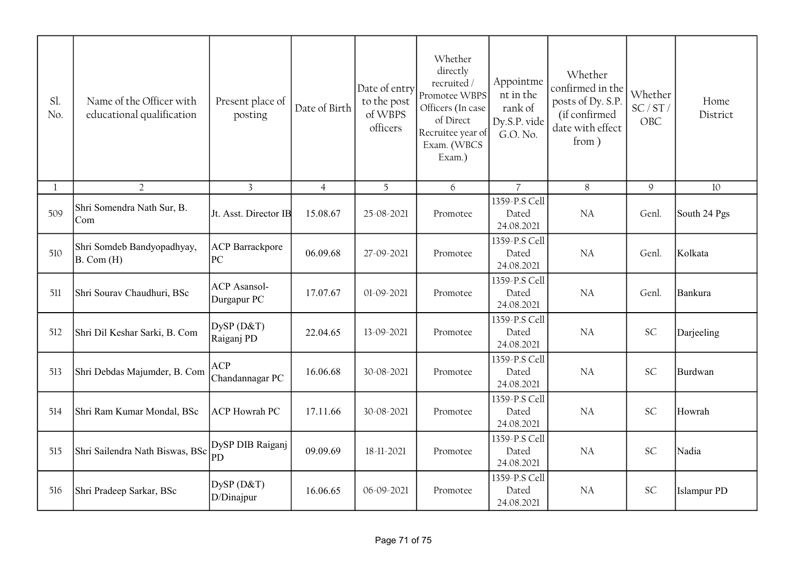| Sl.<br>No.   | Name of the Officer with<br>educational qualification | Present place of<br>posting        | Date of Birth  | Date of entry<br>to the post<br>of WBPS<br>officers | Whether<br>directly<br>recruited /<br>Promotee WBPS<br>Officers (In case<br>of Direct<br>Recruitee year of<br>Exam. (WBCS<br>Exam.) | Appointme<br>nt in the<br>rank of<br>Dy.S.P. vide<br>G.O. No. | Whether<br>confirmed in the<br>posts of Dy. S.P.<br>(if confirmed<br>date with effect<br>from) | Whether<br>SC/ST/<br>OBC | Home<br>District   |
|--------------|-------------------------------------------------------|------------------------------------|----------------|-----------------------------------------------------|-------------------------------------------------------------------------------------------------------------------------------------|---------------------------------------------------------------|------------------------------------------------------------------------------------------------|--------------------------|--------------------|
| $\mathbf{1}$ | $\overline{2}$                                        | $\overline{3}$                     | $\overline{4}$ | 5 <sup>5</sup>                                      | 6                                                                                                                                   | $\overline{7}$                                                | 8                                                                                              | 9                        | 10                 |
| 509          | Shri Somendra Nath Sur, B.<br> Com                    | Jt. Asst. Director IB              | 15.08.67       | 25-08-2021                                          | Promotee                                                                                                                            | 1359-P.S Cell<br>Dated<br>24.08.2021                          | <b>NA</b>                                                                                      | Genl.                    | South 24 Pgs       |
| 510          | Shri Somdeb Bandyopadhyay,<br>B. Com (H)              | <b>ACP</b> Barrackpore<br>PC       | 06.09.68       | 27-09-2021                                          | Promotee                                                                                                                            | 1359-P.S Cell<br>Dated<br>24.08.2021                          | NA                                                                                             | Genl.                    | Kolkata            |
| 511          | Shri Sourav Chaudhuri, BSc                            | <b>ACP</b> Asansol-<br>Durgapur PC | 17.07.67       | 01-09-2021                                          | Promotee                                                                                                                            | 1359-P.S Cell<br>Dated<br>24.08.2021                          | <b>NA</b>                                                                                      | Genl.                    | Bankura            |
| 512          | Shri Dil Keshar Sarki, B. Com                         | DySP (D&T)<br>Raiganj PD           | 22.04.65       | 13-09-2021                                          | Promotee                                                                                                                            | 1359-P.S Cell<br>Dated<br>24.08.2021                          | <b>NA</b>                                                                                      | SC                       | Darjeeling         |
| 513          | Shri Debdas Majumder, B. Com                          | <b>ACP</b><br>Chandannagar PC      | 16.06.68       | 30-08-2021                                          | Promotee                                                                                                                            | 1359-P.S Cell<br>Dated<br>24.08.2021                          | <b>NA</b>                                                                                      | <b>SC</b>                | Burdwan            |
| 514          | Shri Ram Kumar Mondal, BSc                            | <b>ACP</b> Howrah PC               | 17.11.66       | 30-08-2021                                          | Promotee                                                                                                                            | 1359-P.S Cell<br>Dated<br>24.08.2021                          | <b>NA</b>                                                                                      | <b>SC</b>                | Howrah             |
| 515          | Shri Sailendra Nath Biswas, BSc                       | DySP DIB Raiganj<br>PD             | 09.09.69       | 18-11-2021                                          | Promotee                                                                                                                            | 1359-P.S Cell<br>Dated<br>24.08.2021                          | <b>NA</b>                                                                                      | <b>SC</b>                | Nadia              |
| 516          | Shri Pradeep Sarkar, BSc                              | DySP (D&T)<br>D/Dinajpur           | 16.06.65       | 06-09-2021                                          | Promotee                                                                                                                            | 1359-P.S Cell<br>Dated<br>24.08.2021                          | <b>NA</b>                                                                                      | <b>SC</b>                | <b>Islampur PD</b> |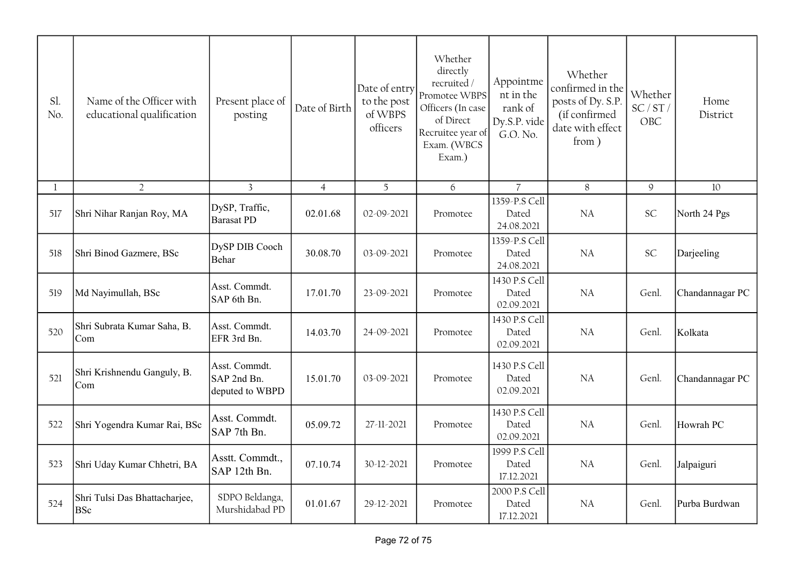| Sl.<br>No. | Name of the Officer with<br>educational qualification | Present place of<br>posting                     | Date of Birth  | Date of entry<br>to the post<br>of WBPS<br>officers | Whether<br>directly<br>recruited/<br>Promotee WBPS<br>Officers (In case<br>of Direct<br>Recruitee year of<br>Exam. (WBCS<br>Exam.) | Appointme<br>nt in the<br>rank of<br>Dy.S.P. vide<br>G.O. No. | Whether<br>confirmed in the<br>posts of Dy. S.P.<br>(if confirmed<br>date with effect<br>from) | Whether<br>SC/ST/<br>OBC | Home<br>District |
|------------|-------------------------------------------------------|-------------------------------------------------|----------------|-----------------------------------------------------|------------------------------------------------------------------------------------------------------------------------------------|---------------------------------------------------------------|------------------------------------------------------------------------------------------------|--------------------------|------------------|
| 1          | $\overline{2}$                                        | 3                                               | $\overline{4}$ | 5                                                   | 6                                                                                                                                  | $\overline{7}$                                                | 8                                                                                              | $\mathsf{9}$             | 10               |
| 517        | Shri Nihar Ranjan Roy, MA                             | DySP, Traffic,<br><b>Barasat PD</b>             | 02.01.68       | 02-09-2021                                          | Promotee                                                                                                                           | 1359-P.S Cell<br>Dated<br>24.08.2021                          | <b>NA</b>                                                                                      | SC                       | North 24 Pgs     |
| 518        | Shri Binod Gazmere, BSc                               | DySP DIB Cooch<br>Behar                         | 30.08.70       | 03-09-2021                                          | Promotee                                                                                                                           | 1359-P.S Cell<br>Dated<br>24.08.2021                          | <b>NA</b>                                                                                      | SC                       | Darjeeling       |
| 519        | Md Nayimullah, BSc                                    | Asst. Commdt.<br>SAP 6th Bn.                    | 17.01.70       | 23-09-2021                                          | Promotee                                                                                                                           | 1430 P.S Cell<br>Dated<br>02.09.2021                          | <b>NA</b>                                                                                      | Genl.                    | Chandannagar PC  |
| 520        | Shri Subrata Kumar Saha, B.<br>Com                    | Asst. Commdt.<br>EFR 3rd Bn.                    | 14.03.70       | 24-09-2021                                          | Promotee                                                                                                                           | 1430 P.S Cell<br>Dated<br>02.09.2021                          | <b>NA</b>                                                                                      | Genl.                    | Kolkata          |
| 521        | Shri Krishnendu Ganguly, B.<br>Com                    | Asst. Commdt.<br>SAP 2nd Bn.<br>deputed to WBPD | 15.01.70       | 03-09-2021                                          | Promotee                                                                                                                           | 1430 P.S Cell<br>Dated<br>02.09.2021                          | <b>NA</b>                                                                                      | Genl.                    | Chandannagar PC  |
| 522        | Shri Yogendra Kumar Rai, BSc                          | Asst. Commdt.<br>SAP 7th Bn.                    | 05.09.72       | 27-11-2021                                          | Promotee                                                                                                                           | 1430 P.S Cell<br>Dated<br>02.09.2021                          | NA                                                                                             | Genl.                    | Howrah PC        |
| 523        | Shri Uday Kumar Chhetri, BA                           | Asstt. Commdt.,<br>SAP 12th Bn.                 | 07.10.74       | 30-12-2021                                          | Promotee                                                                                                                           | 1999 P.S Cell<br>Dated<br>17.12.2021                          | <b>NA</b>                                                                                      | Genl.                    | Jalpaiguri       |
| 524        | Shri Tulsi Das Bhattacharjee,<br><b>BSc</b>           | SDPO Beldanga,<br>Murshidabad PD                | 01.01.67       | 29-12-2021                                          | Promotee                                                                                                                           | 2000 P.S Cell<br>Dated<br>17.12.2021                          | <b>NA</b>                                                                                      | Genl.                    | Purba Burdwan    |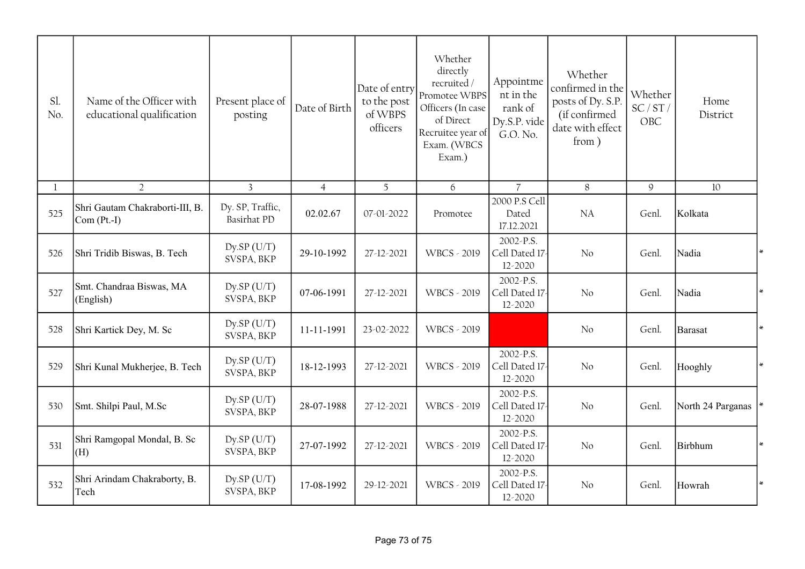| Sl.<br>No.   | Name of the Officer with<br>educational qualification | Present place of<br>posting            | Date of Birth  | Date of entry<br>to the post<br>of WBPS<br>officers | Whether<br>directly<br>recruited/<br>Promotee WBPS<br>Officers (In case<br>of Direct<br>Recruitee year of<br>Exam. (WBCS<br>Exam.) | Appointme<br>nt in the<br>rank of<br>Dy.S.P. vide<br>G.O. No. | Whether<br>confirmed in the<br>posts of Dy. S.P.<br>(if confirmed<br>date with effect<br>from) | Whether<br>SC/ST/<br><b>OBC</b> | Home<br>District  |        |
|--------------|-------------------------------------------------------|----------------------------------------|----------------|-----------------------------------------------------|------------------------------------------------------------------------------------------------------------------------------------|---------------------------------------------------------------|------------------------------------------------------------------------------------------------|---------------------------------|-------------------|--------|
| $\mathbf{l}$ | $\overline{2}$                                        | $\overline{3}$                         | $\overline{4}$ | 5 <sup>5</sup>                                      | 6                                                                                                                                  | $\overline{7}$                                                | $8\,$                                                                                          | $\mathsf{Q}$                    | 10                |        |
| 525          | Shri Gautam Chakraborti-III, B.<br>$Com (Pt.-I)$      | Dy. SP, Traffic,<br><b>Basirhat PD</b> | 02.02.67       | 07-01-2022                                          | Promotee                                                                                                                           | 2000 P.S Cell<br>Dated<br>17.12.2021                          | NA                                                                                             | Genl.                           | Kolkata           |        |
| 526          | Shri Tridib Biswas, B. Tech                           | $Dy$ .SP $(U/T)$<br>SVSPA, BKP         | 29-10-1992     | 27-12-2021                                          | <b>WBCS - 2019</b>                                                                                                                 | 2002-P.S.<br>Cell Dated 17<br>12-2020                         | No                                                                                             | Genl.                           | Nadia             |        |
| 527          | Smt. Chandraa Biswas, MA<br>(English)                 | $Dy$ .SP $(U/T)$<br>SVSPA, BKP         | 07-06-1991     | 27-12-2021                                          | <b>WBCS - 2019</b>                                                                                                                 | 2002-P.S.<br>Cell Dated 17-<br>12-2020                        | No                                                                                             | Genl.                           | Nadia             |        |
| 528          | Shri Kartick Dey, M. Sc                               | $Dy$ .SP $(U/T)$<br>SVSPA, BKP         | 11-11-1991     | 23-02-2022                                          | <b>WBCS - 2019</b>                                                                                                                 |                                                               | No                                                                                             | Genl.                           | <b>Barasat</b>    |        |
| 529          | Shri Kunal Mukherjee, B. Tech                         | $Dy$ .SP (U/T)<br>SVSPA, BKP           | 18-12-1993     | 27-12-2021                                          | <b>WBCS - 2019</b>                                                                                                                 | 2002-P.S.<br>Cell Dated 17<br>12-2020                         | No                                                                                             | Genl.                           | Hooghly           | $\ast$ |
| 530          | Smt. Shilpi Paul, M.Sc                                | $Dy$ .SP $(U/T)$<br>SVSPA, BKP         | 28-07-1988     | 27-12-2021                                          | <b>WBCS - 2019</b>                                                                                                                 | 2002-P.S.<br>Cell Dated 17-<br>12-2020                        | No                                                                                             | Genl.                           | North 24 Parganas |        |
| 531          | Shri Ramgopal Mondal, B. Sc<br>(H)                    | Dy.SP(U/T)<br>SVSPA, BKP               | 27-07-1992     | 27-12-2021                                          | WBCS - 2019                                                                                                                        | 2002-P.S.<br>Cell Dated 17-<br>12-2020                        | No                                                                                             | Genl.                           | Birbhum           |        |
| 532          | Shri Arindam Chakraborty, B.<br>Tech                  | $Dy$ .SP $(U/T)$<br>SVSPA, BKP         | 17-08-1992     | 29-12-2021                                          | <b>WBCS - 2019</b>                                                                                                                 | 2002-P.S.<br>Cell Dated 17<br>12-2020                         | No                                                                                             | Genl.                           | Howrah            |        |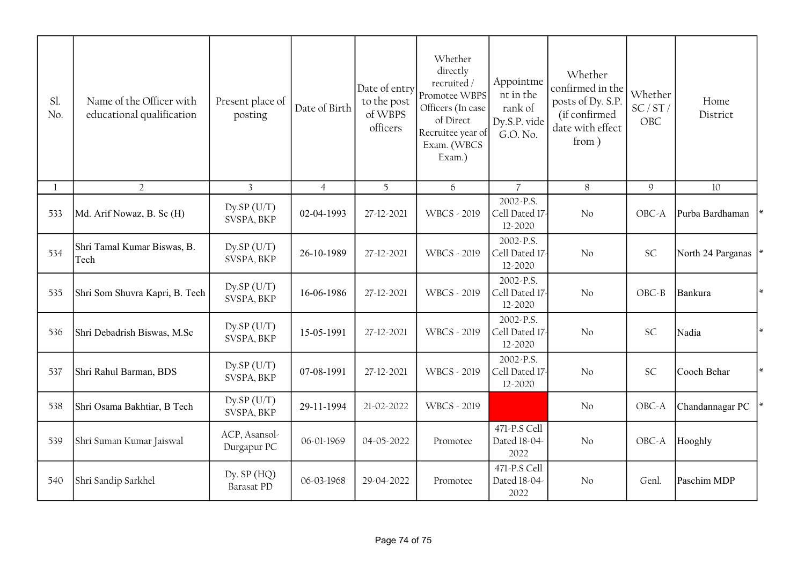| Sl.<br>No. | Name of the Officer with<br>educational qualification | Present place of<br>posting    | Date of Birth  | Date of entry<br>to the post<br>of WBPS<br>officers | Whether<br>directly<br>recruited /<br>Promotee WBPS<br>Officers (In case<br>of Direct<br>Recruitee year of<br>Exam. (WBCS<br>Exam.) | Appointme<br>nt in the<br>rank of<br>Dy.S.P. vide<br>G.O. No. | Whether<br>confirmed in the<br>posts of Dy. S.P.<br>(if confirmed<br>date with effect<br>from) | Whether<br>SC/ST/<br>OBC | Home<br>District  |
|------------|-------------------------------------------------------|--------------------------------|----------------|-----------------------------------------------------|-------------------------------------------------------------------------------------------------------------------------------------|---------------------------------------------------------------|------------------------------------------------------------------------------------------------|--------------------------|-------------------|
|            | $\overline{2}$                                        | $\overline{3}$                 | $\overline{4}$ | 5                                                   | 6                                                                                                                                   | $\overline{7}$                                                | 8                                                                                              | 9                        | 10                |
| 533        | Md. Arif Nowaz, B. Sc (H)                             | Dy.SP(U/T)<br>SVSPA, BKP       | 02-04-1993     | 27-12-2021                                          | <b>WBCS - 2019</b>                                                                                                                  | 2002-P.S.<br>Cell Dated 17<br>12-2020                         | No                                                                                             | OBC-A                    | Purba Bardhaman   |
| 534        | Shri Tamal Kumar Biswas, B.<br>Tech                   | $Dy$ .SP $(U/T)$<br>SVSPA, BKP | 26-10-1989     | 27-12-2021                                          | <b>WBCS - 2019</b>                                                                                                                  | 2002-P.S.<br>Cell Dated 17-<br>12-2020                        | No                                                                                             | SC                       | North 24 Parganas |
| 535        | Shri Som Shuvra Kapri, B. Tech                        | Dy.SP(U/T)<br>SVSPA, BKP       | 16-06-1986     | 27-12-2021                                          | <b>WBCS - 2019</b>                                                                                                                  | 2002-P.S.<br>Cell Dated 17<br>12-2020                         | No                                                                                             | $OBC - B$                | Bankura           |
| 536        | Shri Debadrish Biswas, M.Sc                           | Dy.SP(U/T)<br>SVSPA, BKP       | 15-05-1991     | 27-12-2021                                          | <b>WBCS - 2019</b>                                                                                                                  | 2002-P.S.<br>Cell Dated 17<br>12-2020                         | No                                                                                             | <b>SC</b>                | Nadia             |
| 537        | Shri Rahul Barman, BDS                                | Dy.SP(U/T)<br>SVSPA, BKP       | 07-08-1991     | 27-12-2021                                          | <b>WBCS - 2019</b>                                                                                                                  | 2002-P.S.<br>Cell Dated 17-<br>12-2020                        | No                                                                                             | SC                       | Cooch Behar       |
| 538        | Shri Osama Bakhtiar, B Tech                           | $Dy$ .SP $(U/T)$<br>SVSPA, BKP | 29-11-1994     | 21-02-2022                                          | <b>WBCS - 2019</b>                                                                                                                  |                                                               | No                                                                                             | OBC-A                    | Chandannagar PC   |
| 539        | Shri Suman Kumar Jaiswal                              | ACP, Asansol-<br>Durgapur PC   | 06-01-1969     | 04-05-2022                                          | Promotee                                                                                                                            | 471-P.S Cell<br>Dated 18-04-<br>2022                          | No                                                                                             | $OBC-A$                  | Hooghly           |
| 540        | Shri Sandip Sarkhel                                   | Dy. $SP(HQ)$<br>Barasat PD     | 06-03-1968     | 29-04-2022                                          | Promotee                                                                                                                            | 471-P.S Cell<br>Dated 18-04-<br>2022                          | No                                                                                             | Genl.                    | Paschim MDP       |